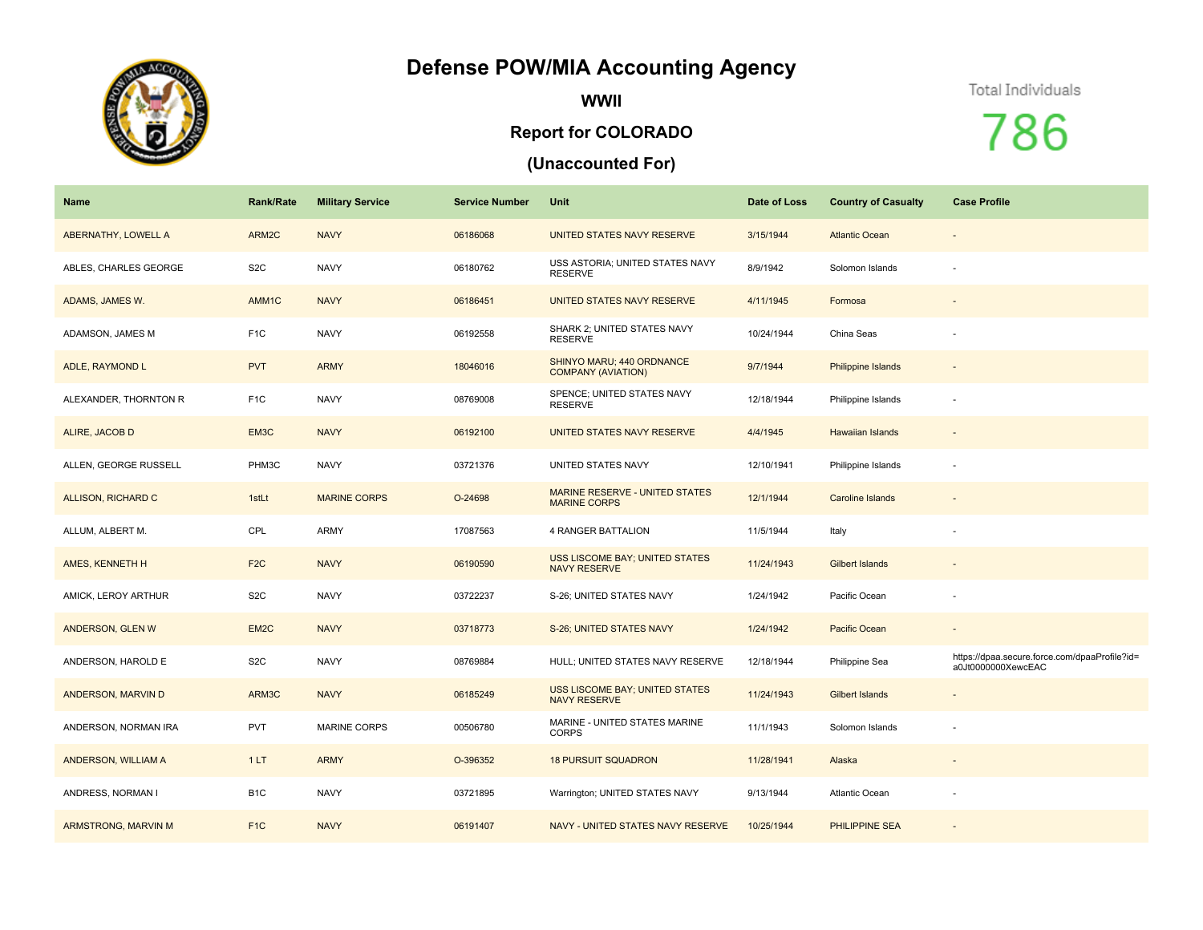## **Defense POW/MIA Accounting Agency**



**WWII**

## **Report for COLORADO**

## **(Unaccounted For)**

## Total Individuals

786

| Name                  | <b>Rank/Rate</b> | <b>Military Service</b> | <b>Service Number</b> | Unit                                                         | Date of Loss | <b>Country of Casualty</b> | <b>Case Profile</b>                                                 |
|-----------------------|------------------|-------------------------|-----------------------|--------------------------------------------------------------|--------------|----------------------------|---------------------------------------------------------------------|
| ABERNATHY, LOWELL A   | ARM2C            | <b>NAVY</b>             | 06186068              | UNITED STATES NAVY RESERVE                                   | 3/15/1944    | <b>Atlantic Ocean</b>      | $\sim$                                                              |
| ABLES, CHARLES GEORGE | S <sub>2</sub> C | <b>NAVY</b>             | 06180762              | USS ASTORIA; UNITED STATES NAVY<br><b>RESERVE</b>            | 8/9/1942     | Solomon Islands            |                                                                     |
| ADAMS, JAMES W.       | AMM1C            | <b>NAVY</b>             | 06186451              | UNITED STATES NAVY RESERVE                                   | 4/11/1945    | Formosa                    |                                                                     |
| ADAMSON, JAMES M      | F <sub>1</sub> C | <b>NAVY</b>             | 06192558              | SHARK 2; UNITED STATES NAVY<br><b>RESERVE</b>                | 10/24/1944   | China Seas                 |                                                                     |
| ADLE, RAYMOND L       | <b>PVT</b>       | <b>ARMY</b>             | 18046016              | SHINYO MARU; 440 ORDNANCE<br><b>COMPANY (AVIATION)</b>       | 9/7/1944     | <b>Philippine Islands</b>  |                                                                     |
| ALEXANDER, THORNTON R | F <sub>1</sub> C | <b>NAVY</b>             | 08769008              | SPENCE; UNITED STATES NAVY<br><b>RESERVE</b>                 | 12/18/1944   | Philippine Islands         |                                                                     |
| ALIRE, JACOB D        | EM3C             | <b>NAVY</b>             | 06192100              | UNITED STATES NAVY RESERVE                                   | 4/4/1945     | <b>Hawaiian Islands</b>    |                                                                     |
| ALLEN, GEORGE RUSSELL | PHM3C            | <b>NAVY</b>             | 03721376              | UNITED STATES NAVY                                           | 12/10/1941   | Philippine Islands         |                                                                     |
| ALLISON, RICHARD C    | 1stLt            | <b>MARINE CORPS</b>     | O-24698               | <b>MARINE RESERVE - UNITED STATES</b><br><b>MARINE CORPS</b> | 12/1/1944    | <b>Caroline Islands</b>    | $\sim$                                                              |
| ALLUM, ALBERT M.      | CPL              | <b>ARMY</b>             | 17087563              | 4 RANGER BATTALION                                           | 11/5/1944    | Italy                      | $\sim$                                                              |
| AMES, KENNETH H       | F <sub>2</sub> C | <b>NAVY</b>             | 06190590              | <b>USS LISCOME BAY; UNITED STATES</b><br><b>NAVY RESERVE</b> | 11/24/1943   | Gilbert Islands            |                                                                     |
| AMICK, LEROY ARTHUR   | S <sub>2</sub> C | <b>NAVY</b>             | 03722237              | S-26; UNITED STATES NAVY                                     | 1/24/1942    | Pacific Ocean              |                                                                     |
| ANDERSON, GLEN W      | EM2C             | <b>NAVY</b>             | 03718773              | S-26; UNITED STATES NAVY                                     | 1/24/1942    | <b>Pacific Ocean</b>       | $\sim$                                                              |
| ANDERSON, HAROLD E    | S <sub>2</sub> C | <b>NAVY</b>             | 08769884              | HULL; UNITED STATES NAVY RESERVE                             | 12/18/1944   | Philippine Sea             | https://dpaa.secure.force.com/dpaaProfile?id=<br>a0Jt0000000XewcEAC |
| ANDERSON, MARVIN D    | ARM3C            | <b>NAVY</b>             | 06185249              | USS LISCOME BAY; UNITED STATES<br><b>NAVY RESERVE</b>        | 11/24/1943   | <b>Gilbert Islands</b>     |                                                                     |
| ANDERSON, NORMAN IRA  | <b>PVT</b>       | <b>MARINE CORPS</b>     | 00506780              | MARINE - UNITED STATES MARINE<br><b>CORPS</b>                | 11/1/1943    | Solomon Islands            |                                                                     |
| ANDERSON, WILLIAM A   | 1LT              | <b>ARMY</b>             | O-396352              | <b>18 PURSUIT SQUADRON</b>                                   | 11/28/1941   | Alaska                     |                                                                     |
| ANDRESS, NORMAN I     | B <sub>1</sub> C | <b>NAVY</b>             | 03721895              | Warrington; UNITED STATES NAVY                               | 9/13/1944    | Atlantic Ocean             |                                                                     |
| ARMSTRONG, MARVIN M   | F <sub>1</sub> C | <b>NAVY</b>             | 06191407              | NAVY - UNITED STATES NAVY RESERVE                            | 10/25/1944   | <b>PHILIPPINE SEA</b>      |                                                                     |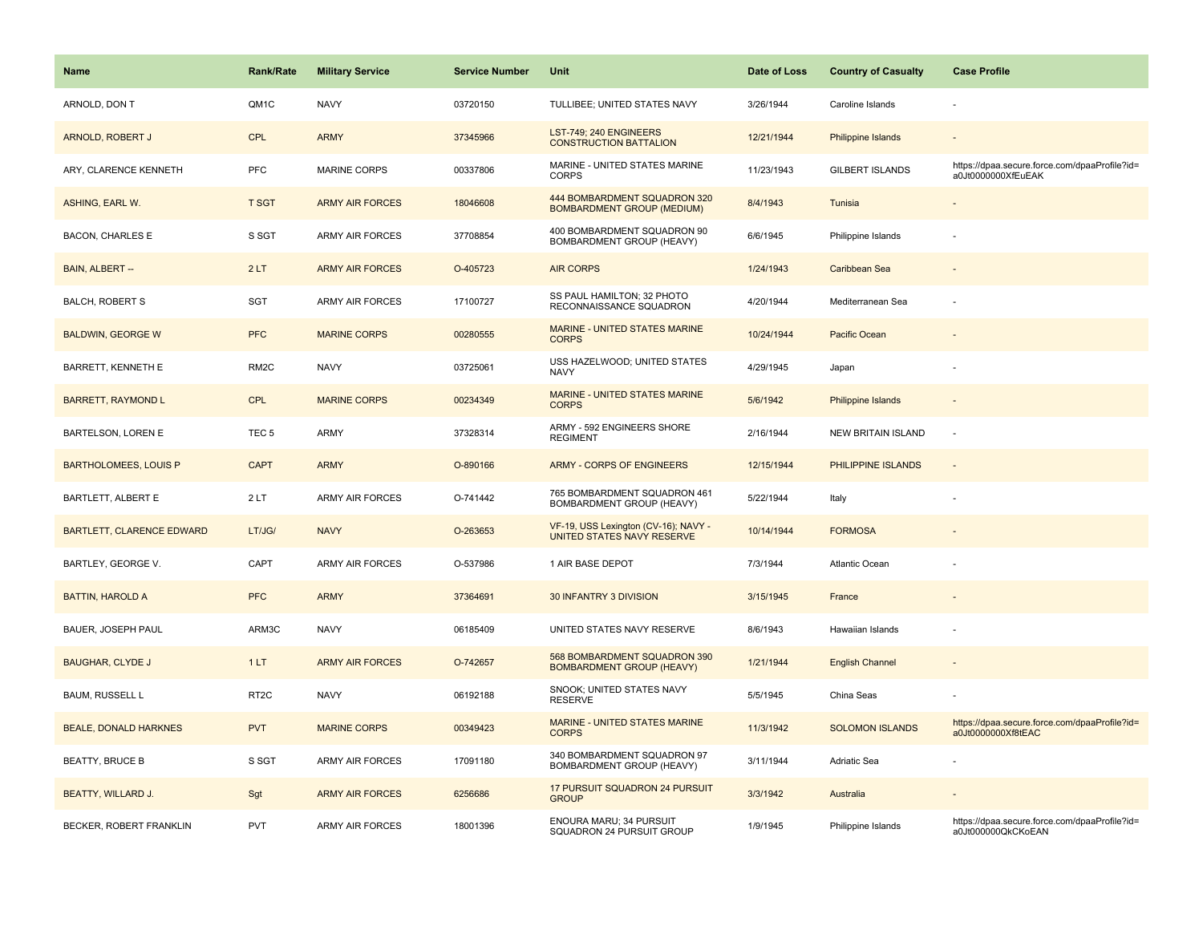| <b>Name</b>                      | Rank/Rate         | <b>Military Service</b> | <b>Service Number</b> | Unit                                                               | Date of Loss | <b>Country of Casualty</b> | <b>Case Profile</b>                                                 |
|----------------------------------|-------------------|-------------------------|-----------------------|--------------------------------------------------------------------|--------------|----------------------------|---------------------------------------------------------------------|
| ARNOLD, DON T                    | QM1C              | <b>NAVY</b>             | 03720150              | TULLIBEE; UNITED STATES NAVY                                       | 3/26/1944    | Caroline Islands           |                                                                     |
| ARNOLD, ROBERT J                 | <b>CPL</b>        | <b>ARMY</b>             | 37345966              | LST-749; 240 ENGINEERS<br><b>CONSTRUCTION BATTALION</b>            | 12/21/1944   | <b>Philippine Islands</b>  |                                                                     |
| ARY, CLARENCE KENNETH            | PFC               | MARINE CORPS            | 00337806              | MARINE - UNITED STATES MARINE<br><b>CORPS</b>                      | 11/23/1943   | <b>GILBERT ISLANDS</b>     | https://dpaa.secure.force.com/dpaaProfile?id=<br>a0Jt0000000XfEuEAK |
| ASHING, EARL W.                  | <b>T SGT</b>      | <b>ARMY AIR FORCES</b>  | 18046608              | 444 BOMBARDMENT SQUADRON 320<br><b>BOMBARDMENT GROUP (MEDIUM)</b>  | 8/4/1943     | Tunisia                    |                                                                     |
| <b>BACON, CHARLES E</b>          | S SGT             | <b>ARMY AIR FORCES</b>  | 37708854              | 400 BOMBARDMENT SQUADRON 90<br>BOMBARDMENT GROUP (HEAVY)           | 6/6/1945     | Philippine Islands         |                                                                     |
| BAIN, ALBERT --                  | 2LT               | <b>ARMY AIR FORCES</b>  | O-405723              | <b>AIR CORPS</b>                                                   | 1/24/1943    | Caribbean Sea              |                                                                     |
| <b>BALCH, ROBERT S</b>           | <b>SGT</b>        | <b>ARMY AIR FORCES</b>  | 17100727              | SS PAUL HAMILTON; 32 PHOTO<br>RECONNAISSANCE SQUADRON              | 4/20/1944    | Mediterranean Sea          |                                                                     |
| <b>BALDWIN, GEORGE W</b>         | <b>PFC</b>        | <b>MARINE CORPS</b>     | 00280555              | MARINE - UNITED STATES MARINE<br><b>CORPS</b>                      | 10/24/1944   | Pacific Ocean              |                                                                     |
| BARRETT, KENNETH E               | RM <sub>2</sub> C | <b>NAVY</b>             | 03725061              | USS HAZELWOOD; UNITED STATES<br><b>NAVY</b>                        | 4/29/1945    | Japan                      |                                                                     |
| <b>BARRETT, RAYMOND L</b>        | CPL               | <b>MARINE CORPS</b>     | 00234349              | MARINE - UNITED STATES MARINE<br><b>CORPS</b>                      | 5/6/1942     | Philippine Islands         |                                                                     |
| BARTELSON, LOREN E               | TEC <sub>5</sub>  | ARMY                    | 37328314              | ARMY - 592 ENGINEERS SHORE<br><b>REGIMENT</b>                      | 2/16/1944    | <b>NEW BRITAIN ISLAND</b>  |                                                                     |
| <b>BARTHOLOMEES, LOUIS P</b>     | <b>CAPT</b>       | <b>ARMY</b>             | O-890166              | <b>ARMY - CORPS OF ENGINEERS</b>                                   | 12/15/1944   | PHILIPPINE ISLANDS         |                                                                     |
| BARTLETT, ALBERT E               | 2LT               | <b>ARMY AIR FORCES</b>  | O-741442              | 765 BOMBARDMENT SQUADRON 461<br>BOMBARDMENT GROUP (HEAVY)          | 5/22/1944    | Italy                      |                                                                     |
| <b>BARTLETT, CLARENCE EDWARD</b> | LT/JG/            | <b>NAVY</b>             | O-263653              | VF-19, USS Lexington (CV-16); NAVY -<br>UNITED STATES NAVY RESERVE | 10/14/1944   | <b>FORMOSA</b>             |                                                                     |
| BARTLEY, GEORGE V.               | CAPT              | <b>ARMY AIR FORCES</b>  | O-537986              | 1 AIR BASE DEPOT                                                   | 7/3/1944     | Atlantic Ocean             |                                                                     |
| <b>BATTIN, HAROLD A</b>          | <b>PFC</b>        | <b>ARMY</b>             | 37364691              | 30 INFANTRY 3 DIVISION                                             | 3/15/1945    | France                     |                                                                     |
| BAUER, JOSEPH PAUL               | ARM3C             | <b>NAVY</b>             | 06185409              | UNITED STATES NAVY RESERVE                                         | 8/6/1943     | Hawaiian Islands           |                                                                     |
| <b>BAUGHAR, CLYDE J</b>          | 1LT               | <b>ARMY AIR FORCES</b>  | O-742657              | 568 BOMBARDMENT SQUADRON 390<br><b>BOMBARDMENT GROUP (HEAVY)</b>   | 1/21/1944    | <b>English Channel</b>     |                                                                     |
| <b>BAUM, RUSSELL L</b>           | RT <sub>2</sub> C | <b>NAVY</b>             | 06192188              | SNOOK; UNITED STATES NAVY<br><b>RESERVE</b>                        | 5/5/1945     | China Seas                 |                                                                     |
| <b>BEALE, DONALD HARKNES</b>     | <b>PVT</b>        | <b>MARINE CORPS</b>     | 00349423              | MARINE - UNITED STATES MARINE<br><b>CORPS</b>                      | 11/3/1942    | <b>SOLOMON ISLANDS</b>     | https://dpaa.secure.force.com/dpaaProfile?id=<br>a0Jt0000000Xf8tEAC |
| <b>BEATTY, BRUCE B</b>           | S SGT             | ARMY AIR FORCES         | 17091180              | 340 BOMBARDMENT SQUADRON 97<br>BOMBARDMENT GROUP (HEAVY)           | 3/11/1944    | Adriatic Sea               |                                                                     |
| <b>BEATTY, WILLARD J.</b>        | Sgt               | <b>ARMY AIR FORCES</b>  | 6256686               | 17 PURSUIT SQUADRON 24 PURSUIT<br><b>GROUP</b>                     | 3/3/1942     | Australia                  |                                                                     |
| BECKER, ROBERT FRANKLIN          | PVT               | <b>ARMY AIR FORCES</b>  | 18001396              | ENOURA MARU; 34 PURSUIT<br>SQUADRON 24 PURSUIT GROUP               | 1/9/1945     | Philippine Islands         | https://dpaa.secure.force.com/dpaaProfile?id=<br>a0Jt000000QkCKoEAN |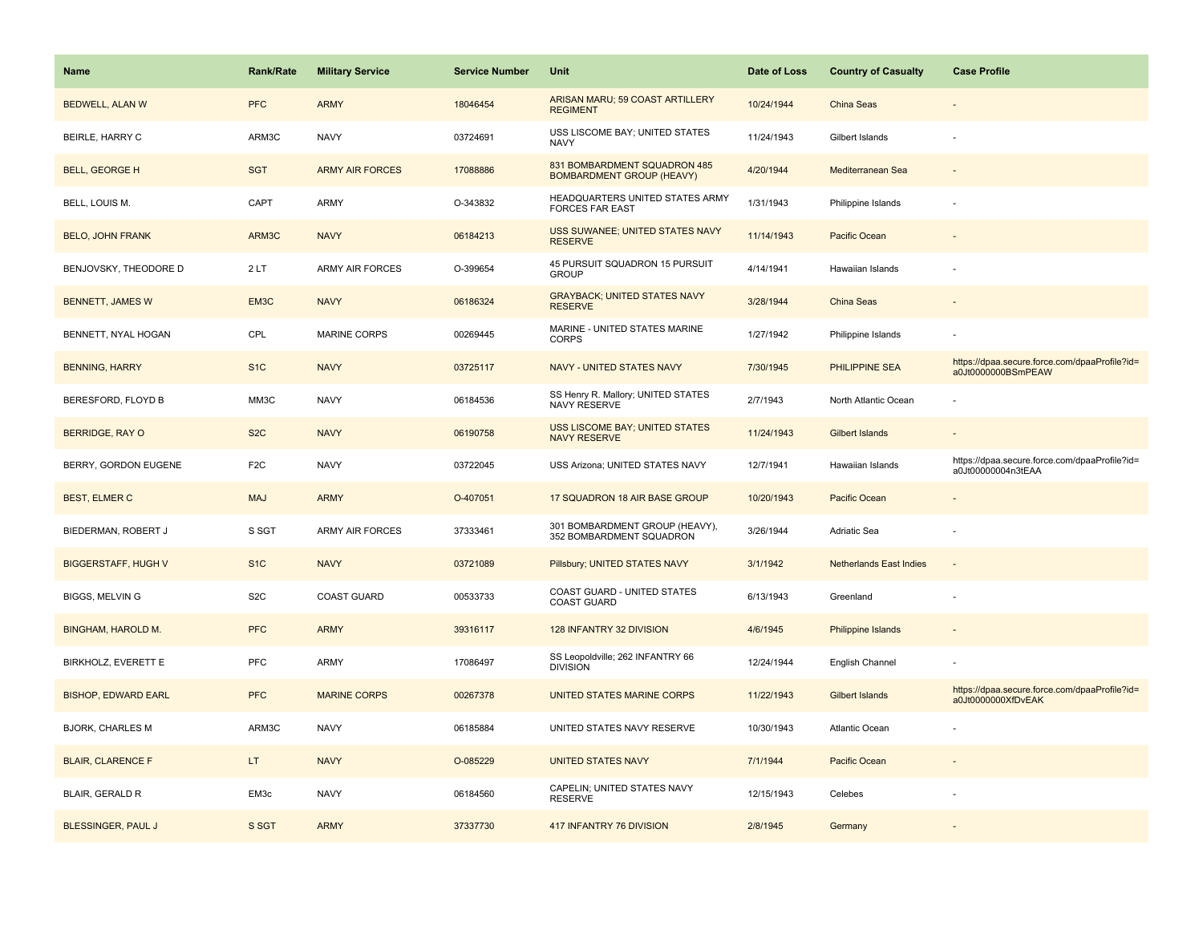| Name                       | <b>Rank/Rate</b> | <b>Military Service</b> | <b>Service Number</b> | Unit                                                             | Date of Loss | <b>Country of Casualty</b>     | <b>Case Profile</b>                                                 |
|----------------------------|------------------|-------------------------|-----------------------|------------------------------------------------------------------|--------------|--------------------------------|---------------------------------------------------------------------|
| <b>BEDWELL, ALAN W</b>     | <b>PFC</b>       | <b>ARMY</b>             | 18046454              | ARISAN MARU; 59 COAST ARTILLERY<br><b>REGIMENT</b>               | 10/24/1944   | China Seas                     |                                                                     |
| BEIRLE, HARRY C            | ARM3C            | <b>NAVY</b>             | 03724691              | USS LISCOME BAY; UNITED STATES<br><b>NAVY</b>                    | 11/24/1943   | Gilbert Islands                |                                                                     |
| <b>BELL, GEORGE H</b>      | <b>SGT</b>       | <b>ARMY AIR FORCES</b>  | 17088886              | 831 BOMBARDMENT SQUADRON 485<br><b>BOMBARDMENT GROUP (HEAVY)</b> | 4/20/1944    | Mediterranean Sea              |                                                                     |
| BELL, LOUIS M.             | CAPT             | ARMY                    | O-343832              | HEADQUARTERS UNITED STATES ARMY<br><b>FORCES FAR EAST</b>        | 1/31/1943    | Philippine Islands             |                                                                     |
| <b>BELO, JOHN FRANK</b>    | ARM3C            | <b>NAVY</b>             | 06184213              | USS SUWANEE; UNITED STATES NAVY<br><b>RESERVE</b>                | 11/14/1943   | Pacific Ocean                  |                                                                     |
| BENJOVSKY, THEODORE D      | 2LT              | <b>ARMY AIR FORCES</b>  | O-399654              | 45 PURSUIT SQUADRON 15 PURSUIT<br><b>GROUP</b>                   | 4/14/1941    | Hawaiian Islands               |                                                                     |
| <b>BENNETT, JAMES W</b>    | EM3C             | <b>NAVY</b>             | 06186324              | <b>GRAYBACK; UNITED STATES NAVY</b><br><b>RESERVE</b>            | 3/28/1944    | China Seas                     |                                                                     |
| BENNETT, NYAL HOGAN        | CPL              | <b>MARINE CORPS</b>     | 00269445              | MARINE - UNITED STATES MARINE<br><b>CORPS</b>                    | 1/27/1942    | Philippine Islands             |                                                                     |
| <b>BENNING, HARRY</b>      | S <sub>1</sub> C | <b>NAVY</b>             | 03725117              | <b>NAVY - UNITED STATES NAVY</b>                                 | 7/30/1945    | <b>PHILIPPINE SEA</b>          | https://dpaa.secure.force.com/dpaaProfile?id=<br>a0Jt0000000BSmPEAW |
| BERESFORD, FLOYD B         | MM3C             | <b>NAVY</b>             | 06184536              | SS Henry R. Mallory; UNITED STATES<br><b>NAVY RESERVE</b>        | 2/7/1943     | North Atlantic Ocean           |                                                                     |
| <b>BERRIDGE, RAY O</b>     | S <sub>2</sub> C | <b>NAVY</b>             | 06190758              | <b>USS LISCOME BAY; UNITED STATES</b><br><b>NAVY RESERVE</b>     | 11/24/1943   | Gilbert Islands                |                                                                     |
| BERRY, GORDON EUGENE       | F <sub>2</sub> C | <b>NAVY</b>             | 03722045              | USS Arizona; UNITED STATES NAVY                                  | 12/7/1941    | Hawaiian Islands               | https://dpaa.secure.force.com/dpaaProfile?id=<br>a0Jt00000004n3tEAA |
| <b>BEST, ELMER C</b>       | <b>MAJ</b>       | <b>ARMY</b>             | O-407051              | 17 SQUADRON 18 AIR BASE GROUP                                    | 10/20/1943   | Pacific Ocean                  |                                                                     |
| BIEDERMAN, ROBERT J        | S SGT            | ARMY AIR FORCES         | 37333461              | 301 BOMBARDMENT GROUP (HEAVY),<br>352 BOMBARDMENT SQUADRON       | 3/26/1944    | Adriatic Sea                   |                                                                     |
| <b>BIGGERSTAFF, HUGH V</b> | S <sub>1C</sub>  | <b>NAVY</b>             | 03721089              | Pillsbury; UNITED STATES NAVY                                    | 3/1/1942     | <b>Netherlands East Indies</b> | $\sim$                                                              |
| <b>BIGGS, MELVING</b>      | S <sub>2</sub> C | <b>COAST GUARD</b>      | 00533733              | COAST GUARD - UNITED STATES<br><b>COAST GUARD</b>                | 6/13/1943    | Greenland                      |                                                                     |
| <b>BINGHAM, HAROLD M.</b>  | <b>PFC</b>       | <b>ARMY</b>             | 39316117              | 128 INFANTRY 32 DIVISION                                         | 4/6/1945     | <b>Philippine Islands</b>      |                                                                     |
| BIRKHOLZ, EVERETT E        | <b>PFC</b>       | ARMY                    | 17086497              | SS Leopoldville; 262 INFANTRY 66<br><b>DIVISION</b>              | 12/24/1944   | English Channel                |                                                                     |
| <b>BISHOP, EDWARD EARL</b> | <b>PFC</b>       | <b>MARINE CORPS</b>     | 00267378              | UNITED STATES MARINE CORPS                                       | 11/22/1943   | <b>Gilbert Islands</b>         | https://dpaa.secure.force.com/dpaaProfile?id=<br>a0Jt0000000XfDvEAK |
| <b>BJORK, CHARLES M</b>    | ARM3C            | <b>NAVY</b>             | 06185884              | UNITED STATES NAVY RESERVE                                       | 10/30/1943   | Atlantic Ocean                 |                                                                     |
| <b>BLAIR, CLARENCE F</b>   | LT.              | <b>NAVY</b>             | O-085229              | <b>UNITED STATES NAVY</b>                                        | 7/1/1944     | Pacific Ocean                  |                                                                     |
| BLAIR, GERALD R            | EM3c             | <b>NAVY</b>             | 06184560              | CAPELIN; UNITED STATES NAVY<br><b>RESERVE</b>                    | 12/15/1943   | Celebes                        |                                                                     |
| <b>BLESSINGER, PAUL J</b>  | S SGT            | <b>ARMY</b>             | 37337730              | 417 INFANTRY 76 DIVISION                                         | 2/8/1945     | Germany                        |                                                                     |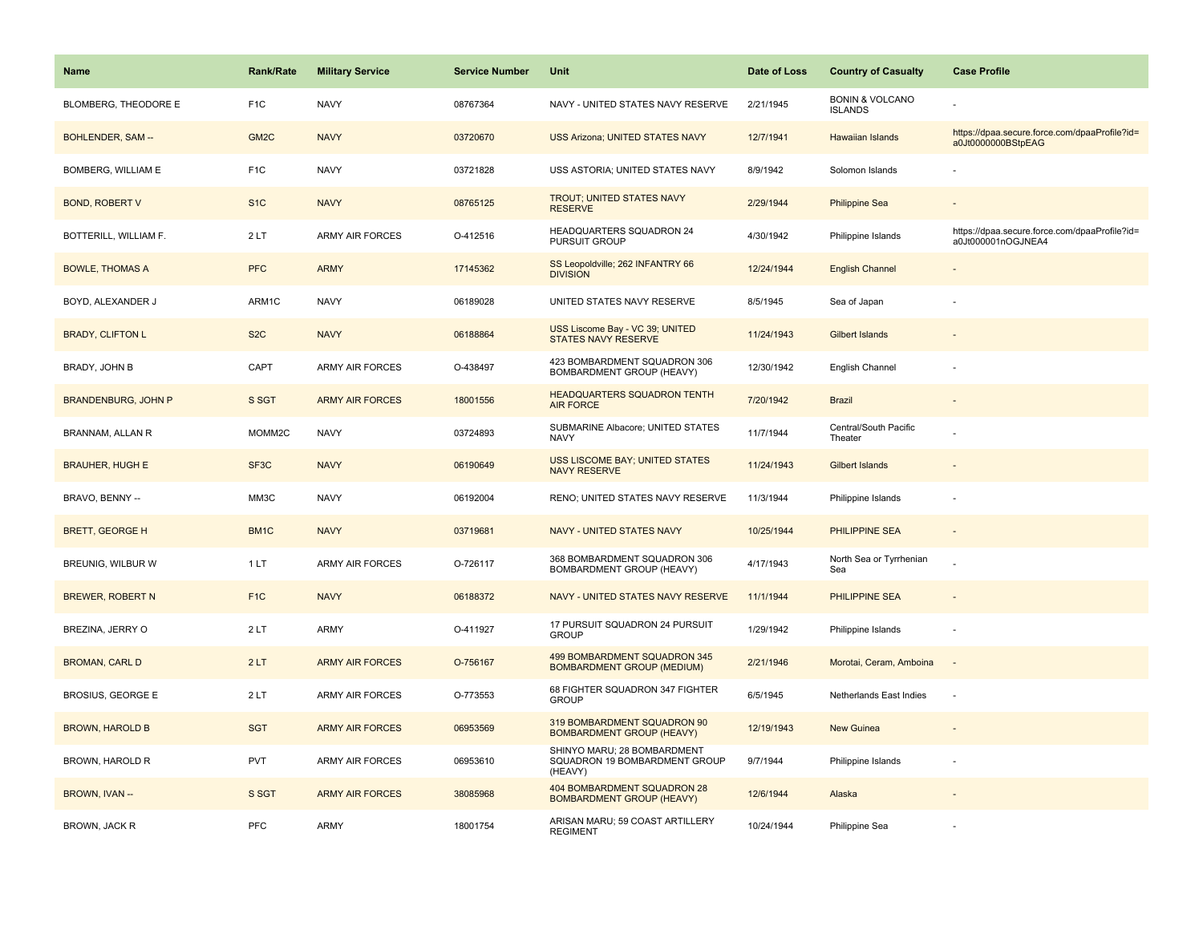| <b>Name</b>                | Rank/Rate         | <b>Military Service</b> | <b>Service Number</b> | Unit                                                                    | Date of Loss | <b>Country of Casualty</b>                   | <b>Case Profile</b>                                                 |
|----------------------------|-------------------|-------------------------|-----------------------|-------------------------------------------------------------------------|--------------|----------------------------------------------|---------------------------------------------------------------------|
| BLOMBERG, THEODORE E       | F <sub>1</sub> C  | <b>NAVY</b>             | 08767364              | NAVY - UNITED STATES NAVY RESERVE                                       | 2/21/1945    | <b>BONIN &amp; VOLCANO</b><br><b>ISLANDS</b> |                                                                     |
| BOHLENDER, SAM --          | GM <sub>2C</sub>  | <b>NAVY</b>             | 03720670              | <b>USS Arizona; UNITED STATES NAVY</b>                                  | 12/7/1941    | Hawaiian Islands                             | https://dpaa.secure.force.com/dpaaProfile?id=<br>a0Jt0000000BStpEAG |
| BOMBERG, WILLIAM E         | F <sub>1</sub> C  | <b>NAVY</b>             | 03721828              | USS ASTORIA; UNITED STATES NAVY                                         | 8/9/1942     | Solomon Islands                              |                                                                     |
| <b>BOND, ROBERT V</b>      | S <sub>1</sub> C  | <b>NAVY</b>             | 08765125              | <b>TROUT; UNITED STATES NAVY</b><br><b>RESERVE</b>                      | 2/29/1944    | <b>Philippine Sea</b>                        |                                                                     |
| BOTTERILL, WILLIAM F.      | 2LT               | <b>ARMY AIR FORCES</b>  | O-412516              | <b>HEADQUARTERS SQUADRON 24</b><br>PURSUIT GROUP                        | 4/30/1942    | Philippine Islands                           | https://dpaa.secure.force.com/dpaaProfile?id=<br>a0Jt000001nOGJNEA4 |
| <b>BOWLE, THOMAS A</b>     | <b>PFC</b>        | <b>ARMY</b>             | 17145362              | SS Leopoldville; 262 INFANTRY 66<br><b>DIVISION</b>                     | 12/24/1944   | <b>English Channel</b>                       | $\overline{\phantom{a}}$                                            |
| BOYD, ALEXANDER J          | ARM1C             | <b>NAVY</b>             | 06189028              | UNITED STATES NAVY RESERVE                                              | 8/5/1945     | Sea of Japan                                 |                                                                     |
| <b>BRADY, CLIFTON L</b>    | S <sub>2</sub> C  | <b>NAVY</b>             | 06188864              | USS Liscome Bay - VC 39; UNITED<br><b>STATES NAVY RESERVE</b>           | 11/24/1943   | <b>Gilbert Islands</b>                       |                                                                     |
| BRADY, JOHN B              | CAPT              | <b>ARMY AIR FORCES</b>  | O-438497              | 423 BOMBARDMENT SQUADRON 306<br>BOMBARDMENT GROUP (HEAVY)               | 12/30/1942   | English Channel                              |                                                                     |
| <b>BRANDENBURG, JOHN P</b> | S SGT             | <b>ARMY AIR FORCES</b>  | 18001556              | <b>HEADQUARTERS SQUADRON TENTH</b><br><b>AIR FORCE</b>                  | 7/20/1942    | <b>Brazil</b>                                |                                                                     |
| BRANNAM, ALLAN R           | MOMM2C            | <b>NAVY</b>             | 03724893              | SUBMARINE Albacore; UNITED STATES<br><b>NAVY</b>                        | 11/7/1944    | Central/South Pacific<br>Theater             |                                                                     |
| <b>BRAUHER, HUGH E</b>     | SF <sub>3</sub> C | <b>NAVY</b>             | 06190649              | <b>USS LISCOME BAY; UNITED STATES</b><br><b>NAVY RESERVE</b>            | 11/24/1943   | <b>Gilbert Islands</b>                       |                                                                     |
| BRAVO, BENNY --            | MM3C              | <b>NAVY</b>             | 06192004              | RENO; UNITED STATES NAVY RESERVE                                        | 11/3/1944    | Philippine Islands                           |                                                                     |
| <b>BRETT, GEORGE H</b>     | BM1C              | <b>NAVY</b>             | 03719681              | <b>NAVY - UNITED STATES NAVY</b>                                        | 10/25/1944   | <b>PHILIPPINE SEA</b>                        | ٠                                                                   |
| BREUNIG, WILBUR W          | 1LT               | <b>ARMY AIR FORCES</b>  | O-726117              | 368 BOMBARDMENT SQUADRON 306<br>BOMBARDMENT GROUP (HEAVY)               | 4/17/1943    | North Sea or Tyrrhenian<br>Sea               |                                                                     |
| <b>BREWER, ROBERT N</b>    | F <sub>1C</sub>   | <b>NAVY</b>             | 06188372              | NAVY - UNITED STATES NAVY RESERVE                                       | 11/1/1944    | <b>PHILIPPINE SEA</b>                        | $\sim$                                                              |
| BREZINA, JERRY O           | 2LT               | ARMY                    | O-411927              | 17 PURSUIT SQUADRON 24 PURSUIT<br><b>GROUP</b>                          | 1/29/1942    | Philippine Islands                           | ÷,                                                                  |
| <b>BROMAN, CARL D</b>      | 2LT               | <b>ARMY AIR FORCES</b>  | O-756167              | 499 BOMBARDMENT SQUADRON 345<br><b>BOMBARDMENT GROUP (MEDIUM)</b>       | 2/21/1946    | Morotai, Ceram, Amboina                      |                                                                     |
| <b>BROSIUS, GEORGE E</b>   | 2LT               | <b>ARMY AIR FORCES</b>  | O-773553              | 68 FIGHTER SQUADRON 347 FIGHTER<br><b>GROUP</b>                         | 6/5/1945     | Netherlands East Indies                      | ÷,                                                                  |
| <b>BROWN, HAROLD B</b>     | <b>SGT</b>        | <b>ARMY AIR FORCES</b>  | 06953569              | 319 BOMBARDMENT SQUADRON 90<br><b>BOMBARDMENT GROUP (HEAVY)</b>         | 12/19/1943   | New Guinea                                   |                                                                     |
| BROWN, HAROLD R            | <b>PVT</b>        | <b>ARMY AIR FORCES</b>  | 06953610              | SHINYO MARU; 28 BOMBARDMENT<br>SQUADRON 19 BOMBARDMENT GROUP<br>(HEAVY) | 9/7/1944     | Philippine Islands                           |                                                                     |
| BROWN, IVAN --             | S SGT             | <b>ARMY AIR FORCES</b>  | 38085968              | 404 BOMBARDMENT SQUADRON 28<br><b>BOMBARDMENT GROUP (HEAVY)</b>         | 12/6/1944    | Alaska                                       |                                                                     |
| BROWN, JACK R              | <b>PFC</b>        | ARMY                    | 18001754              | ARISAN MARU; 59 COAST ARTILLERY<br><b>REGIMENT</b>                      | 10/24/1944   | Philippine Sea                               |                                                                     |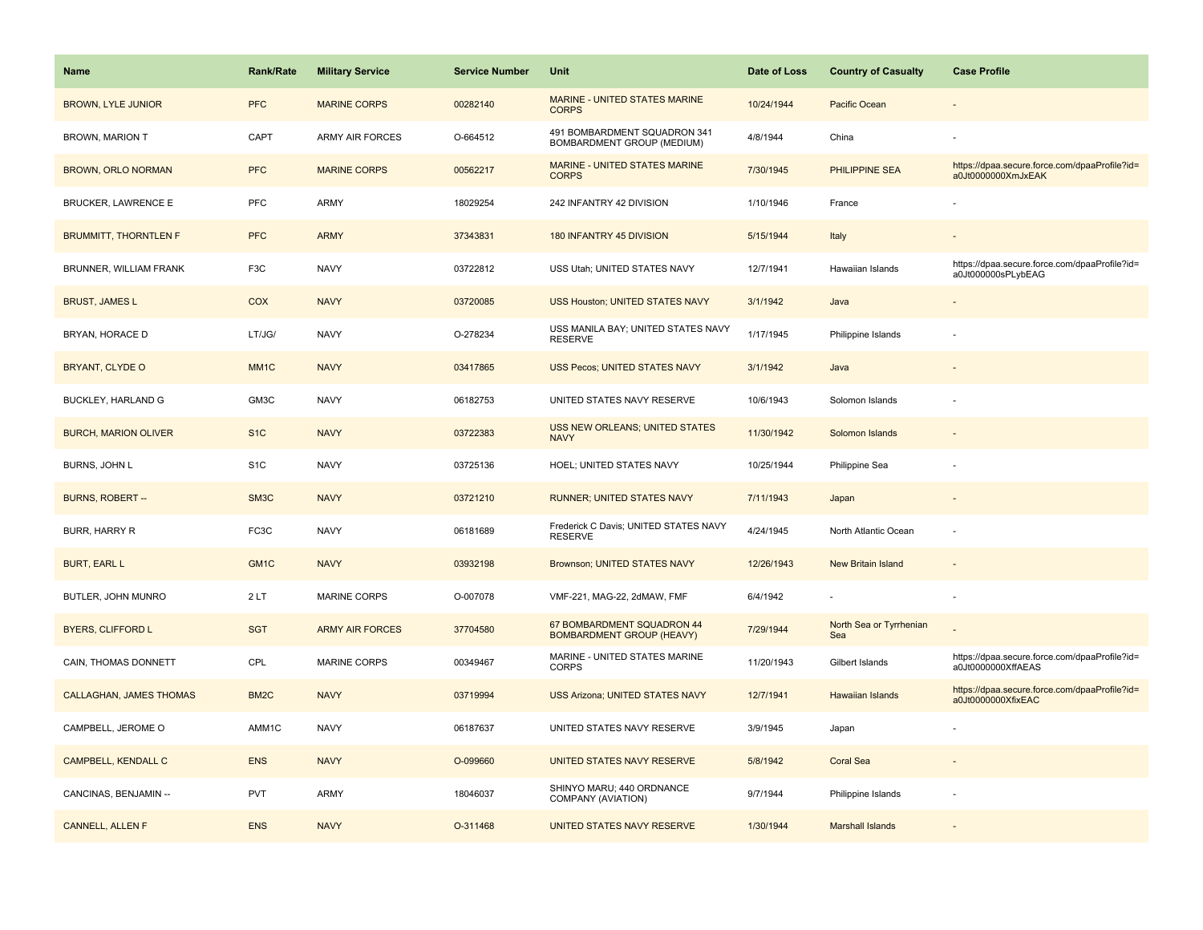| <b>Name</b>                    | <b>Rank/Rate</b>  | <b>Military Service</b> | <b>Service Number</b> | Unit                                                           | Date of Loss | <b>Country of Casualty</b>     | <b>Case Profile</b>                                                 |
|--------------------------------|-------------------|-------------------------|-----------------------|----------------------------------------------------------------|--------------|--------------------------------|---------------------------------------------------------------------|
| <b>BROWN, LYLE JUNIOR</b>      | <b>PFC</b>        | <b>MARINE CORPS</b>     | 00282140              | MARINE - UNITED STATES MARINE<br><b>CORPS</b>                  | 10/24/1944   | Pacific Ocean                  |                                                                     |
| <b>BROWN, MARION T</b>         | CAPT              | <b>ARMY AIR FORCES</b>  | O-664512              | 491 BOMBARDMENT SQUADRON 341<br>BOMBARDMENT GROUP (MEDIUM)     | 4/8/1944     | China                          |                                                                     |
| BROWN, ORLO NORMAN             | <b>PFC</b>        | <b>MARINE CORPS</b>     | 00562217              | MARINE - UNITED STATES MARINE<br><b>CORPS</b>                  | 7/30/1945    | PHILIPPINE SEA                 | https://dpaa.secure.force.com/dpaaProfile?id=<br>a0Jt0000000XmJxEAK |
| <b>BRUCKER, LAWRENCE E</b>     | PFC               | ARMY                    | 18029254              | 242 INFANTRY 42 DIVISION                                       | 1/10/1946    | France                         |                                                                     |
| <b>BRUMMITT, THORNTLEN F</b>   | <b>PFC</b>        | <b>ARMY</b>             | 37343831              | 180 INFANTRY 45 DIVISION                                       | 5/15/1944    | Italy                          |                                                                     |
| BRUNNER, WILLIAM FRANK         | F <sub>3</sub> C  | <b>NAVY</b>             | 03722812              | USS Utah; UNITED STATES NAVY                                   | 12/7/1941    | Hawaiian Islands               | https://dpaa.secure.force.com/dpaaProfile?id=<br>a0Jt000000sPLybEAG |
| <b>BRUST, JAMES L</b>          | <b>COX</b>        | <b>NAVY</b>             | 03720085              | <b>USS Houston; UNITED STATES NAVY</b>                         | 3/1/1942     | Java                           |                                                                     |
| BRYAN, HORACE D                | LT/JG/            | <b>NAVY</b>             | O-278234              | USS MANILA BAY; UNITED STATES NAVY<br><b>RESERVE</b>           | 1/17/1945    | Philippine Islands             |                                                                     |
| <b>BRYANT, CLYDE O</b>         | MM <sub>1</sub> C | <b>NAVY</b>             | 03417865              | <b>USS Pecos; UNITED STATES NAVY</b>                           | 3/1/1942     | Java                           |                                                                     |
| BUCKLEY, HARLAND G             | GM3C              | <b>NAVY</b>             | 06182753              | UNITED STATES NAVY RESERVE                                     | 10/6/1943    | Solomon Islands                |                                                                     |
| <b>BURCH, MARION OLIVER</b>    | S <sub>1</sub> C  | <b>NAVY</b>             | 03722383              | <b>USS NEW ORLEANS; UNITED STATES</b><br><b>NAVY</b>           | 11/30/1942   | Solomon Islands                |                                                                     |
| BURNS, JOHN L                  | S <sub>1</sub> C  | <b>NAVY</b>             | 03725136              | HOEL; UNITED STATES NAVY                                       | 10/25/1944   | Philippine Sea                 |                                                                     |
| <b>BURNS, ROBERT--</b>         | SM <sub>3</sub> C | <b>NAVY</b>             | 03721210              | <b>RUNNER; UNITED STATES NAVY</b>                              | 7/11/1943    | Japan                          |                                                                     |
| <b>BURR, HARRY R</b>           | FC3C              | <b>NAVY</b>             | 06181689              | Frederick C Davis; UNITED STATES NAVY<br><b>RESERVE</b>        | 4/24/1945    | North Atlantic Ocean           |                                                                     |
| <b>BURT, EARL L</b>            | GM <sub>1C</sub>  | <b>NAVY</b>             | 03932198              | Brownson; UNITED STATES NAVY                                   | 12/26/1943   | <b>New Britain Island</b>      |                                                                     |
| BUTLER, JOHN MUNRO             | 2LT               | MARINE CORPS            | O-007078              | VMF-221, MAG-22, 2dMAW, FMF                                    | 6/4/1942     | ä,                             |                                                                     |
| <b>BYERS, CLIFFORD L</b>       | <b>SGT</b>        | <b>ARMY AIR FORCES</b>  | 37704580              | 67 BOMBARDMENT SQUADRON 44<br><b>BOMBARDMENT GROUP (HEAVY)</b> | 7/29/1944    | North Sea or Tyrrhenian<br>Sea |                                                                     |
| CAIN, THOMAS DONNETT           | CPL               | MARINE CORPS            | 00349467              | MARINE - UNITED STATES MARINE<br><b>CORPS</b>                  | 11/20/1943   | Gilbert Islands                | https://dpaa.secure.force.com/dpaaProfile?id=<br>a0Jt0000000XffAEAS |
| <b>CALLAGHAN, JAMES THOMAS</b> | BM <sub>2</sub> C | <b>NAVY</b>             | 03719994              | <b>USS Arizona; UNITED STATES NAVY</b>                         | 12/7/1941    | <b>Hawaiian Islands</b>        | https://dpaa.secure.force.com/dpaaProfile?id=<br>a0Jt0000000XfixEAC |
| CAMPBELL, JEROME O             | AMM1C             | <b>NAVY</b>             | 06187637              | UNITED STATES NAVY RESERVE                                     | 3/9/1945     | Japan                          |                                                                     |
| <b>CAMPBELL, KENDALL C</b>     | <b>ENS</b>        | <b>NAVY</b>             | O-099660              | UNITED STATES NAVY RESERVE                                     | 5/8/1942     | <b>Coral Sea</b>               |                                                                     |
| CANCINAS, BENJAMIN --          | <b>PVT</b>        | <b>ARMY</b>             | 18046037              | SHINYO MARU; 440 ORDNANCE<br>COMPANY (AVIATION)                | 9/7/1944     | Philippine Islands             |                                                                     |
| <b>CANNELL, ALLEN F</b>        | <b>ENS</b>        | <b>NAVY</b>             | O-311468              | UNITED STATES NAVY RESERVE                                     | 1/30/1944    | <b>Marshall Islands</b>        |                                                                     |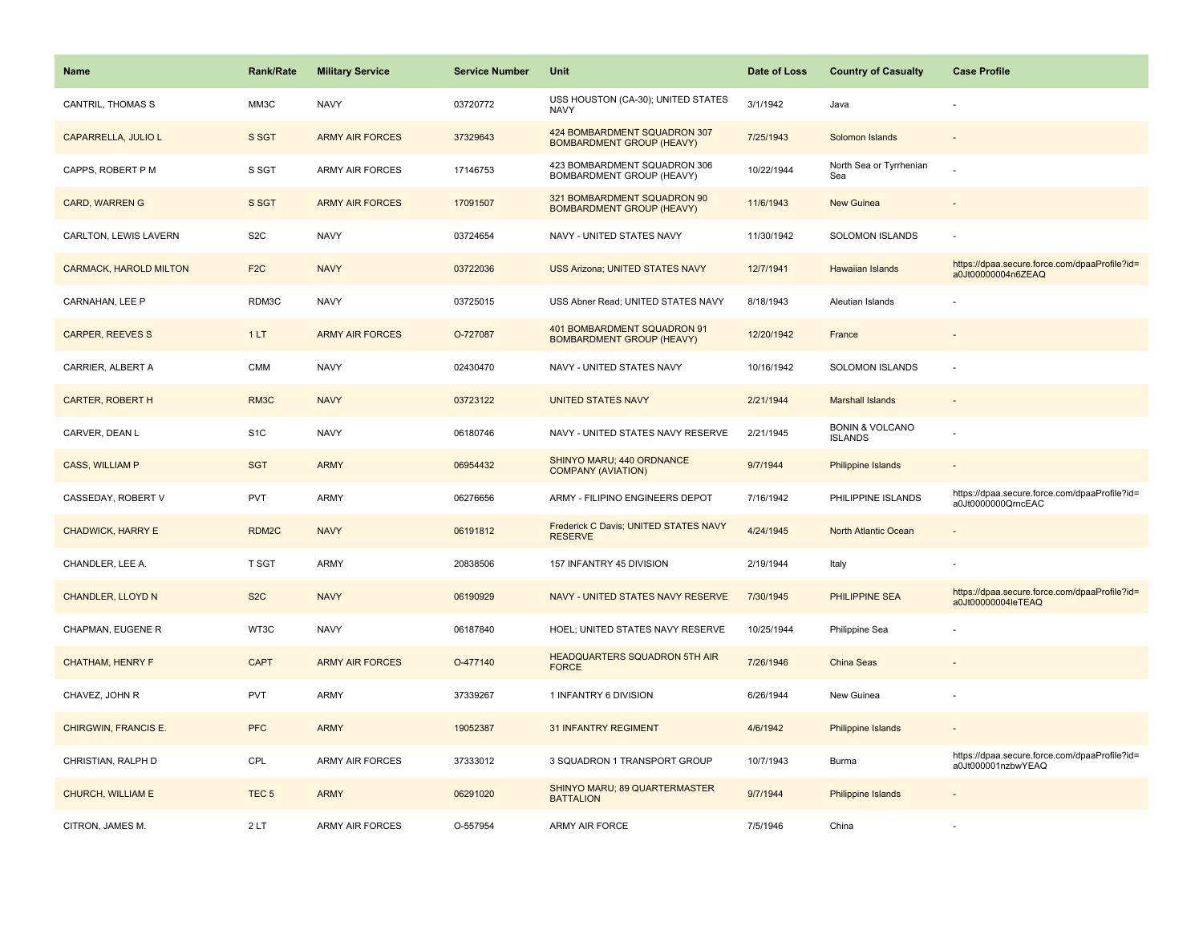| <b>Name</b>                   | <b>Rank/Rate</b>  | <b>Military Service</b> | <b>Service Number</b> | Unit                                                             | Date of Loss | <b>Country of Casualty</b>                   | <b>Case Profile</b>                                                 |
|-------------------------------|-------------------|-------------------------|-----------------------|------------------------------------------------------------------|--------------|----------------------------------------------|---------------------------------------------------------------------|
| <b>CANTRIL, THOMAS S</b>      | MM3C              | <b>NAVY</b>             | 03720772              | USS HOUSTON (CA-30); UNITED STATES<br><b>NAVY</b>                | 3/1/1942     | Java                                         |                                                                     |
| CAPARRELLA, JULIO L           | S SGT             | <b>ARMY AIR FORCES</b>  | 37329643              | 424 BOMBARDMENT SQUADRON 307<br><b>BOMBARDMENT GROUP (HEAVY)</b> | 7/25/1943    | Solomon Islands                              |                                                                     |
| CAPPS. ROBERT P M             | S SGT             | ARMY AIR FORCES         | 17146753              | 423 BOMBARDMENT SQUADRON 306<br>BOMBARDMENT GROUP (HEAVY)        | 10/22/1944   | North Sea or Tyrrhenian<br>Sea               |                                                                     |
| <b>CARD, WARREN G</b>         | S SGT             | <b>ARMY AIR FORCES</b>  | 17091507              | 321 BOMBARDMENT SQUADRON 90<br><b>BOMBARDMENT GROUP (HEAVY)</b>  | 11/6/1943    | <b>New Guinea</b>                            |                                                                     |
| CARLTON, LEWIS LAVERN         | S <sub>2</sub> C  | <b>NAVY</b>             | 03724654              | NAVY - UNITED STATES NAVY                                        | 11/30/1942   | <b>SOLOMON ISLANDS</b>                       |                                                                     |
| <b>CARMACK, HAROLD MILTON</b> | F <sub>2C</sub>   | <b>NAVY</b>             | 03722036              | <b>USS Arizona; UNITED STATES NAVY</b>                           | 12/7/1941    | <b>Hawaiian Islands</b>                      | https://dpaa.secure.force.com/dpaaProfile?id=<br>a0Jt00000004n6ZEAQ |
| CARNAHAN, LEE P               | RDM3C             | <b>NAVY</b>             | 03725015              | USS Abner Read; UNITED STATES NAVY                               | 8/18/1943    | Aleutian Islands                             |                                                                     |
| <b>CARPER, REEVES S</b>       | 1LT               | <b>ARMY AIR FORCES</b>  | O-727087              | 401 BOMBARDMENT SQUADRON 91<br><b>BOMBARDMENT GROUP (HEAVY)</b>  | 12/20/1942   | France                                       |                                                                     |
| CARRIER, ALBERT A             | <b>CMM</b>        | <b>NAVY</b>             | 02430470              | NAVY - UNITED STATES NAVY                                        | 10/16/1942   | SOLOMON ISLANDS                              |                                                                     |
| <b>CARTER, ROBERT H</b>       | RM3C              | <b>NAVY</b>             | 03723122              | <b>UNITED STATES NAVY</b>                                        | 2/21/1944    | <b>Marshall Islands</b>                      |                                                                     |
| CARVER, DEAN L                | S <sub>1</sub> C  | <b>NAVY</b>             | 06180746              | NAVY - UNITED STATES NAVY RESERVE                                | 2/21/1945    | <b>BONIN &amp; VOLCANO</b><br><b>ISLANDS</b> |                                                                     |
| <b>CASS, WILLIAM P</b>        | <b>SGT</b>        | <b>ARMY</b>             | 06954432              | SHINYO MARU; 440 ORDNANCE<br><b>COMPANY (AVIATION)</b>           | 9/7/1944     | Philippine Islands                           | $\sim$                                                              |
| CASSEDAY, ROBERT V            | <b>PVT</b>        | ARMY                    | 06276656              | ARMY - FILIPINO ENGINEERS DEPOT                                  | 7/16/1942    | PHILIPPINE ISLANDS                           | https://dpaa.secure.force.com/dpaaProfile?id=<br>a0Jt0000000QrncEAC |
| <b>CHADWICK, HARRY E</b>      | RDM <sub>2C</sub> | <b>NAVY</b>             | 06191812              | Frederick C Davis; UNITED STATES NAVY<br><b>RESERVE</b>          | 4/24/1945    | North Atlantic Ocean                         |                                                                     |
| CHANDLER, LEE A.              | T SGT             | ARMY                    | 20838506              | 157 INFANTRY 45 DIVISION                                         | 2/19/1944    | Italy                                        |                                                                     |
| <b>CHANDLER, LLOYD N</b>      | S <sub>2</sub> C  | <b>NAVY</b>             | 06190929              | NAVY - UNITED STATES NAVY RESERVE                                | 7/30/1945    | PHILIPPINE SEA                               | https://dpaa.secure.force.com/dpaaProfile?id=<br>a0Jt00000004leTEAQ |
| CHAPMAN, EUGENE R             | WT3C              | <b>NAVY</b>             | 06187840              | HOEL; UNITED STATES NAVY RESERVE                                 | 10/25/1944   | Philippine Sea                               |                                                                     |
| <b>CHATHAM, HENRY F</b>       | <b>CAPT</b>       | <b>ARMY AIR FORCES</b>  | O-477140              | <b>HEADQUARTERS SQUADRON 5TH AIR</b><br><b>FORCE</b>             | 7/26/1946    | China Seas                                   |                                                                     |
| CHAVEZ, JOHN R                | <b>PVT</b>        | <b>ARMY</b>             | 37339267              | 1 INFANTRY 6 DIVISION                                            | 6/26/1944    | New Guinea                                   |                                                                     |
| CHIRGWIN, FRANCIS E.          | <b>PFC</b>        | <b>ARMY</b>             | 19052387              | <b>31 INFANTRY REGIMENT</b>                                      | 4/6/1942     | Philippine Islands                           |                                                                     |
| CHRISTIAN, RALPH D            | CPL               | <b>ARMY AIR FORCES</b>  | 37333012              | 3 SQUADRON 1 TRANSPORT GROUP                                     | 10/7/1943    | Burma                                        | https://dpaa.secure.force.com/dpaaProfile?id=<br>a0Jt000001nzbwYEAQ |
| CHURCH, WILLIAM E             | TEC <sub>5</sub>  | <b>ARMY</b>             | 06291020              | SHINYO MARU; 89 QUARTERMASTER<br><b>BATTALION</b>                | 9/7/1944     | Philippine Islands                           |                                                                     |
| CITRON, JAMES M.              | 2LT               | <b>ARMY AIR FORCES</b>  | O-557954              | ARMY AIR FORCE                                                   | 7/5/1946     | China                                        |                                                                     |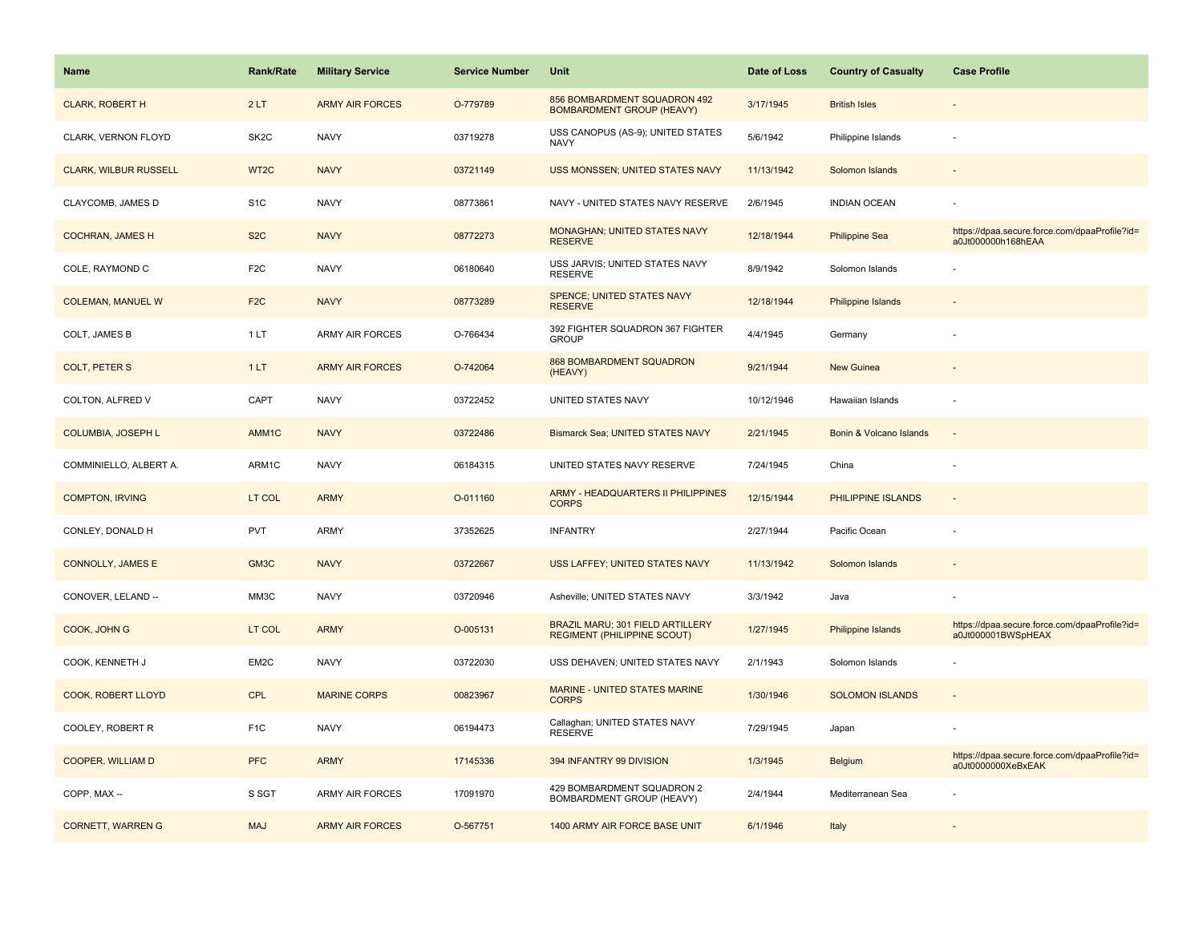| Name                         | <b>Rank/Rate</b>  | <b>Military Service</b> | <b>Service Number</b> | Unit                                                                   | Date of Loss | <b>Country of Casualty</b> | <b>Case Profile</b>                                                 |
|------------------------------|-------------------|-------------------------|-----------------------|------------------------------------------------------------------------|--------------|----------------------------|---------------------------------------------------------------------|
| <b>CLARK, ROBERT H</b>       | 2LT               | <b>ARMY AIR FORCES</b>  | O-779789              | 856 BOMBARDMENT SQUADRON 492<br><b>BOMBARDMENT GROUP (HEAVY)</b>       | 3/17/1945    | <b>British Isles</b>       |                                                                     |
| CLARK, VERNON FLOYD          | SK <sub>2</sub> C | <b>NAVY</b>             | 03719278              | USS CANOPUS (AS-9); UNITED STATES<br><b>NAVY</b>                       | 5/6/1942     | Philippine Islands         |                                                                     |
| <b>CLARK, WILBUR RUSSELL</b> | WT <sub>2</sub> C | <b>NAVY</b>             | 03721149              | USS MONSSEN; UNITED STATES NAVY                                        | 11/13/1942   | Solomon Islands            |                                                                     |
| CLAYCOMB, JAMES D            | S <sub>1</sub> C  | <b>NAVY</b>             | 08773861              | NAVY - UNITED STATES NAVY RESERVE                                      | 2/6/1945     | <b>INDIAN OCEAN</b>        |                                                                     |
| <b>COCHRAN, JAMES H</b>      | S <sub>2</sub> C  | <b>NAVY</b>             | 08772273              | MONAGHAN; UNITED STATES NAVY<br><b>RESERVE</b>                         | 12/18/1944   | <b>Philippine Sea</b>      | https://dpaa.secure.force.com/dpaaProfile?id=<br>a0Jt000000h168hEAA |
| COLE, RAYMOND C              | F <sub>2</sub> C  | <b>NAVY</b>             | 06180640              | USS JARVIS; UNITED STATES NAVY<br><b>RESERVE</b>                       | 8/9/1942     | Solomon Islands            |                                                                     |
| <b>COLEMAN, MANUEL W</b>     | F <sub>2</sub> C  | <b>NAVY</b>             | 08773289              | SPENCE; UNITED STATES NAVY<br><b>RESERVE</b>                           | 12/18/1944   | Philippine Islands         |                                                                     |
| COLT, JAMES B                | 1LT               | <b>ARMY AIR FORCES</b>  | O-766434              | 392 FIGHTER SQUADRON 367 FIGHTER<br><b>GROUP</b>                       | 4/4/1945     | Germany                    |                                                                     |
| <b>COLT, PETER S</b>         | 1LT               | <b>ARMY AIR FORCES</b>  | O-742064              | 868 BOMBARDMENT SQUADRON<br>(HEAVY)                                    | 9/21/1944    | <b>New Guinea</b>          |                                                                     |
| COLTON, ALFRED V             | CAPT              | <b>NAVY</b>             | 03722452              | UNITED STATES NAVY                                                     | 10/12/1946   | Hawaiian Islands           |                                                                     |
| <b>COLUMBIA, JOSEPH L</b>    | AMM1C             | <b>NAVY</b>             | 03722486              | <b>Bismarck Sea: UNITED STATES NAVY</b>                                | 2/21/1945    | Bonin & Volcano Islands    |                                                                     |
| COMMINIELLO, ALBERT A.       | ARM1C             | <b>NAVY</b>             | 06184315              | UNITED STATES NAVY RESERVE                                             | 7/24/1945    | China                      |                                                                     |
| <b>COMPTON, IRVING</b>       | LT COL            | <b>ARMY</b>             | O-011160              | ARMY - HEADQUARTERS II PHILIPPINES<br><b>CORPS</b>                     | 12/15/1944   | PHILIPPINE ISLANDS         |                                                                     |
| CONLEY, DONALD H             | <b>PVT</b>        | <b>ARMY</b>             | 37352625              | <b>INFANTRY</b>                                                        | 2/27/1944    | Pacific Ocean              |                                                                     |
| <b>CONNOLLY, JAMES E</b>     | GM3C              | <b>NAVY</b>             | 03722667              | USS LAFFEY; UNITED STATES NAVY                                         | 11/13/1942   | Solomon Islands            |                                                                     |
| CONOVER, LELAND --           | MM3C              | <b>NAVY</b>             | 03720946              | Asheville; UNITED STATES NAVY                                          | 3/3/1942     | Java                       |                                                                     |
| COOK, JOHN G                 | LT COL            | <b>ARMY</b>             | O-005131              | BRAZIL MARU; 301 FIELD ARTILLERY<br><b>REGIMENT (PHILIPPINE SCOUT)</b> | 1/27/1945    | Philippine Islands         | https://dpaa.secure.force.com/dpaaProfile?id=<br>a0Jt000001BWSpHEAX |
| COOK, KENNETH J              | EM2C              | <b>NAVY</b>             | 03722030              | USS DEHAVEN; UNITED STATES NAVY                                        | 2/1/1943     | Solomon Islands            |                                                                     |
| COOK, ROBERT LLOYD           | <b>CPL</b>        | <b>MARINE CORPS</b>     | 00823967              | MARINE - UNITED STATES MARINE<br><b>CORPS</b>                          | 1/30/1946    | <b>SOLOMON ISLANDS</b>     |                                                                     |
| COOLEY, ROBERT R             | F <sub>1</sub> C  | <b>NAVY</b>             | 06194473              | Callaghan; UNITED STATES NAVY<br><b>RESERVE</b>                        | 7/29/1945    | Japan                      |                                                                     |
| COOPER, WILLIAM D            | <b>PFC</b>        | <b>ARMY</b>             | 17145336              | 394 INFANTRY 99 DIVISION                                               | 1/3/1945     | Belgium                    | https://dpaa.secure.force.com/dpaaProfile?id=<br>a0Jt0000000XeBxEAK |
| COPP, MAX --                 | S SGT             | <b>ARMY AIR FORCES</b>  | 17091970              | 429 BOMBARDMENT SQUADRON 2<br>BOMBARDMENT GROUP (HEAVY)                | 2/4/1944     | Mediterranean Sea          |                                                                     |
| <b>CORNETT, WARREN G</b>     | <b>MAJ</b>        | <b>ARMY AIR FORCES</b>  | O-567751              | 1400 ARMY AIR FORCE BASE UNIT                                          | 6/1/1946     | Italy                      |                                                                     |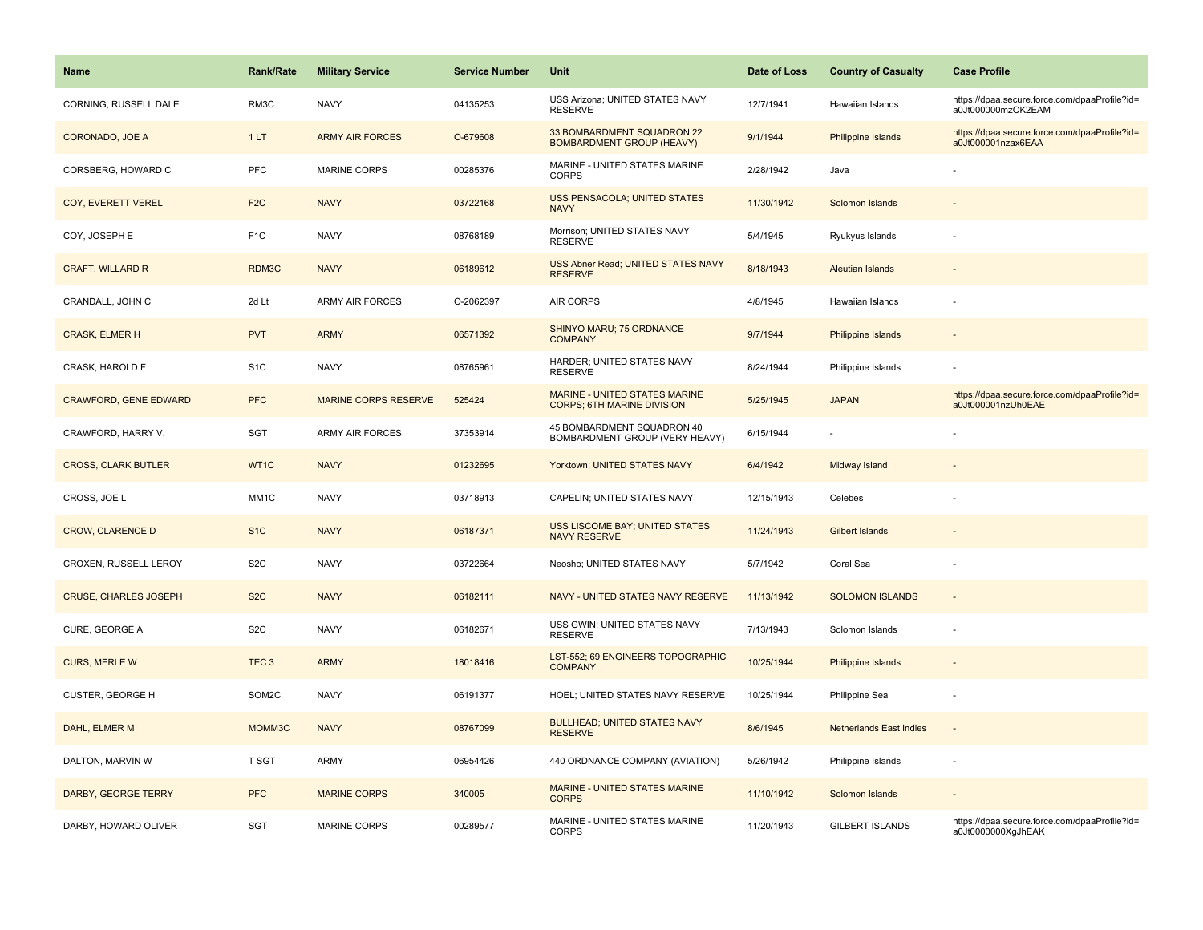| Name                         | <b>Rank/Rate</b> | <b>Military Service</b>     | <b>Service Number</b> | Unit                                                               | Date of Loss | <b>Country of Casualty</b>     | <b>Case Profile</b>                                                 |
|------------------------------|------------------|-----------------------------|-----------------------|--------------------------------------------------------------------|--------------|--------------------------------|---------------------------------------------------------------------|
| CORNING, RUSSELL DALE        | RM3C             | <b>NAVY</b>                 | 04135253              | USS Arizona; UNITED STATES NAVY<br><b>RESERVE</b>                  | 12/7/1941    | Hawaiian Islands               | https://dpaa.secure.force.com/dpaaProfile?id=<br>a0Jt000000mzOK2EAM |
| CORONADO, JOE A              | 1LT              | <b>ARMY AIR FORCES</b>      | O-679608              | 33 BOMBARDMENT SQUADRON 22<br><b>BOMBARDMENT GROUP (HEAVY)</b>     | 9/1/1944     | <b>Philippine Islands</b>      | https://dpaa.secure.force.com/dpaaProfile?id=<br>a0Jt000001nzax6EAA |
| CORSBERG, HOWARD C           | PFC              | MARINE CORPS                | 00285376              | MARINE - UNITED STATES MARINE<br><b>CORPS</b>                      | 2/28/1942    | Java                           |                                                                     |
| COY, EVERETT VEREL           | F <sub>2C</sub>  | <b>NAVY</b>                 | 03722168              | USS PENSACOLA; UNITED STATES<br><b>NAVY</b>                        | 11/30/1942   | Solomon Islands                |                                                                     |
| COY, JOSEPH E                | F <sub>1</sub> C | <b>NAVY</b>                 | 08768189              | Morrison; UNITED STATES NAVY<br><b>RESERVE</b>                     | 5/4/1945     | Ryukyus Islands                |                                                                     |
| <b>CRAFT, WILLARD R</b>      | RDM3C            | <b>NAVY</b>                 | 06189612              | USS Abner Read; UNITED STATES NAVY<br><b>RESERVE</b>               | 8/18/1943    | <b>Aleutian Islands</b>        | $\overline{a}$                                                      |
| CRANDALL, JOHN C             | 2d Lt            | <b>ARMY AIR FORCES</b>      | O-2062397             | AIR CORPS                                                          | 4/8/1945     | Hawaiian Islands               |                                                                     |
| <b>CRASK, ELMER H</b>        | <b>PVT</b>       | <b>ARMY</b>                 | 06571392              | SHINYO MARU; 75 ORDNANCE<br><b>COMPANY</b>                         | 9/7/1944     | <b>Philippine Islands</b>      |                                                                     |
| CRASK, HAROLD F              | S <sub>1</sub> C | <b>NAVY</b>                 | 08765961              | HARDER; UNITED STATES NAVY<br><b>RESERVE</b>                       | 8/24/1944    | Philippine Islands             |                                                                     |
| <b>CRAWFORD, GENE EDWARD</b> | <b>PFC</b>       | <b>MARINE CORPS RESERVE</b> | 525424                | MARINE - UNITED STATES MARINE<br><b>CORPS; 6TH MARINE DIVISION</b> | 5/25/1945    | <b>JAPAN</b>                   | https://dpaa.secure.force.com/dpaaProfile?id=<br>a0Jt000001nzUh0EAE |
| CRAWFORD, HARRY V.           | SGT              | <b>ARMY AIR FORCES</b>      | 37353914              | 45 BOMBARDMENT SQUADRON 40<br>BOMBARDMENT GROUP (VERY HEAVY)       | 6/15/1944    |                                |                                                                     |
| <b>CROSS, CLARK BUTLER</b>   | WT1C             | <b>NAVY</b>                 | 01232695              | Yorktown; UNITED STATES NAVY                                       | 6/4/1942     | Midway Island                  |                                                                     |
| CROSS, JOE L                 | MM1C             | <b>NAVY</b>                 | 03718913              | CAPELIN; UNITED STATES NAVY                                        | 12/15/1943   | Celebes                        |                                                                     |
| <b>CROW, CLARENCE D</b>      | S <sub>1</sub> C | <b>NAVY</b>                 | 06187371              | <b>USS LISCOME BAY; UNITED STATES</b><br><b>NAVY RESERVE</b>       | 11/24/1943   | Gilbert Islands                |                                                                     |
| CROXEN, RUSSELL LEROY        | S <sub>2</sub> C | <b>NAVY</b>                 | 03722664              | Neosho; UNITED STATES NAVY                                         | 5/7/1942     | Coral Sea                      |                                                                     |
| <b>CRUSE, CHARLES JOSEPH</b> | S <sub>2</sub> C | <b>NAVY</b>                 | 06182111              | NAVY - UNITED STATES NAVY RESERVE                                  | 11/13/1942   | <b>SOLOMON ISLANDS</b>         | $\sim$                                                              |
| CURE, GEORGE A               | S <sub>2</sub> C | <b>NAVY</b>                 | 06182671              | USS GWIN; UNITED STATES NAVY<br><b>RESERVE</b>                     | 7/13/1943    | Solomon Islands                |                                                                     |
| <b>CURS, MERLE W</b>         | TEC <sub>3</sub> | <b>ARMY</b>                 | 18018416              | LST-552; 69 ENGINEERS TOPOGRAPHIC<br><b>COMPANY</b>                | 10/25/1944   | <b>Philippine Islands</b>      |                                                                     |
| CUSTER, GEORGE H             | SOM2C            | <b>NAVY</b>                 | 06191377              | HOEL; UNITED STATES NAVY RESERVE                                   | 10/25/1944   | Philippine Sea                 |                                                                     |
| DAHL, ELMER M                | MOMM3C           | <b>NAVY</b>                 | 08767099              | <b>BULLHEAD; UNITED STATES NAVY</b><br><b>RESERVE</b>              | 8/6/1945     | <b>Netherlands East Indies</b> | $\sim$                                                              |
| DALTON, MARVIN W             | T SGT            | <b>ARMY</b>                 | 06954426              | 440 ORDNANCE COMPANY (AVIATION)                                    | 5/26/1942    | Philippine Islands             | $\overline{\phantom{a}}$                                            |
| DARBY, GEORGE TERRY          | <b>PFC</b>       | <b>MARINE CORPS</b>         | 340005                | MARINE - UNITED STATES MARINE<br><b>CORPS</b>                      | 11/10/1942   | Solomon Islands                |                                                                     |
| DARBY, HOWARD OLIVER         | SGT              | <b>MARINE CORPS</b>         | 00289577              | MARINE - UNITED STATES MARINE<br><b>CORPS</b>                      | 11/20/1943   | <b>GILBERT ISLANDS</b>         | https://dpaa.secure.force.com/dpaaProfile?id=<br>a0Jt0000000XgJhEAK |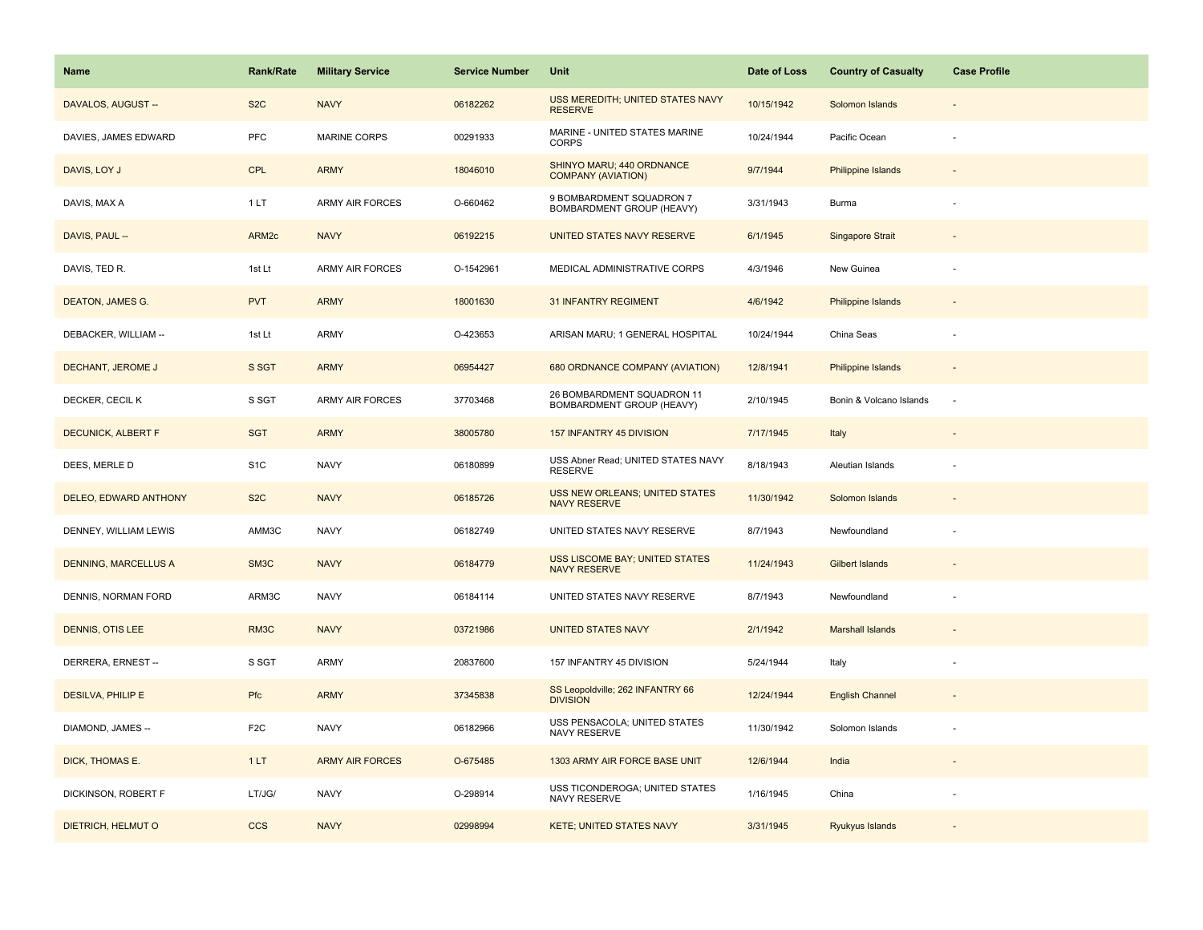| Name                        | <b>Rank/Rate</b>  | <b>Military Service</b> | <b>Service Number</b> | Unit                                                         | Date of Loss | <b>Country of Casualty</b> | <b>Case Profile</b> |
|-----------------------------|-------------------|-------------------------|-----------------------|--------------------------------------------------------------|--------------|----------------------------|---------------------|
| DAVALOS, AUGUST --          | S <sub>2</sub> C  | <b>NAVY</b>             | 06182262              | USS MEREDITH; UNITED STATES NAVY<br><b>RESERVE</b>           | 10/15/1942   | Solomon Islands            |                     |
| DAVIES, JAMES EDWARD        | PFC               | <b>MARINE CORPS</b>     | 00291933              | MARINE - UNITED STATES MARINE<br><b>CORPS</b>                | 10/24/1944   | Pacific Ocean              |                     |
| DAVIS, LOY J                | CPL               | <b>ARMY</b>             | 18046010              | SHINYO MARU; 440 ORDNANCE<br><b>COMPANY (AVIATION)</b>       | 9/7/1944     | <b>Philippine Islands</b>  |                     |
| DAVIS, MAX A                | 1LT               | <b>ARMY AIR FORCES</b>  | O-660462              | 9 BOMBARDMENT SQUADRON 7<br>BOMBARDMENT GROUP (HEAVY)        | 3/31/1943    | Burma                      |                     |
| DAVIS, PAUL --              | ARM <sub>2c</sub> | <b>NAVY</b>             | 06192215              | UNITED STATES NAVY RESERVE                                   | 6/1/1945     | Singapore Strait           |                     |
| DAVIS, TED R.               | 1st Lt            | <b>ARMY AIR FORCES</b>  | O-1542961             | MEDICAL ADMINISTRATIVE CORPS                                 | 4/3/1946     | New Guinea                 |                     |
| DEATON, JAMES G.            | <b>PVT</b>        | <b>ARMY</b>             | 18001630              | <b>31 INFANTRY REGIMENT</b>                                  | 4/6/1942     | Philippine Islands         | $\sim$              |
| DEBACKER, WILLIAM --        | 1st Lt            | ARMY                    | O-423653              | ARISAN MARU; 1 GENERAL HOSPITAL                              | 10/24/1944   | China Seas                 |                     |
| DECHANT, JEROME J           | S SGT             | <b>ARMY</b>             | 06954427              | 680 ORDNANCE COMPANY (AVIATION)                              | 12/8/1941    | Philippine Islands         |                     |
| DECKER, CECIL K             | S SGT             | <b>ARMY AIR FORCES</b>  | 37703468              | 26 BOMBARDMENT SQUADRON 11<br>BOMBARDMENT GROUP (HEAVY)      | 2/10/1945    | Bonin & Volcano Islands    | $\sim$              |
| <b>DECUNICK, ALBERT F</b>   | <b>SGT</b>        | <b>ARMY</b>             | 38005780              | 157 INFANTRY 45 DIVISION                                     | 7/17/1945    | Italy                      |                     |
| DEES, MERLE D               | S <sub>1</sub> C  | <b>NAVY</b>             | 06180899              | USS Abner Read; UNITED STATES NAVY<br><b>RESERVE</b>         | 8/18/1943    | Aleutian Islands           |                     |
| DELEO, EDWARD ANTHONY       | S <sub>2</sub> C  | <b>NAVY</b>             | 06185726              | <b>USS NEW ORLEANS; UNITED STATES</b><br><b>NAVY RESERVE</b> | 11/30/1942   | Solomon Islands            |                     |
| DENNEY, WILLIAM LEWIS       | AMM3C             | <b>NAVY</b>             | 06182749              | UNITED STATES NAVY RESERVE                                   | 8/7/1943     | Newfoundland               |                     |
| <b>DENNING, MARCELLUS A</b> | SM3C              | <b>NAVY</b>             | 06184779              | USS LISCOME BAY; UNITED STATES<br><b>NAVY RESERVE</b>        | 11/24/1943   | <b>Gilbert Islands</b>     |                     |
| DENNIS, NORMAN FORD         | ARM3C             | <b>NAVY</b>             | 06184114              | UNITED STATES NAVY RESERVE                                   | 8/7/1943     | Newfoundland               |                     |
| <b>DENNIS, OTIS LEE</b>     | RM3C              | <b>NAVY</b>             | 03721986              | <b>UNITED STATES NAVY</b>                                    | 2/1/1942     | <b>Marshall Islands</b>    |                     |
| DERRERA, ERNEST --          | S SGT             | ARMY                    | 20837600              | 157 INFANTRY 45 DIVISION                                     | 5/24/1944    | Italy                      |                     |
| <b>DESILVA, PHILIP E</b>    | Pfc               | <b>ARMY</b>             | 37345838              | SS Leopoldville; 262 INFANTRY 66<br><b>DIVISION</b>          | 12/24/1944   | <b>English Channel</b>     |                     |
| DIAMOND, JAMES --           | F <sub>2</sub> C  | <b>NAVY</b>             | 06182966              | USS PENSACOLA; UNITED STATES<br>NAVY RESERVE                 | 11/30/1942   | Solomon Islands            |                     |
| DICK, THOMAS E.             | 1LT               | <b>ARMY AIR FORCES</b>  | O-675485              | 1303 ARMY AIR FORCE BASE UNIT                                | 12/6/1944    | India                      |                     |
| DICKINSON, ROBERT F         | LT/JG/            | <b>NAVY</b>             | O-298914              | USS TICONDEROGA; UNITED STATES<br>NAVY RESERVE               | 1/16/1945    | China                      |                     |
| DIETRICH, HELMUT O          | <b>CCS</b>        | <b>NAVY</b>             | 02998994              | <b>KETE; UNITED STATES NAVY</b>                              | 3/31/1945    | Ryukyus Islands            |                     |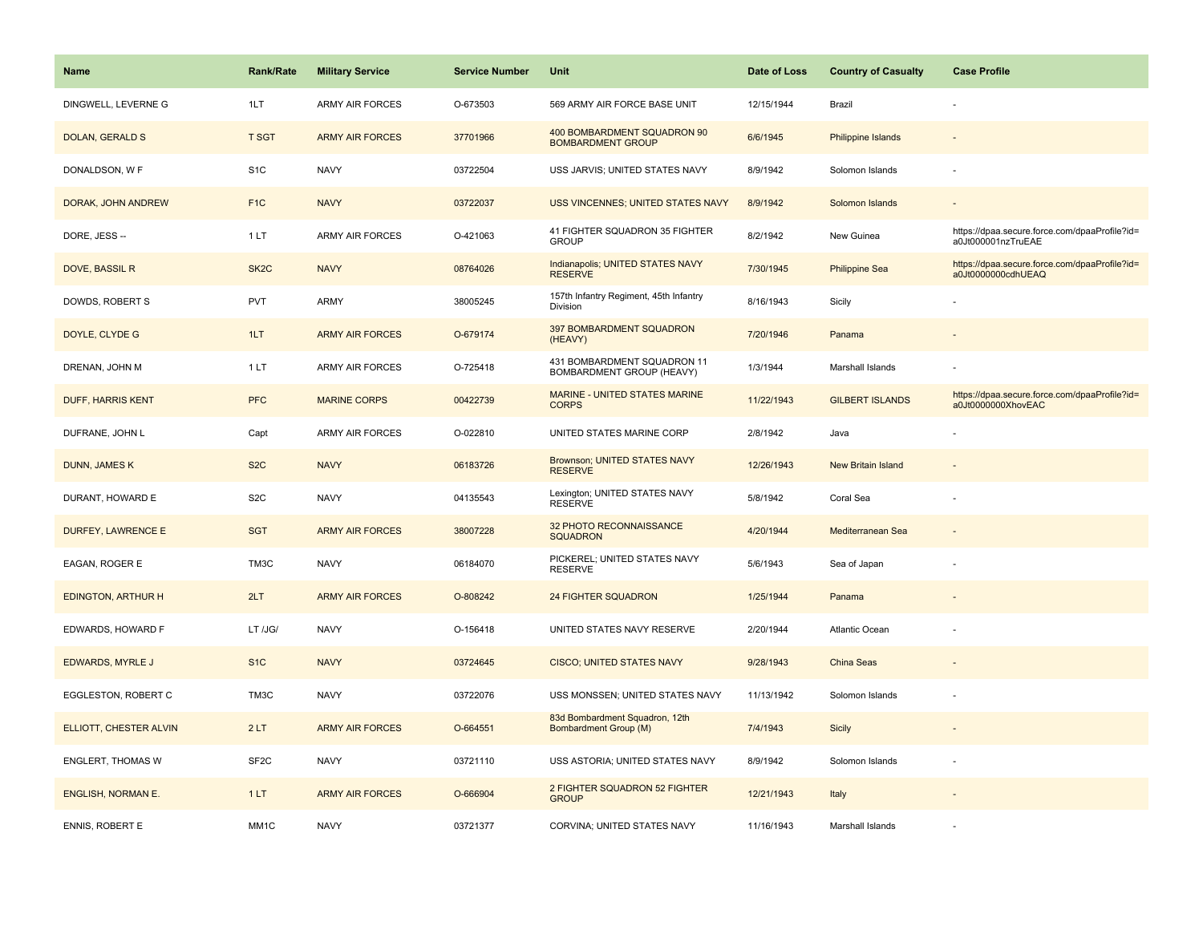| <b>Name</b>               | <b>Rank/Rate</b>  | <b>Military Service</b> | <b>Service Number</b> | Unit                                                     | Date of Loss | <b>Country of Casualty</b> | <b>Case Profile</b>                                                 |
|---------------------------|-------------------|-------------------------|-----------------------|----------------------------------------------------------|--------------|----------------------------|---------------------------------------------------------------------|
| DINGWELL, LEVERNE G       | 1LT               | <b>ARMY AIR FORCES</b>  | O-673503              | 569 ARMY AIR FORCE BASE UNIT                             | 12/15/1944   | Brazil                     |                                                                     |
| DOLAN, GERALD S           | <b>T SGT</b>      | <b>ARMY AIR FORCES</b>  | 37701966              | 400 BOMBARDMENT SQUADRON 90<br><b>BOMBARDMENT GROUP</b>  | 6/6/1945     | <b>Philippine Islands</b>  |                                                                     |
| DONALDSON, W F            | S <sub>1</sub> C  | <b>NAVY</b>             | 03722504              | USS JARVIS; UNITED STATES NAVY                           | 8/9/1942     | Solomon Islands            |                                                                     |
| DORAK, JOHN ANDREW        | F <sub>1C</sub>   | <b>NAVY</b>             | 03722037              | <b>USS VINCENNES; UNITED STATES NAVY</b>                 | 8/9/1942     | Solomon Islands            |                                                                     |
| DORE, JESS --             | 1LT               | <b>ARMY AIR FORCES</b>  | O-421063              | 41 FIGHTER SQUADRON 35 FIGHTER<br><b>GROUP</b>           | 8/2/1942     | New Guinea                 | https://dpaa.secure.force.com/dpaaProfile?id=<br>a0Jt000001nzTruEAE |
| <b>DOVE, BASSIL R</b>     | SK <sub>2</sub> C | <b>NAVY</b>             | 08764026              | Indianapolis; UNITED STATES NAVY<br><b>RESERVE</b>       | 7/30/1945    | <b>Philippine Sea</b>      | https://dpaa.secure.force.com/dpaaProfile?id=<br>a0Jt0000000cdhUEAQ |
| DOWDS, ROBERT S           | <b>PVT</b>        | <b>ARMY</b>             | 38005245              | 157th Infantry Regiment, 45th Infantry<br>Division       | 8/16/1943    | Sicily                     |                                                                     |
| DOYLE, CLYDE G            | 1LT               | <b>ARMY AIR FORCES</b>  | O-679174              | 397 BOMBARDMENT SQUADRON<br>(HEAVY)                      | 7/20/1946    | Panama                     |                                                                     |
| DRENAN, JOHN M            | 1LT               | <b>ARMY AIR FORCES</b>  | O-725418              | 431 BOMBARDMENT SQUADRON 11<br>BOMBARDMENT GROUP (HEAVY) | 1/3/1944     | Marshall Islands           |                                                                     |
| <b>DUFF, HARRIS KENT</b>  | <b>PFC</b>        | <b>MARINE CORPS</b>     | 00422739              | MARINE - UNITED STATES MARINE<br><b>CORPS</b>            | 11/22/1943   | <b>GILBERT ISLANDS</b>     | https://dpaa.secure.force.com/dpaaProfile?id=<br>a0Jt0000000XhovEAC |
| DUFRANE, JOHN L           | Capt              | <b>ARMY AIR FORCES</b>  | O-022810              | UNITED STATES MARINE CORP                                | 2/8/1942     | Java                       |                                                                     |
| <b>DUNN, JAMES K</b>      | S <sub>2</sub> C  | <b>NAVY</b>             | 06183726              | Brownson; UNITED STATES NAVY<br><b>RESERVE</b>           | 12/26/1943   | <b>New Britain Island</b>  |                                                                     |
| DURANT, HOWARD E          | S <sub>2</sub> C  | <b>NAVY</b>             | 04135543              | Lexington; UNITED STATES NAVY<br><b>RESERVE</b>          | 5/8/1942     | Coral Sea                  |                                                                     |
| <b>DURFEY, LAWRENCE E</b> | <b>SGT</b>        | <b>ARMY AIR FORCES</b>  | 38007228              | 32 PHOTO RECONNAISSANCE<br><b>SQUADRON</b>               | 4/20/1944    | Mediterranean Sea          |                                                                     |
| EAGAN, ROGER E            | TM3C              | <b>NAVY</b>             | 06184070              | PICKEREL; UNITED STATES NAVY<br><b>RESERVE</b>           | 5/6/1943     | Sea of Japan               |                                                                     |
| <b>EDINGTON, ARTHUR H</b> | 2LT               | <b>ARMY AIR FORCES</b>  | O-808242              | <b>24 FIGHTER SQUADRON</b>                               | 1/25/1944    | Panama                     |                                                                     |
| EDWARDS, HOWARD F         | LT /JG/           | <b>NAVY</b>             | O-156418              | UNITED STATES NAVY RESERVE                               | 2/20/1944    | <b>Atlantic Ocean</b>      |                                                                     |
| EDWARDS, MYRLE J          | S <sub>1</sub> C  | <b>NAVY</b>             | 03724645              | <b>CISCO; UNITED STATES NAVY</b>                         | 9/28/1943    | China Seas                 |                                                                     |
| EGGLESTON, ROBERT C       | TM3C              | <b>NAVY</b>             | 03722076              | USS MONSSEN; UNITED STATES NAVY                          | 11/13/1942   | Solomon Islands            |                                                                     |
| ELLIOTT, CHESTER ALVIN    | 2LT               | <b>ARMY AIR FORCES</b>  | O-664551              | 83d Bombardment Squadron, 12th<br>Bombardment Group (M)  | 7/4/1943     | Sicily                     |                                                                     |
| <b>ENGLERT, THOMAS W</b>  | SF <sub>2</sub> C | <b>NAVY</b>             | 03721110              | USS ASTORIA; UNITED STATES NAVY                          | 8/9/1942     | Solomon Islands            |                                                                     |
| <b>ENGLISH, NORMAN E.</b> | 1LT               | <b>ARMY AIR FORCES</b>  | O-666904              | 2 FIGHTER SQUADRON 52 FIGHTER<br><b>GROUP</b>            | 12/21/1943   | Italy                      |                                                                     |
| <b>ENNIS, ROBERT E</b>    | MM <sub>1</sub> C | <b>NAVY</b>             | 03721377              | CORVINA; UNITED STATES NAVY                              | 11/16/1943   | Marshall Islands           |                                                                     |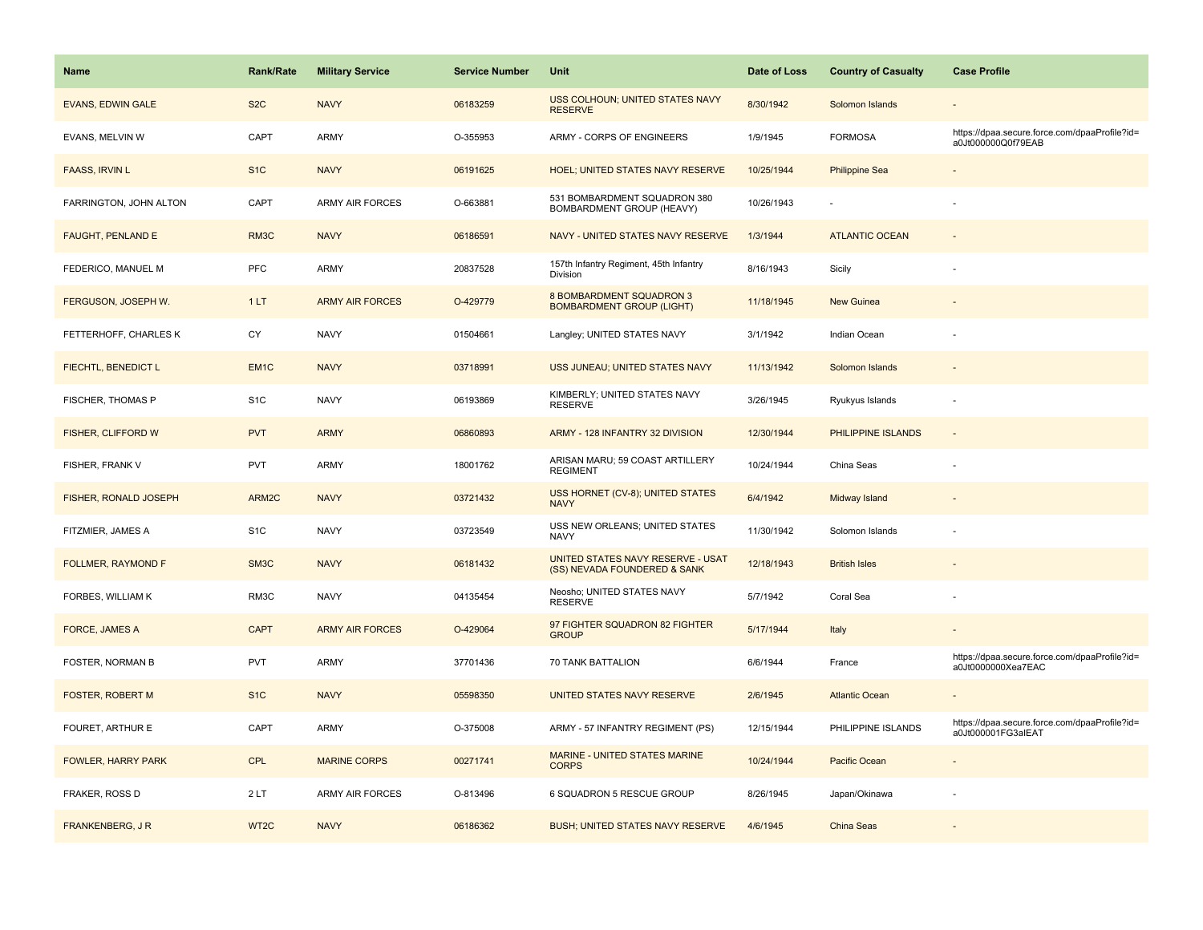| <b>Name</b>                | <b>Rank/Rate</b>  | <b>Military Service</b> | <b>Service Number</b> | Unit                                                              | Date of Loss | <b>Country of Casualty</b> | <b>Case Profile</b>                                                 |
|----------------------------|-------------------|-------------------------|-----------------------|-------------------------------------------------------------------|--------------|----------------------------|---------------------------------------------------------------------|
| <b>EVANS, EDWIN GALE</b>   | S <sub>2</sub> C  | <b>NAVY</b>             | 06183259              | USS COLHOUN; UNITED STATES NAVY<br><b>RESERVE</b>                 | 8/30/1942    | Solomon Islands            |                                                                     |
| EVANS, MELVIN W            | CAPT              | ARMY                    | O-355953              | ARMY - CORPS OF ENGINEERS                                         | 1/9/1945     | <b>FORMOSA</b>             | https://dpaa.secure.force.com/dpaaProfile?id=<br>a0Jt000000Q0f79EAB |
| <b>FAASS, IRVIN L</b>      | S <sub>1</sub> C  | <b>NAVY</b>             | 06191625              | <b>HOEL; UNITED STATES NAVY RESERVE</b>                           | 10/25/1944   | <b>Philippine Sea</b>      |                                                                     |
| FARRINGTON, JOHN ALTON     | CAPT              | <b>ARMY AIR FORCES</b>  | O-663881              | 531 BOMBARDMENT SQUADRON 380<br>BOMBARDMENT GROUP (HEAVY)         | 10/26/1943   |                            |                                                                     |
| <b>FAUGHT, PENLAND E</b>   | RM3C              | <b>NAVY</b>             | 06186591              | NAVY - UNITED STATES NAVY RESERVE                                 | 1/3/1944     | <b>ATLANTIC OCEAN</b>      |                                                                     |
| FEDERICO, MANUEL M         | <b>PFC</b>        | ARMY                    | 20837528              | 157th Infantry Regiment, 45th Infantry<br>Division                | 8/16/1943    | Sicily                     |                                                                     |
| FERGUSON, JOSEPH W.        | 1LT               | <b>ARMY AIR FORCES</b>  | O-429779              | 8 BOMBARDMENT SQUADRON 3<br><b>BOMBARDMENT GROUP (LIGHT)</b>      | 11/18/1945   | New Guinea                 |                                                                     |
| FETTERHOFF, CHARLES K      | CY                | <b>NAVY</b>             | 01504661              | Langley; UNITED STATES NAVY                                       | 3/1/1942     | Indian Ocean               |                                                                     |
| <b>FIECHTL, BENEDICT L</b> | EM <sub>1</sub> C | <b>NAVY</b>             | 03718991              | USS JUNEAU; UNITED STATES NAVY                                    | 11/13/1942   | Solomon Islands            |                                                                     |
| FISCHER, THOMAS P          | S <sub>1</sub> C  | <b>NAVY</b>             | 06193869              | KIMBERLY; UNITED STATES NAVY<br><b>RESERVE</b>                    | 3/26/1945    | Ryukyus Islands            |                                                                     |
| FISHER, CLIFFORD W         | <b>PVT</b>        | <b>ARMY</b>             | 06860893              | ARMY - 128 INFANTRY 32 DIVISION                                   | 12/30/1944   | PHILIPPINE ISLANDS         |                                                                     |
| FISHER, FRANK V            | <b>PVT</b>        | <b>ARMY</b>             | 18001762              | ARISAN MARU; 59 COAST ARTILLERY<br><b>REGIMENT</b>                | 10/24/1944   | China Seas                 |                                                                     |
| FISHER, RONALD JOSEPH      | ARM2C             | <b>NAVY</b>             | 03721432              | USS HORNET (CV-8); UNITED STATES<br><b>NAVY</b>                   | 6/4/1942     | Midway Island              |                                                                     |
| FITZMIER, JAMES A          | S <sub>1</sub> C  | <b>NAVY</b>             | 03723549              | USS NEW ORLEANS; UNITED STATES<br><b>NAVY</b>                     | 11/30/1942   | Solomon Islands            |                                                                     |
| FOLLMER, RAYMOND F         | SM3C              | <b>NAVY</b>             | 06181432              | UNITED STATES NAVY RESERVE - USAT<br>(SS) NEVADA FOUNDERED & SANK | 12/18/1943   | <b>British Isles</b>       |                                                                     |
| FORBES, WILLIAM K          | RM3C              | <b>NAVY</b>             | 04135454              | Neosho; UNITED STATES NAVY<br><b>RESERVE</b>                      | 5/7/1942     | Coral Sea                  |                                                                     |
| FORCE, JAMES A             | <b>CAPT</b>       | <b>ARMY AIR FORCES</b>  | O-429064              | 97 FIGHTER SQUADRON 82 FIGHTER<br><b>GROUP</b>                    | 5/17/1944    | Italy                      |                                                                     |
| FOSTER, NORMAN B           | <b>PVT</b>        | ARMY                    | 37701436              | 70 TANK BATTALION                                                 | 6/6/1944     | France                     | https://dpaa.secure.force.com/dpaaProfile?id=<br>a0Jt0000000Xea7EAC |
| <b>FOSTER, ROBERT M</b>    | S <sub>1C</sub>   | <b>NAVY</b>             | 05598350              | UNITED STATES NAVY RESERVE                                        | 2/6/1945     | <b>Atlantic Ocean</b>      |                                                                     |
| FOURET, ARTHUR E           | CAPT              | ARMY                    | O-375008              | ARMY - 57 INFANTRY REGIMENT (PS)                                  | 12/15/1944   | PHILIPPINE ISLANDS         | https://dpaa.secure.force.com/dpaaProfile?id=<br>a0Jt000001FG3alEAT |
| <b>FOWLER, HARRY PARK</b>  | <b>CPL</b>        | <b>MARINE CORPS</b>     | 00271741              | MARINE - UNITED STATES MARINE<br><b>CORPS</b>                     | 10/24/1944   | Pacific Ocean              |                                                                     |
| FRAKER, ROSS D             | 2 LT              | ARMY AIR FORCES         | O-813496              | 6 SQUADRON 5 RESCUE GROUP                                         | 8/26/1945    | Japan/Okinawa              |                                                                     |
| <b>FRANKENBERG, J R</b>    | WT <sub>2C</sub>  | <b>NAVY</b>             | 06186362              | <b>BUSH; UNITED STATES NAVY RESERVE</b>                           | 4/6/1945     | <b>China Seas</b>          |                                                                     |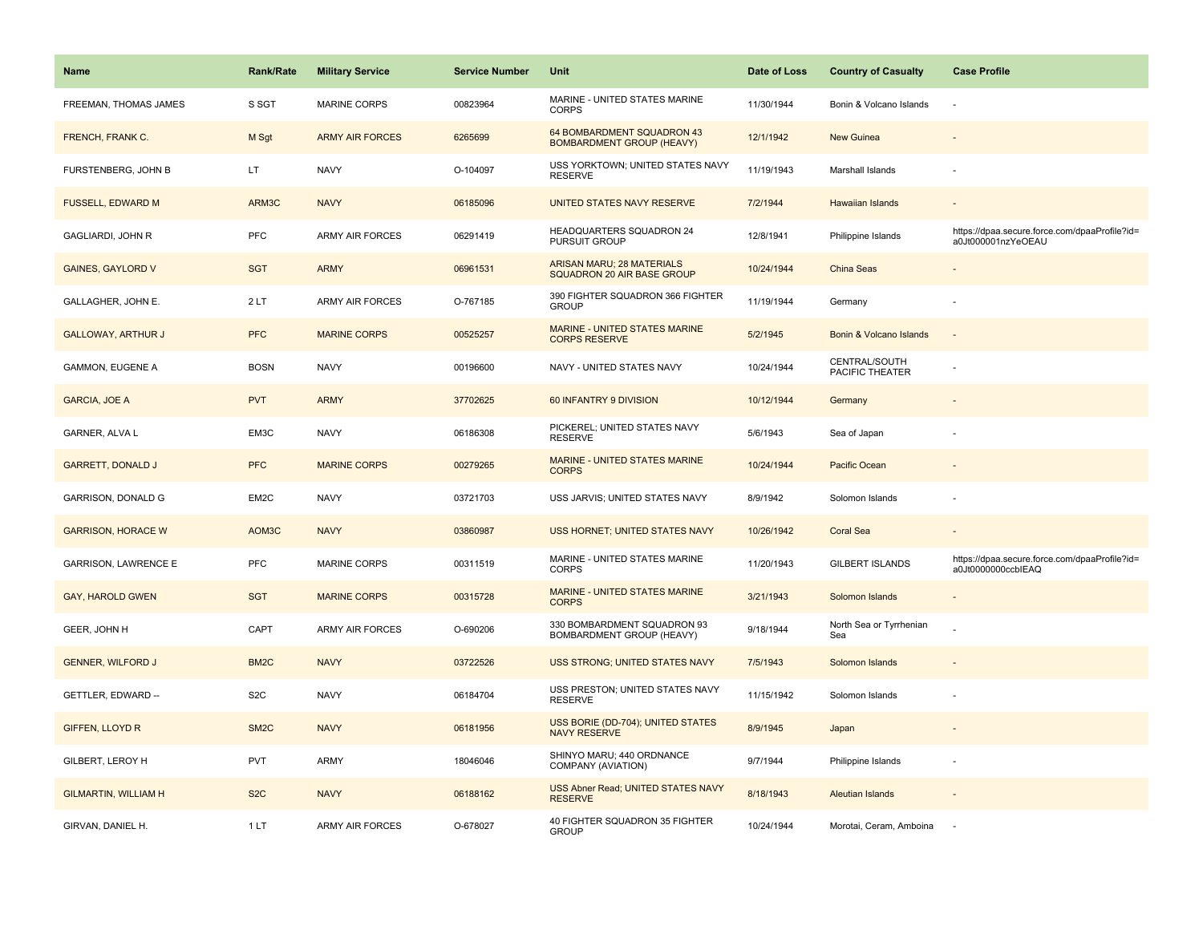| <b>Name</b>                 | <b>Rank/Rate</b>  | <b>Military Service</b> | <b>Service Number</b> | Unit                                                            | Date of Loss | <b>Country of Casualty</b>       | <b>Case Profile</b>                                                 |
|-----------------------------|-------------------|-------------------------|-----------------------|-----------------------------------------------------------------|--------------|----------------------------------|---------------------------------------------------------------------|
| FREEMAN, THOMAS JAMES       | S SGT             | <b>MARINE CORPS</b>     | 00823964              | MARINE - UNITED STATES MARINE<br><b>CORPS</b>                   | 11/30/1944   | Bonin & Volcano Islands          | ÷,                                                                  |
| FRENCH, FRANK C.            | M Sgt             | <b>ARMY AIR FORCES</b>  | 6265699               | 64 BOMBARDMENT SQUADRON 43<br><b>BOMBARDMENT GROUP (HEAVY)</b>  | 12/1/1942    | New Guinea                       |                                                                     |
| FURSTENBERG, JOHN B         | LT.               | <b>NAVY</b>             | O-104097              | USS YORKTOWN; UNITED STATES NAVY<br><b>RESERVE</b>              | 11/19/1943   | Marshall Islands                 |                                                                     |
| <b>FUSSELL, EDWARD M</b>    | ARM3C             | <b>NAVY</b>             | 06185096              | UNITED STATES NAVY RESERVE                                      | 7/2/1944     | <b>Hawaiian Islands</b>          |                                                                     |
| GAGLIARDI, JOHN R           | <b>PFC</b>        | <b>ARMY AIR FORCES</b>  | 06291419              | HEADQUARTERS SQUADRON 24<br>PURSUIT GROUP                       | 12/8/1941    | Philippine Islands               | https://dpaa.secure.force.com/dpaaProfile?id=<br>a0Jt000001nzYeOEAU |
| <b>GAINES, GAYLORD V</b>    | <b>SGT</b>        | <b>ARMY</b>             | 06961531              | <b>ARISAN MARU; 28 MATERIALS</b><br>SQUADRON 20 AIR BASE GROUP  | 10/24/1944   | China Seas                       |                                                                     |
| GALLAGHER, JOHN E.          | 2LT               | <b>ARMY AIR FORCES</b>  | O-767185              | 390 FIGHTER SQUADRON 366 FIGHTER<br><b>GROUP</b>                | 11/19/1944   | Germany                          |                                                                     |
| <b>GALLOWAY, ARTHUR J</b>   | <b>PFC</b>        | <b>MARINE CORPS</b>     | 00525257              | MARINE - UNITED STATES MARINE<br><b>CORPS RESERVE</b>           | 5/2/1945     | Bonin & Volcano Islands          | $\sim$                                                              |
| GAMMON, EUGENE A            | <b>BOSN</b>       | <b>NAVY</b>             | 00196600              | NAVY - UNITED STATES NAVY                                       | 10/24/1944   | CENTRAL/SOUTH<br>PACIFIC THEATER |                                                                     |
| <b>GARCIA, JOE A</b>        | <b>PVT</b>        | <b>ARMY</b>             | 37702625              | 60 INFANTRY 9 DIVISION                                          | 10/12/1944   | Germany                          |                                                                     |
| <b>GARNER, ALVA L</b>       | EM3C              | <b>NAVY</b>             | 06186308              | PICKEREL; UNITED STATES NAVY<br><b>RESERVE</b>                  | 5/6/1943     | Sea of Japan                     |                                                                     |
| <b>GARRETT, DONALD J</b>    | <b>PFC</b>        | <b>MARINE CORPS</b>     | 00279265              | <b>MARINE - UNITED STATES MARINE</b><br><b>CORPS</b>            | 10/24/1944   | Pacific Ocean                    |                                                                     |
| GARRISON, DONALD G          | EM2C              | <b>NAVY</b>             | 03721703              | USS JARVIS; UNITED STATES NAVY                                  | 8/9/1942     | Solomon Islands                  |                                                                     |
| <b>GARRISON, HORACE W</b>   | AOM3C             | <b>NAVY</b>             | 03860987              | USS HORNET; UNITED STATES NAVY                                  | 10/26/1942   | <b>Coral Sea</b>                 |                                                                     |
| <b>GARRISON, LAWRENCE E</b> | PFC               | <b>MARINE CORPS</b>     | 00311519              | MARINE - UNITED STATES MARINE<br><b>CORPS</b>                   | 11/20/1943   | <b>GILBERT ISLANDS</b>           | https://dpaa.secure.force.com/dpaaProfile?id=<br>a0Jt0000000ccbIEAQ |
| <b>GAY, HAROLD GWEN</b>     | <b>SGT</b>        | <b>MARINE CORPS</b>     | 00315728              | MARINE - UNITED STATES MARINE<br><b>CORPS</b>                   | 3/21/1943    | Solomon Islands                  |                                                                     |
| GEER, JOHN H                | CAPT              | <b>ARMY AIR FORCES</b>  | O-690206              | 330 BOMBARDMENT SQUADRON 93<br><b>BOMBARDMENT GROUP (HEAVY)</b> | 9/18/1944    | North Sea or Tyrrhenian<br>Sea   |                                                                     |
| <b>GENNER, WILFORD J</b>    | BM <sub>2</sub> C | <b>NAVY</b>             | 03722526              | <b>USS STRONG; UNITED STATES NAVY</b>                           | 7/5/1943     | Solomon Islands                  |                                                                     |
| GETTLER, EDWARD --          | S <sub>2</sub> C  | <b>NAVY</b>             | 06184704              | USS PRESTON; UNITED STATES NAVY<br><b>RESERVE</b>               | 11/15/1942   | Solomon Islands                  |                                                                     |
| <b>GIFFEN, LLOYD R</b>      | SM <sub>2</sub> C | <b>NAVY</b>             | 06181956              | USS BORIE (DD-704); UNITED STATES<br><b>NAVY RESERVE</b>        | 8/9/1945     | Japan                            |                                                                     |
| GILBERT, LEROY H            | <b>PVT</b>        | ARMY                    | 18046046              | SHINYO MARU; 440 ORDNANCE<br>COMPANY (AVIATION)                 | 9/7/1944     | Philippine Islands               | $\sim$                                                              |
| <b>GILMARTIN, WILLIAM H</b> | S <sub>2</sub> C  | <b>NAVY</b>             | 06188162              | USS Abner Read; UNITED STATES NAVY<br><b>RESERVE</b>            | 8/18/1943    | <b>Aleutian Islands</b>          |                                                                     |
| GIRVAN, DANIEL H.           | 1LT               | ARMY AIR FORCES         | O-678027              | 40 FIGHTER SQUADRON 35 FIGHTER<br><b>GROUP</b>                  | 10/24/1944   | Morotai, Ceram, Amboina          |                                                                     |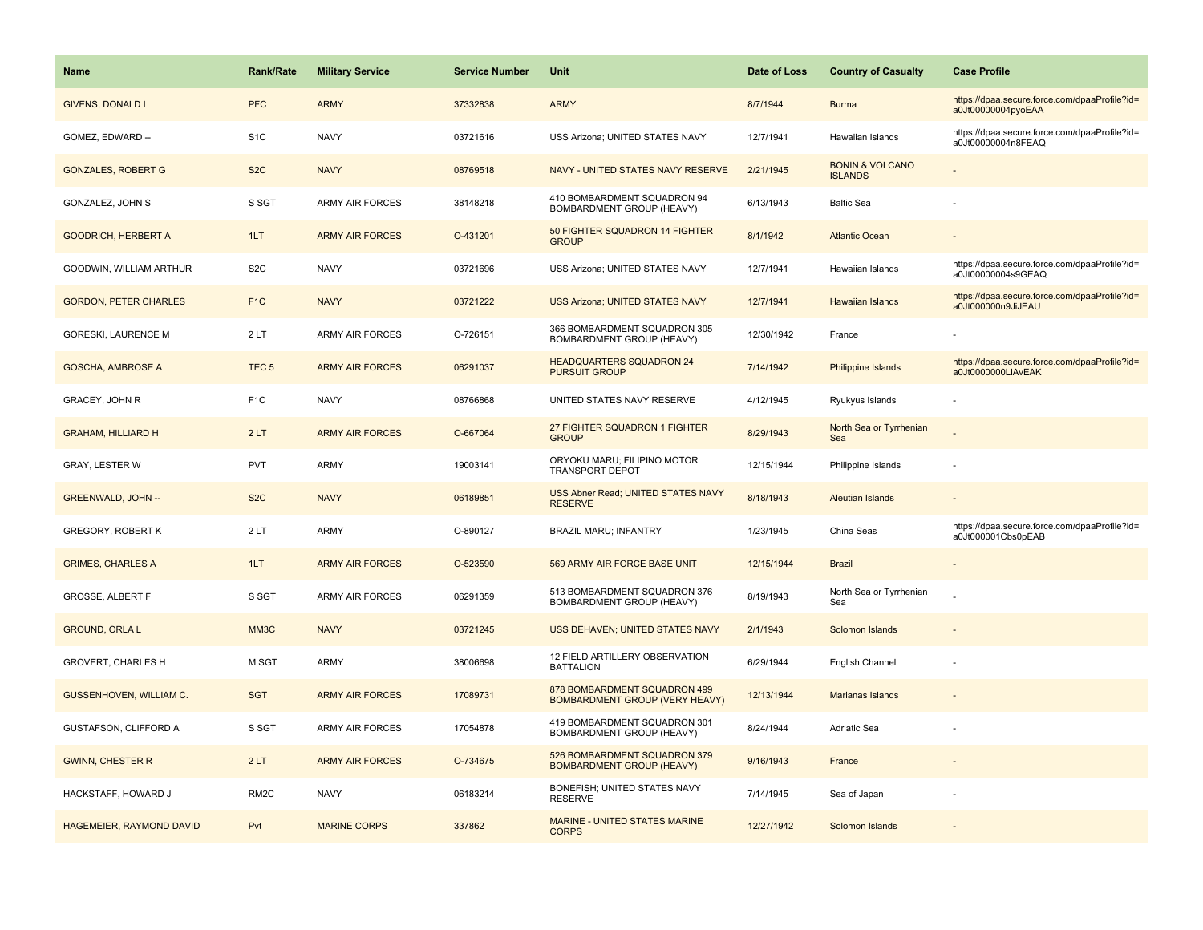| Name                            | <b>Rank/Rate</b>  | <b>Military Service</b> | <b>Service Number</b> | Unit                                                             | Date of Loss | <b>Country of Casualty</b>                   | <b>Case Profile</b>                                                 |
|---------------------------------|-------------------|-------------------------|-----------------------|------------------------------------------------------------------|--------------|----------------------------------------------|---------------------------------------------------------------------|
| <b>GIVENS, DONALD L</b>         | <b>PFC</b>        | <b>ARMY</b>             | 37332838              | <b>ARMY</b>                                                      | 8/7/1944     | <b>Burma</b>                                 | https://dpaa.secure.force.com/dpaaProfile?id=<br>a0Jt00000004pyoEAA |
| GOMEZ, EDWARD --                | S <sub>1</sub> C  | <b>NAVY</b>             | 03721616              | USS Arizona; UNITED STATES NAVY                                  | 12/7/1941    | Hawaiian Islands                             | https://dpaa.secure.force.com/dpaaProfile?id=<br>a0Jt00000004n8FEAQ |
| <b>GONZALES, ROBERT G</b>       | S <sub>2</sub> C  | <b>NAVY</b>             | 08769518              | NAVY - UNITED STATES NAVY RESERVE                                | 2/21/1945    | <b>BONIN &amp; VOLCANO</b><br><b>ISLANDS</b> |                                                                     |
| GONZALEZ, JOHN S                | S SGT             | <b>ARMY AIR FORCES</b>  | 38148218              | 410 BOMBARDMENT SQUADRON 94<br><b>BOMBARDMENT GROUP (HEAVY)</b>  | 6/13/1943    | <b>Baltic Sea</b>                            |                                                                     |
| <b>GOODRICH, HERBERT A</b>      | 1LT               | <b>ARMY AIR FORCES</b>  | O-431201              | 50 FIGHTER SQUADRON 14 FIGHTER<br><b>GROUP</b>                   | 8/1/1942     | <b>Atlantic Ocean</b>                        |                                                                     |
| GOODWIN, WILLIAM ARTHUR         | S <sub>2</sub> C  | <b>NAVY</b>             | 03721696              | USS Arizona; UNITED STATES NAVY                                  | 12/7/1941    | Hawaiian Islands                             | https://dpaa.secure.force.com/dpaaProfile?id=<br>a0Jt00000004s9GEAQ |
| <b>GORDON, PETER CHARLES</b>    | F <sub>1</sub> C  | <b>NAVY</b>             | 03721222              | USS Arizona; UNITED STATES NAVY                                  | 12/7/1941    | Hawaiian Islands                             | https://dpaa.secure.force.com/dpaaProfile?id=<br>a0Jt000000n9JiJEAU |
| <b>GORESKI, LAURENCE M</b>      | 2LT               | <b>ARMY AIR FORCES</b>  | O-726151              | 366 BOMBARDMENT SQUADRON 305<br><b>BOMBARDMENT GROUP (HEAVY)</b> | 12/30/1942   | France                                       |                                                                     |
| <b>GOSCHA, AMBROSE A</b>        | TEC <sub>5</sub>  | <b>ARMY AIR FORCES</b>  | 06291037              | <b>HEADQUARTERS SQUADRON 24</b><br><b>PURSUIT GROUP</b>          | 7/14/1942    | Philippine Islands                           | https://dpaa.secure.force.com/dpaaProfile?id=<br>a0Jt0000000LIAvEAK |
| GRACEY, JOHN R                  | F <sub>1C</sub>   | <b>NAVY</b>             | 08766868              | UNITED STATES NAVY RESERVE                                       | 4/12/1945    | Ryukyus Islands                              |                                                                     |
| <b>GRAHAM, HILLIARD H</b>       | 2LT               | <b>ARMY AIR FORCES</b>  | O-667064              | 27 FIGHTER SQUADRON 1 FIGHTER<br><b>GROUP</b>                    | 8/29/1943    | North Sea or Tyrrhenian<br>Sea               |                                                                     |
| <b>GRAY, LESTER W</b>           | <b>PVT</b>        | <b>ARMY</b>             | 19003141              | ORYOKU MARU; FILIPINO MOTOR<br><b>TRANSPORT DEPOT</b>            | 12/15/1944   | Philippine Islands                           |                                                                     |
| <b>GREENWALD, JOHN --</b>       | S <sub>2</sub> C  | <b>NAVY</b>             | 06189851              | USS Abner Read; UNITED STATES NAVY<br><b>RESERVE</b>             | 8/18/1943    | <b>Aleutian Islands</b>                      |                                                                     |
| <b>GREGORY, ROBERT K</b>        | 2LT               | <b>ARMY</b>             | O-890127              | <b>BRAZIL MARU; INFANTRY</b>                                     | 1/23/1945    | China Seas                                   | https://dpaa.secure.force.com/dpaaProfile?id=<br>a0Jt000001Cbs0pEAB |
| <b>GRIMES, CHARLES A</b>        | 1LT               | <b>ARMY AIR FORCES</b>  | O-523590              | 569 ARMY AIR FORCE BASE UNIT                                     | 12/15/1944   | <b>Brazil</b>                                | $\overline{\phantom{a}}$                                            |
| <b>GROSSE, ALBERT F</b>         | S SGT             | <b>ARMY AIR FORCES</b>  | 06291359              | 513 BOMBARDMENT SQUADRON 376<br>BOMBARDMENT GROUP (HEAVY)        | 8/19/1943    | North Sea or Tyrrhenian<br>Sea               |                                                                     |
| <b>GROUND, ORLA L</b>           | MM3C              | <b>NAVY</b>             | 03721245              | USS DEHAVEN; UNITED STATES NAVY                                  | 2/1/1943     | Solomon Islands                              |                                                                     |
| GROVERT, CHARLES H              | M SGT             | ARMY                    | 38006698              | 12 FIELD ARTILLERY OBSERVATION<br><b>BATTALION</b>               | 6/29/1944    | English Channel                              |                                                                     |
| <b>GUSSENHOVEN, WILLIAM C.</b>  | <b>SGT</b>        | <b>ARMY AIR FORCES</b>  | 17089731              | 878 BOMBARDMENT SQUADRON 499<br>BOMBARDMENT GROUP (VERY HEAVY)   | 12/13/1944   | <b>Marianas Islands</b>                      |                                                                     |
| GUSTAFSON, CLIFFORD A           | S SGT             | <b>ARMY AIR FORCES</b>  | 17054878              | 419 BOMBARDMENT SQUADRON 301<br>BOMBARDMENT GROUP (HEAVY)        | 8/24/1944    | Adriatic Sea                                 |                                                                     |
| <b>GWINN, CHESTER R</b>         | 2LT               | <b>ARMY AIR FORCES</b>  | O-734675              | 526 BOMBARDMENT SQUADRON 379<br><b>BOMBARDMENT GROUP (HEAVY)</b> | 9/16/1943    | France                                       |                                                                     |
| HACKSTAFF, HOWARD J             | RM <sub>2</sub> C | <b>NAVY</b>             | 06183214              | BONEFISH; UNITED STATES NAVY<br><b>RESERVE</b>                   | 7/14/1945    | Sea of Japan                                 |                                                                     |
| <b>HAGEMEIER, RAYMOND DAVID</b> | Pvt               | <b>MARINE CORPS</b>     | 337862                | <b>MARINE - UNITED STATES MARINE</b><br><b>CORPS</b>             | 12/27/1942   | Solomon Islands                              |                                                                     |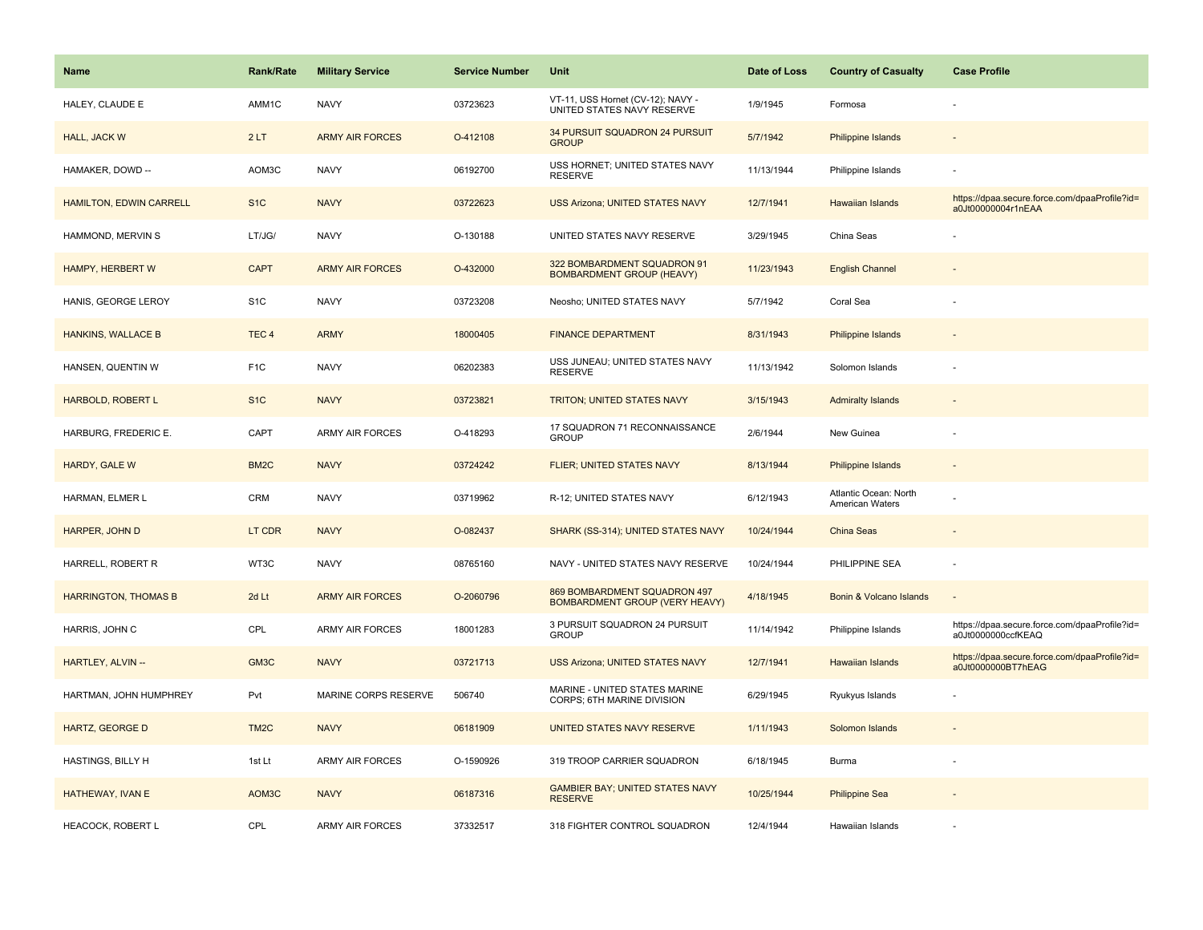| <b>Name</b>                 | <b>Rank/Rate</b>  | <b>Military Service</b> | <b>Service Number</b> | Unit                                                                  | Date of Loss | <b>Country of Casualty</b>               | <b>Case Profile</b>                                                 |
|-----------------------------|-------------------|-------------------------|-----------------------|-----------------------------------------------------------------------|--------------|------------------------------------------|---------------------------------------------------------------------|
| HALEY, CLAUDE E             | AMM1C             | <b>NAVY</b>             | 03723623              | VT-11, USS Hornet (CV-12); NAVY -<br>UNITED STATES NAVY RESERVE       | 1/9/1945     | Formosa                                  |                                                                     |
| HALL, JACK W                | 2LT               | <b>ARMY AIR FORCES</b>  | O-412108              | 34 PURSUIT SQUADRON 24 PURSUIT<br><b>GROUP</b>                        | 5/7/1942     | <b>Philippine Islands</b>                |                                                                     |
| HAMAKER, DOWD --            | AOM3C             | <b>NAVY</b>             | 06192700              | USS HORNET; UNITED STATES NAVY<br><b>RESERVE</b>                      | 11/13/1944   | Philippine Islands                       |                                                                     |
| HAMILTON, EDWIN CARRELL     | S <sub>1</sub> C  | <b>NAVY</b>             | 03722623              | <b>USS Arizona; UNITED STATES NAVY</b>                                | 12/7/1941    | Hawaiian Islands                         | https://dpaa.secure.force.com/dpaaProfile?id=<br>a0Jt00000004r1nEAA |
| HAMMOND, MERVIN S           | LT/JG/            | <b>NAVY</b>             | O-130188              | UNITED STATES NAVY RESERVE                                            | 3/29/1945    | China Seas                               |                                                                     |
| HAMPY, HERBERT W            | <b>CAPT</b>       | <b>ARMY AIR FORCES</b>  | O-432000              | 322 BOMBARDMENT SQUADRON 91<br><b>BOMBARDMENT GROUP (HEAVY)</b>       | 11/23/1943   | <b>English Channel</b>                   |                                                                     |
| HANIS, GEORGE LEROY         | S <sub>1</sub> C  | <b>NAVY</b>             | 03723208              | Neosho; UNITED STATES NAVY                                            | 5/7/1942     | Coral Sea                                |                                                                     |
| <b>HANKINS, WALLACE B</b>   | TEC <sub>4</sub>  | <b>ARMY</b>             | 18000405              | <b>FINANCE DEPARTMENT</b>                                             | 8/31/1943    | <b>Philippine Islands</b>                |                                                                     |
| HANSEN, QUENTIN W           | F <sub>1</sub> C  | <b>NAVY</b>             | 06202383              | USS JUNEAU; UNITED STATES NAVY<br><b>RESERVE</b>                      | 11/13/1942   | Solomon Islands                          |                                                                     |
| <b>HARBOLD, ROBERT L</b>    | S <sub>1C</sub>   | <b>NAVY</b>             | 03723821              | <b>TRITON; UNITED STATES NAVY</b>                                     | 3/15/1943    | <b>Admiralty Islands</b>                 |                                                                     |
| HARBURG, FREDERIC E.        | CAPT              | <b>ARMY AIR FORCES</b>  | O-418293              | 17 SQUADRON 71 RECONNAISSANCE<br><b>GROUP</b>                         | 2/6/1944     | New Guinea                               |                                                                     |
| HARDY, GALE W               | BM <sub>2</sub> C | <b>NAVY</b>             | 03724242              | FLIER; UNITED STATES NAVY                                             | 8/13/1944    | Philippine Islands                       | $\sim$                                                              |
| HARMAN, ELMER L             | <b>CRM</b>        | <b>NAVY</b>             | 03719962              | R-12; UNITED STATES NAVY                                              | 6/12/1943    | Atlantic Ocean: North<br>American Waters |                                                                     |
| HARPER, JOHN D              | LT CDR            | <b>NAVY</b>             | O-082437              | SHARK (SS-314); UNITED STATES NAVY                                    | 10/24/1944   | China Seas                               |                                                                     |
| HARRELL, ROBERT R           | WT3C              | <b>NAVY</b>             | 08765160              | NAVY - UNITED STATES NAVY RESERVE                                     | 10/24/1944   | PHILIPPINE SEA                           |                                                                     |
| <b>HARRINGTON, THOMAS B</b> | 2d Lt             | <b>ARMY AIR FORCES</b>  | O-2060796             | 869 BOMBARDMENT SQUADRON 497<br><b>BOMBARDMENT GROUP (VERY HEAVY)</b> | 4/18/1945    | Bonin & Volcano Islands                  |                                                                     |
| HARRIS, JOHN C              | CPL               | <b>ARMY AIR FORCES</b>  | 18001283              | 3 PURSUIT SQUADRON 24 PURSUIT<br><b>GROUP</b>                         | 11/14/1942   | Philippine Islands                       | https://dpaa.secure.force.com/dpaaProfile?id=<br>a0Jt0000000ccfKEAQ |
| HARTLEY, ALVIN --           | GM3C              | <b>NAVY</b>             | 03721713              | <b>USS Arizona; UNITED STATES NAVY</b>                                | 12/7/1941    | <b>Hawaiian Islands</b>                  | https://dpaa.secure.force.com/dpaaProfile?id=<br>a0Jt0000000BT7hEAG |
| HARTMAN, JOHN HUMPHREY      | Pvt               | MARINE CORPS RESERVE    | 506740                | MARINE - UNITED STATES MARINE<br>CORPS; 6TH MARINE DIVISION           | 6/29/1945    | Ryukyus Islands                          |                                                                     |
| <b>HARTZ, GEORGE D</b>      | TM <sub>2</sub> C | <b>NAVY</b>             | 06181909              | UNITED STATES NAVY RESERVE                                            | 1/11/1943    | Solomon Islands                          |                                                                     |
| HASTINGS, BILLY H           | 1st Lt            | <b>ARMY AIR FORCES</b>  | O-1590926             | 319 TROOP CARRIER SQUADRON                                            | 6/18/1945    | Burma                                    |                                                                     |
| HATHEWAY, IVAN E            | AOM3C             | <b>NAVY</b>             | 06187316              | <b>GAMBIER BAY; UNITED STATES NAVY</b><br><b>RESERVE</b>              | 10/25/1944   | <b>Philippine Sea</b>                    |                                                                     |
| HEACOCK, ROBERT L           | CPL               | <b>ARMY AIR FORCES</b>  | 37332517              | 318 FIGHTER CONTROL SQUADRON                                          | 12/4/1944    | Hawaiian Islands                         |                                                                     |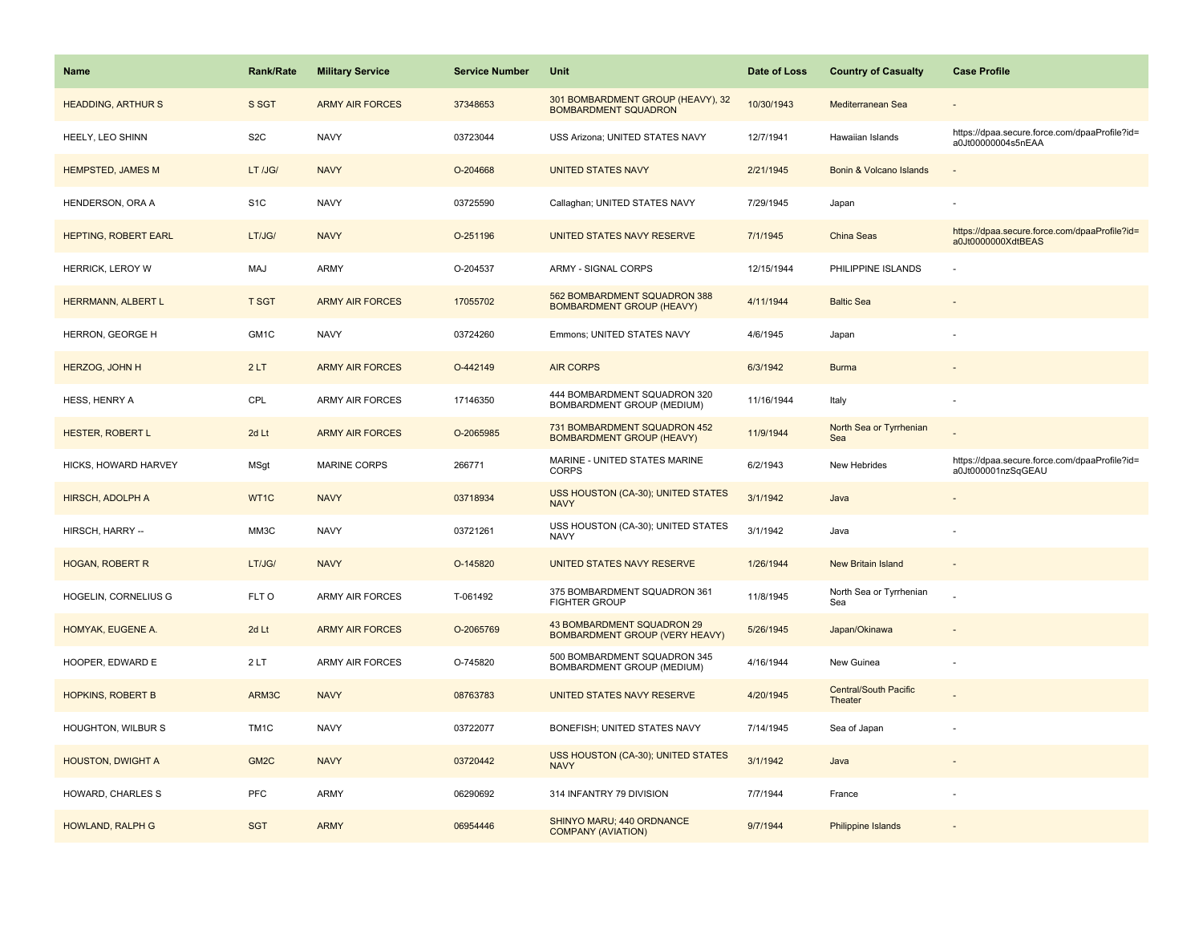| <b>Name</b>              | <b>Rank/Rate</b>  | <b>Military Service</b> | <b>Service Number</b> | Unit                                                                | Date of Loss | <b>Country of Casualty</b>              | <b>Case Profile</b>                                                 |
|--------------------------|-------------------|-------------------------|-----------------------|---------------------------------------------------------------------|--------------|-----------------------------------------|---------------------------------------------------------------------|
| <b>HEADDING, ARTHURS</b> | S SGT             | <b>ARMY AIR FORCES</b>  | 37348653              | 301 BOMBARDMENT GROUP (HEAVY), 32<br><b>BOMBARDMENT SQUADRON</b>    | 10/30/1943   | Mediterranean Sea                       |                                                                     |
| HEELY, LEO SHINN         | S <sub>2</sub> C  | <b>NAVY</b>             | 03723044              | USS Arizona; UNITED STATES NAVY                                     | 12/7/1941    | Hawaiian Islands                        | https://dpaa.secure.force.com/dpaaProfile?id=<br>a0Jt00000004s5nEAA |
| <b>HEMPSTED, JAMES M</b> | LT /JG/           | <b>NAVY</b>             | O-204668              | <b>UNITED STATES NAVY</b>                                           | 2/21/1945    | Bonin & Volcano Islands                 |                                                                     |
| HENDERSON, ORA A         | S <sub>1</sub> C  | <b>NAVY</b>             | 03725590              | Callaghan; UNITED STATES NAVY                                       | 7/29/1945    | Japan                                   |                                                                     |
| HEPTING, ROBERT EARL     | LT/JG/            | <b>NAVY</b>             | O-251196              | UNITED STATES NAVY RESERVE                                          | 7/1/1945     | China Seas                              | https://dpaa.secure.force.com/dpaaProfile?id=<br>a0Jt0000000XdtBEAS |
| <b>HERRICK, LEROY W</b>  | MAJ               | <b>ARMY</b>             | O-204537              | ARMY - SIGNAL CORPS                                                 | 12/15/1944   | PHILIPPINE ISLANDS                      |                                                                     |
| HERRMANN, ALBERT L       | <b>T SGT</b>      | <b>ARMY AIR FORCES</b>  | 17055702              | 562 BOMBARDMENT SQUADRON 388<br><b>BOMBARDMENT GROUP (HEAVY)</b>    | 4/11/1944    | <b>Baltic Sea</b>                       |                                                                     |
| HERRON, GEORGE H         | GM1C              | <b>NAVY</b>             | 03724260              | Emmons; UNITED STATES NAVY                                          | 4/6/1945     | Japan                                   |                                                                     |
| HERZOG, JOHN H           | 2LT               | <b>ARMY AIR FORCES</b>  | O-442149              | <b>AIR CORPS</b>                                                    | 6/3/1942     | <b>Burma</b>                            |                                                                     |
| <b>HESS, HENRY A</b>     | CPL               | <b>ARMY AIR FORCES</b>  | 17146350              | 444 BOMBARDMENT SQUADRON 320<br>BOMBARDMENT GROUP (MEDIUM)          | 11/16/1944   | Italy                                   |                                                                     |
| HESTER, ROBERT L         | 2d Lt             | <b>ARMY AIR FORCES</b>  | O-2065985             | 731 BOMBARDMENT SQUADRON 452<br><b>BOMBARDMENT GROUP (HEAVY)</b>    | 11/9/1944    | North Sea or Tyrrhenian<br>Sea          |                                                                     |
| HICKS, HOWARD HARVEY     | MSgt              | <b>MARINE CORPS</b>     | 266771                | MARINE - UNITED STATES MARINE<br><b>CORPS</b>                       | 6/2/1943     | New Hebrides                            | https://dpaa.secure.force.com/dpaaProfile?id=<br>a0Jt000001nzSqGEAU |
| HIRSCH, ADOLPH A         | WT1C              | <b>NAVY</b>             | 03718934              | USS HOUSTON (CA-30); UNITED STATES<br><b>NAVY</b>                   | 3/1/1942     | Java                                    |                                                                     |
| HIRSCH, HARRY --         | MM3C              | <b>NAVY</b>             | 03721261              | USS HOUSTON (CA-30); UNITED STATES<br><b>NAVY</b>                   | 3/1/1942     | Java                                    |                                                                     |
| <b>HOGAN, ROBERT R</b>   | LT/JG/            | <b>NAVY</b>             | O-145820              | <b>UNITED STATES NAVY RESERVE</b>                                   | 1/26/1944    | <b>New Britain Island</b>               | $\sim$                                                              |
| HOGELIN, CORNELIUS G     | FLT O             | <b>ARMY AIR FORCES</b>  | T-061492              | 375 BOMBARDMENT SQUADRON 361<br><b>FIGHTER GROUP</b>                | 11/8/1945    | North Sea or Tyrrhenian<br>Sea          |                                                                     |
| HOMYAK, EUGENE A.        | 2d Lt             | <b>ARMY AIR FORCES</b>  | O-2065769             | 43 BOMBARDMENT SQUADRON 29<br><b>BOMBARDMENT GROUP (VERY HEAVY)</b> | 5/26/1945    | Japan/Okinawa                           |                                                                     |
| HOOPER, EDWARD E         | 2LT               | <b>ARMY AIR FORCES</b>  | O-745820              | 500 BOMBARDMENT SQUADRON 345<br>BOMBARDMENT GROUP (MEDIUM)          | 4/16/1944    | New Guinea                              |                                                                     |
| <b>HOPKINS, ROBERT B</b> | ARM3C             | <b>NAVY</b>             | 08763783              | UNITED STATES NAVY RESERVE                                          | 4/20/1945    | <b>Central/South Pacific</b><br>Theater |                                                                     |
| HOUGHTON, WILBUR S       | TM <sub>1</sub> C | <b>NAVY</b>             | 03722077              | BONEFISH; UNITED STATES NAVY                                        | 7/14/1945    | Sea of Japan                            |                                                                     |
| <b>HOUSTON, DWIGHT A</b> | GM <sub>2</sub> C | <b>NAVY</b>             | 03720442              | USS HOUSTON (CA-30); UNITED STATES<br><b>NAVY</b>                   | 3/1/1942     | Java                                    |                                                                     |
| HOWARD, CHARLES S        | <b>PFC</b>        | <b>ARMY</b>             | 06290692              | 314 INFANTRY 79 DIVISION                                            | 7/7/1944     | France                                  |                                                                     |
| HOWLAND, RALPH G         | <b>SGT</b>        | <b>ARMY</b>             | 06954446              | SHINYO MARU; 440 ORDNANCE<br><b>COMPANY (AVIATION)</b>              | 9/7/1944     | Philippine Islands                      |                                                                     |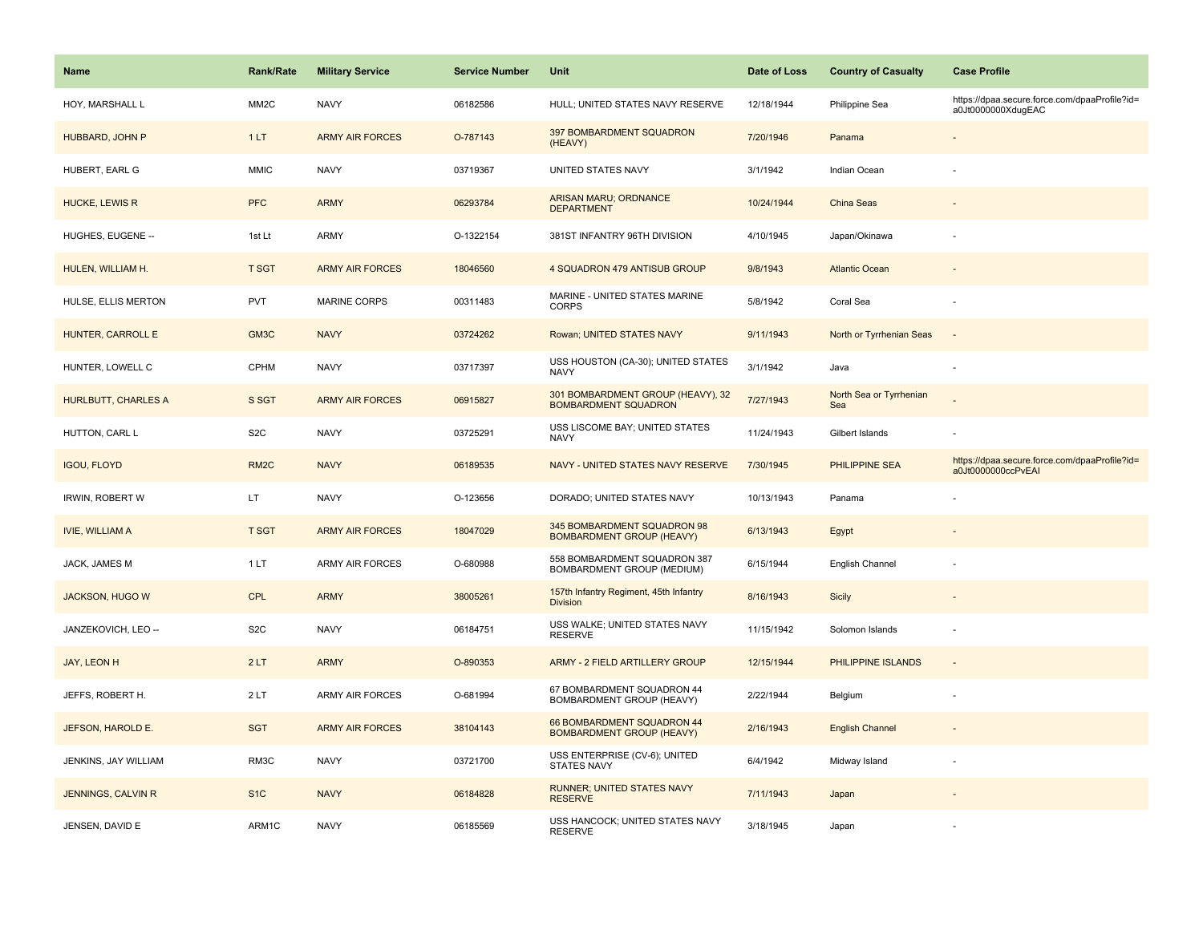| <b>Name</b>                | Rank/Rate         | <b>Military Service</b> | <b>Service Number</b> | Unit                                                             | Date of Loss | <b>Country of Casualty</b>     | <b>Case Profile</b>                                                 |
|----------------------------|-------------------|-------------------------|-----------------------|------------------------------------------------------------------|--------------|--------------------------------|---------------------------------------------------------------------|
| HOY, MARSHALL L            | MM <sub>2</sub> C | <b>NAVY</b>             | 06182586              | HULL; UNITED STATES NAVY RESERVE                                 | 12/18/1944   | Philippine Sea                 | https://dpaa.secure.force.com/dpaaProfile?id=<br>a0Jt0000000XdugEAC |
| HUBBARD, JOHN P            | 1LT               | <b>ARMY AIR FORCES</b>  | O-787143              | 397 BOMBARDMENT SQUADRON<br>(HEAVY)                              | 7/20/1946    | Panama                         |                                                                     |
| HUBERT, EARL G             | <b>MMIC</b>       | <b>NAVY</b>             | 03719367              | UNITED STATES NAVY                                               | 3/1/1942     | Indian Ocean                   |                                                                     |
| <b>HUCKE, LEWIS R</b>      | <b>PFC</b>        | <b>ARMY</b>             | 06293784              | <b>ARISAN MARU; ORDNANCE</b><br><b>DEPARTMENT</b>                | 10/24/1944   | China Seas                     |                                                                     |
| HUGHES, EUGENE --          | 1st Lt            | <b>ARMY</b>             | O-1322154             | 381ST INFANTRY 96TH DIVISION                                     | 4/10/1945    | Japan/Okinawa                  |                                                                     |
| HULEN, WILLIAM H.          | <b>T SGT</b>      | <b>ARMY AIR FORCES</b>  | 18046560              | 4 SQUADRON 479 ANTISUB GROUP                                     | 9/8/1943     | <b>Atlantic Ocean</b>          |                                                                     |
| HULSE, ELLIS MERTON        | <b>PVT</b>        | <b>MARINE CORPS</b>     | 00311483              | MARINE - UNITED STATES MARINE<br><b>CORPS</b>                    | 5/8/1942     | Coral Sea                      |                                                                     |
| HUNTER, CARROLL E          | GM3C              | <b>NAVY</b>             | 03724262              | Rowan; UNITED STATES NAVY                                        | 9/11/1943    | North or Tyrrhenian Seas       | $\overline{\phantom{a}}$                                            |
| HUNTER, LOWELL C           | CPHM              | <b>NAVY</b>             | 03717397              | USS HOUSTON (CA-30); UNITED STATES<br><b>NAVY</b>                | 3/1/1942     | Java                           | ÷,                                                                  |
| <b>HURLBUTT, CHARLES A</b> | S SGT             | <b>ARMY AIR FORCES</b>  | 06915827              | 301 BOMBARDMENT GROUP (HEAVY), 32<br><b>BOMBARDMENT SQUADRON</b> | 7/27/1943    | North Sea or Tyrrhenian<br>Sea |                                                                     |
| HUTTON, CARL L             | S <sub>2</sub> C  | <b>NAVY</b>             | 03725291              | USS LISCOME BAY; UNITED STATES<br><b>NAVY</b>                    | 11/24/1943   | Gilbert Islands                |                                                                     |
| <b>IGOU, FLOYD</b>         | RM <sub>2</sub> C | <b>NAVY</b>             | 06189535              | NAVY - UNITED STATES NAVY RESERVE                                | 7/30/1945    | PHILIPPINE SEA                 | https://dpaa.secure.force.com/dpaaProfile?id=<br>a0Jt0000000ccPvEAI |
| <b>IRWIN, ROBERT W</b>     | LT                | <b>NAVY</b>             | O-123656              | DORADO; UNITED STATES NAVY                                       | 10/13/1943   | Panama                         |                                                                     |
| <b>IVIE, WILLIAM A</b>     | <b>T SGT</b>      | <b>ARMY AIR FORCES</b>  | 18047029              | 345 BOMBARDMENT SQUADRON 98<br><b>BOMBARDMENT GROUP (HEAVY)</b>  | 6/13/1943    | Egypt                          |                                                                     |
| JACK, JAMES M              | 1LT               | <b>ARMY AIR FORCES</b>  | O-680988              | 558 BOMBARDMENT SQUADRON 387<br>BOMBARDMENT GROUP (MEDIUM)       | 6/15/1944    | English Channel                |                                                                     |
| JACKSON, HUGO W            | <b>CPL</b>        | <b>ARMY</b>             | 38005261              | 157th Infantry Regiment, 45th Infantry<br><b>Division</b>        | 8/16/1943    | Sicily                         |                                                                     |
| JANZEKOVICH, LEO --        | S <sub>2</sub> C  | <b>NAVY</b>             | 06184751              | USS WALKE; UNITED STATES NAVY<br><b>RESERVE</b>                  | 11/15/1942   | Solomon Islands                |                                                                     |
| JAY, LEON H                | 2LT               | <b>ARMY</b>             | O-890353              | ARMY - 2 FIELD ARTILLERY GROUP                                   | 12/15/1944   | PHILIPPINE ISLANDS             |                                                                     |
| JEFFS, ROBERT H.           | 2LT               | ARMY AIR FORCES         | O-681994              | 67 BOMBARDMENT SQUADRON 44<br>BOMBARDMENT GROUP (HEAVY)          | 2/22/1944    | Belgium                        |                                                                     |
| JEFSON, HAROLD E.          | <b>SGT</b>        | <b>ARMY AIR FORCES</b>  | 38104143              | 66 BOMBARDMENT SQUADRON 44<br><b>BOMBARDMENT GROUP (HEAVY)</b>   | 2/16/1943    | <b>English Channel</b>         |                                                                     |
| JENKINS, JAY WILLIAM       | RM3C              | <b>NAVY</b>             | 03721700              | USS ENTERPRISE (CV-6); UNITED<br><b>STATES NAVY</b>              | 6/4/1942     | Midway Island                  | ÷,                                                                  |
| JENNINGS, CALVIN R         | S <sub>1</sub> C  | <b>NAVY</b>             | 06184828              | <b>RUNNER; UNITED STATES NAVY</b><br><b>RESERVE</b>              | 7/11/1943    | Japan                          |                                                                     |
| JENSEN, DAVID E            | ARM1C             | <b>NAVY</b>             | 06185569              | USS HANCOCK; UNITED STATES NAVY<br><b>RESERVE</b>                | 3/18/1945    | Japan                          |                                                                     |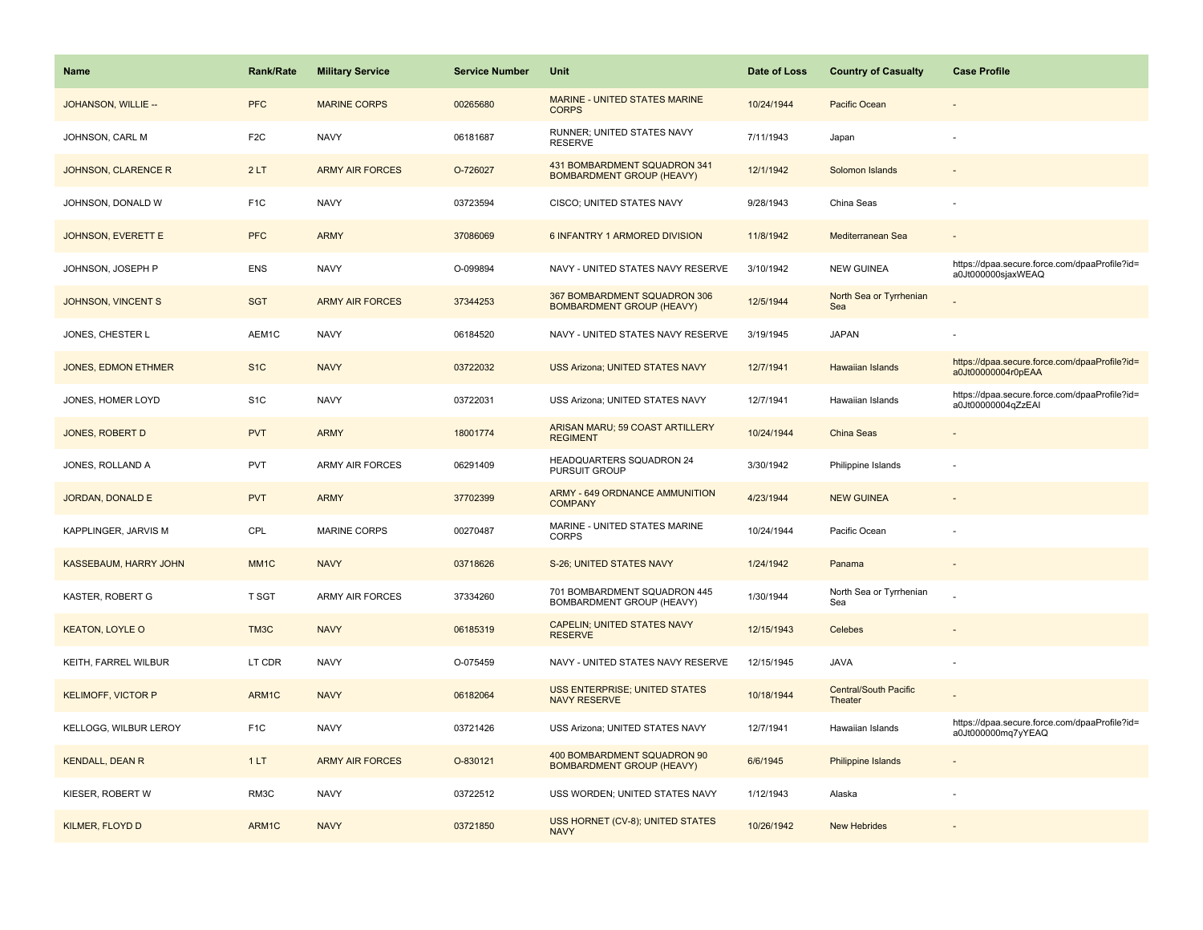| <b>Name</b>                | <b>Rank/Rate</b>  | <b>Military Service</b> | <b>Service Number</b> | Unit                                                             | Date of Loss | <b>Country of Casualty</b>       | <b>Case Profile</b>                                                 |
|----------------------------|-------------------|-------------------------|-----------------------|------------------------------------------------------------------|--------------|----------------------------------|---------------------------------------------------------------------|
| JOHANSON, WILLIE --        | <b>PFC</b>        | <b>MARINE CORPS</b>     | 00265680              | <b>MARINE - UNITED STATES MARINE</b><br><b>CORPS</b>             | 10/24/1944   | Pacific Ocean                    |                                                                     |
| JOHNSON, CARL M            | F <sub>2</sub> C  | <b>NAVY</b>             | 06181687              | RUNNER; UNITED STATES NAVY<br><b>RESERVE</b>                     | 7/11/1943    | Japan                            |                                                                     |
| JOHNSON, CLARENCE R        | 2LT               | <b>ARMY AIR FORCES</b>  | O-726027              | 431 BOMBARDMENT SQUADRON 341<br><b>BOMBARDMENT GROUP (HEAVY)</b> | 12/1/1942    | Solomon Islands                  |                                                                     |
| JOHNSON, DONALD W          | F <sub>1</sub> C  | <b>NAVY</b>             | 03723594              | CISCO; UNITED STATES NAVY                                        | 9/28/1943    | China Seas                       |                                                                     |
| <b>JOHNSON, EVERETT E</b>  | <b>PFC</b>        | <b>ARMY</b>             | 37086069              | 6 INFANTRY 1 ARMORED DIVISION                                    | 11/8/1942    | Mediterranean Sea                |                                                                     |
| JOHNSON, JOSEPH P          | <b>ENS</b>        | <b>NAVY</b>             | O-099894              | NAVY - UNITED STATES NAVY RESERVE                                | 3/10/1942    | <b>NEW GUINEA</b>                | https://dpaa.secure.force.com/dpaaProfile?id=<br>a0Jt000000sjaxWEAQ |
| <b>JOHNSON, VINCENT S</b>  | <b>SGT</b>        | <b>ARMY AIR FORCES</b>  | 37344253              | 367 BOMBARDMENT SQUADRON 306<br><b>BOMBARDMENT GROUP (HEAVY)</b> | 12/5/1944    | North Sea or Tyrrhenian<br>Sea   |                                                                     |
| JONES, CHESTER L           | AEM1C             | <b>NAVY</b>             | 06184520              | NAVY - UNITED STATES NAVY RESERVE                                | 3/19/1945    | <b>JAPAN</b>                     |                                                                     |
| <b>JONES, EDMON ETHMER</b> | S <sub>1C</sub>   | <b>NAVY</b>             | 03722032              | <b>USS Arizona: UNITED STATES NAVY</b>                           | 12/7/1941    | <b>Hawaiian Islands</b>          | https://dpaa.secure.force.com/dpaaProfile?id=<br>a0Jt00000004r0pEAA |
| JONES, HOMER LOYD          | S <sub>1</sub> C  | <b>NAVY</b>             | 03722031              | USS Arizona; UNITED STATES NAVY                                  | 12/7/1941    | Hawaiian Islands                 | https://dpaa.secure.force.com/dpaaProfile?id=<br>a0Jt00000004qZzEAI |
| <b>JONES, ROBERT D</b>     | <b>PVT</b>        | <b>ARMY</b>             | 18001774              | ARISAN MARU; 59 COAST ARTILLERY<br><b>REGIMENT</b>               | 10/24/1944   | China Seas                       |                                                                     |
| JONES, ROLLAND A           | <b>PVT</b>        | <b>ARMY AIR FORCES</b>  | 06291409              | HEADQUARTERS SQUADRON 24<br>PURSUIT GROUP                        | 3/30/1942    | Philippine Islands               |                                                                     |
| JORDAN, DONALD E           | <b>PVT</b>        | <b>ARMY</b>             | 37702399              | ARMY - 649 ORDNANCE AMMUNITION<br><b>COMPANY</b>                 | 4/23/1944    | <b>NEW GUINEA</b>                |                                                                     |
| KAPPLINGER, JARVIS M       | CPL               | <b>MARINE CORPS</b>     | 00270487              | MARINE - UNITED STATES MARINE<br><b>CORPS</b>                    | 10/24/1944   | Pacific Ocean                    |                                                                     |
| KASSEBAUM, HARRY JOHN      | MM <sub>1</sub> C | <b>NAVY</b>             | 03718626              | S-26; UNITED STATES NAVY                                         | 1/24/1942    | Panama                           |                                                                     |
| KASTER, ROBERT G           | T SGT             | <b>ARMY AIR FORCES</b>  | 37334260              | 701 BOMBARDMENT SQUADRON 445<br><b>BOMBARDMENT GROUP (HEAVY)</b> | 1/30/1944    | North Sea or Tyrrhenian<br>Sea   |                                                                     |
| <b>KEATON, LOYLE O</b>     | TM3C              | <b>NAVY</b>             | 06185319              | <b>CAPELIN; UNITED STATES NAVY</b><br><b>RESERVE</b>             | 12/15/1943   | Celebes                          |                                                                     |
| KEITH, FARREL WILBUR       | LT CDR            | <b>NAVY</b>             | O-075459              | NAVY - UNITED STATES NAVY RESERVE                                | 12/15/1945   | <b>JAVA</b>                      |                                                                     |
| <b>KELIMOFF, VICTOR P</b>  | ARM1C             | <b>NAVY</b>             | 06182064              | <b>USS ENTERPRISE; UNITED STATES</b><br><b>NAVY RESERVE</b>      | 10/18/1944   | Central/South Pacific<br>Theater |                                                                     |
| KELLOGG, WILBUR LEROY      | F <sub>1</sub> C  | <b>NAVY</b>             | 03721426              | USS Arizona; UNITED STATES NAVY                                  | 12/7/1941    | Hawaiian Islands                 | https://dpaa.secure.force.com/dpaaProfile?id=<br>a0Jt000000mq7yYEAQ |
| <b>KENDALL, DEAN R</b>     | 1LT               | <b>ARMY AIR FORCES</b>  | O-830121              | 400 BOMBARDMENT SQUADRON 90<br><b>BOMBARDMENT GROUP (HEAVY)</b>  | 6/6/1945     | Philippine Islands               |                                                                     |
| KIESER, ROBERT W           | RM3C              | <b>NAVY</b>             | 03722512              | USS WORDEN; UNITED STATES NAVY                                   | 1/12/1943    | Alaska                           |                                                                     |
| <b>KILMER, FLOYD D</b>     | ARM1C             | <b>NAVY</b>             | 03721850              | USS HORNET (CV-8); UNITED STATES<br><b>NAVY</b>                  | 10/26/1942   | <b>New Hebrides</b>              |                                                                     |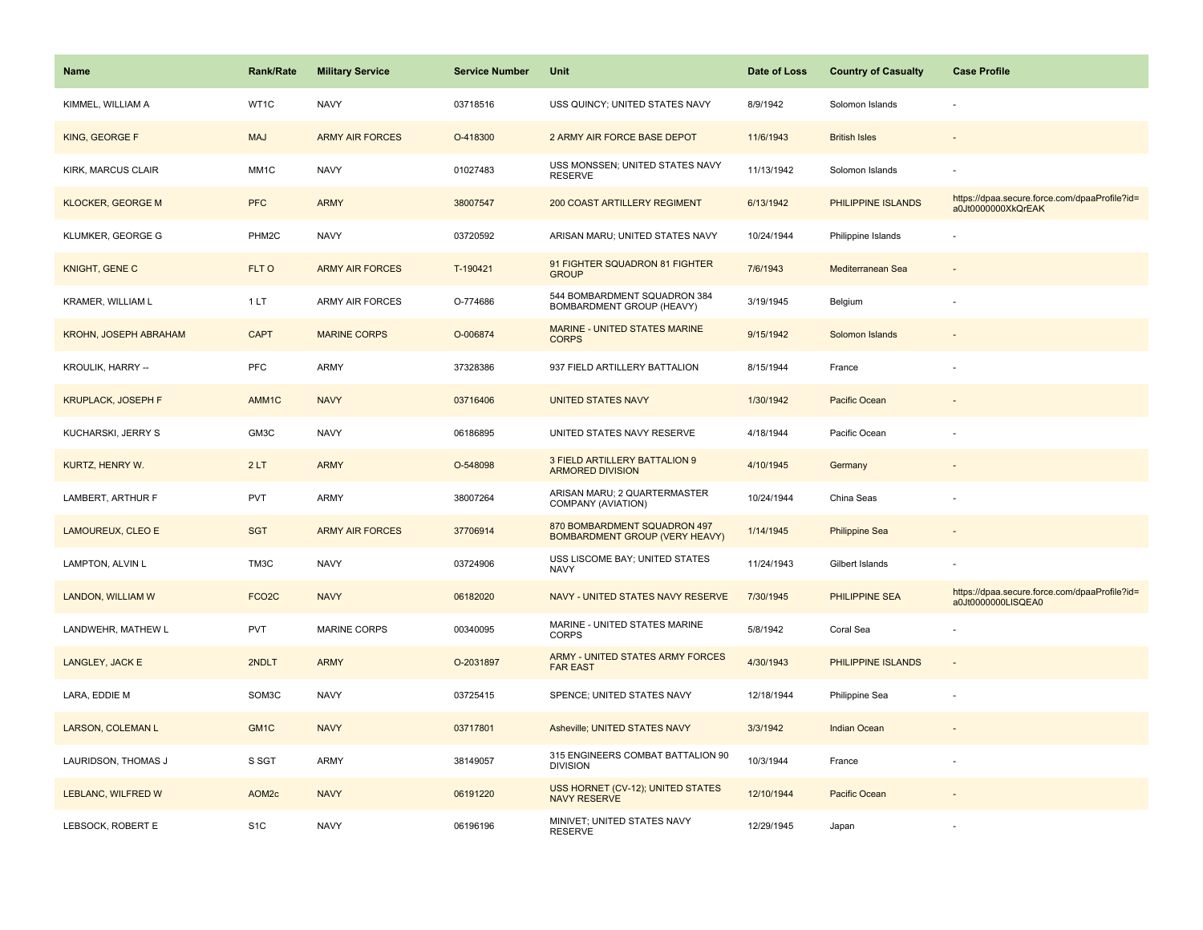| <b>Name</b>                  | Rank/Rate          | <b>Military Service</b> | <b>Service Number</b> | Unit                                                                  | Date of Loss | <b>Country of Casualty</b> | <b>Case Profile</b>                                                 |
|------------------------------|--------------------|-------------------------|-----------------------|-----------------------------------------------------------------------|--------------|----------------------------|---------------------------------------------------------------------|
| KIMMEL, WILLIAM A            | WT1C               | <b>NAVY</b>             | 03718516              | USS QUINCY; UNITED STATES NAVY                                        | 8/9/1942     | Solomon Islands            |                                                                     |
| KING, GEORGE F               | <b>MAJ</b>         | <b>ARMY AIR FORCES</b>  | O-418300              | 2 ARMY AIR FORCE BASE DEPOT                                           | 11/6/1943    | <b>British Isles</b>       |                                                                     |
| KIRK, MARCUS CLAIR           | MM <sub>1</sub> C  | <b>NAVY</b>             | 01027483              | USS MONSSEN; UNITED STATES NAVY<br><b>RESERVE</b>                     | 11/13/1942   | Solomon Islands            |                                                                     |
| <b>KLOCKER, GEORGE M</b>     | <b>PFC</b>         | <b>ARMY</b>             | 38007547              | 200 COAST ARTILLERY REGIMENT                                          | 6/13/1942    | PHILIPPINE ISLANDS         | https://dpaa.secure.force.com/dpaaProfile?id=<br>a0Jt0000000XkQrEAK |
| KLUMKER, GEORGE G            | PHM <sub>2</sub> C | <b>NAVY</b>             | 03720592              | ARISAN MARU; UNITED STATES NAVY                                       | 10/24/1944   | Philippine Islands         |                                                                     |
| KNIGHT, GENE C               | FLT O              | <b>ARMY AIR FORCES</b>  | T-190421              | 91 FIGHTER SQUADRON 81 FIGHTER<br><b>GROUP</b>                        | 7/6/1943     | Mediterranean Sea          |                                                                     |
| KRAMER, WILLIAM L            | 1 LT               | <b>ARMY AIR FORCES</b>  | O-774686              | 544 BOMBARDMENT SQUADRON 384<br>BOMBARDMENT GROUP (HEAVY)             | 3/19/1945    | Belgium                    |                                                                     |
| <b>KROHN, JOSEPH ABRAHAM</b> | <b>CAPT</b>        | <b>MARINE CORPS</b>     | O-006874              | <b>MARINE - UNITED STATES MARINE</b><br><b>CORPS</b>                  | 9/15/1942    | Solomon Islands            |                                                                     |
| KROULIK, HARRY --            | <b>PFC</b>         | ARMY                    | 37328386              | 937 FIELD ARTILLERY BATTALION                                         | 8/15/1944    | France                     |                                                                     |
| <b>KRUPLACK, JOSEPH F</b>    | AMM <sub>1</sub> C | <b>NAVY</b>             | 03716406              | <b>UNITED STATES NAVY</b>                                             | 1/30/1942    | Pacific Ocean              |                                                                     |
| KUCHARSKI, JERRY S           | GM3C               | <b>NAVY</b>             | 06186895              | UNITED STATES NAVY RESERVE                                            | 4/18/1944    | Pacific Ocean              |                                                                     |
| KURTZ, HENRY W.              | 2LT                | <b>ARMY</b>             | O-548098              | 3 FIELD ARTILLERY BATTALION 9<br><b>ARMORED DIVISION</b>              | 4/10/1945    | Germany                    |                                                                     |
| LAMBERT, ARTHUR F            | PVT                | <b>ARMY</b>             | 38007264              | ARISAN MARU; 2 QUARTERMASTER<br>COMPANY (AVIATION)                    | 10/24/1944   | China Seas                 |                                                                     |
| LAMOUREUX, CLEO E            | <b>SGT</b>         | <b>ARMY AIR FORCES</b>  | 37706914              | 870 BOMBARDMENT SQUADRON 497<br><b>BOMBARDMENT GROUP (VERY HEAVY)</b> | 1/14/1945    | <b>Philippine Sea</b>      |                                                                     |
| LAMPTON, ALVIN L             | TM3C               | <b>NAVY</b>             | 03724906              | USS LISCOME BAY; UNITED STATES<br><b>NAVY</b>                         | 11/24/1943   | Gilbert Islands            |                                                                     |
| LANDON, WILLIAM W            | FCO <sub>2</sub> C | <b>NAVY</b>             | 06182020              | NAVY - UNITED STATES NAVY RESERVE                                     | 7/30/1945    | PHILIPPINE SEA             | https://dpaa.secure.force.com/dpaaProfile?id=<br>a0Jt0000000LISQEA0 |
| LANDWEHR, MATHEW L           | <b>PVT</b>         | <b>MARINE CORPS</b>     | 00340095              | MARINE - UNITED STATES MARINE<br><b>CORPS</b>                         | 5/8/1942     | Coral Sea                  |                                                                     |
| LANGLEY, JACK E              | 2NDLT              | <b>ARMY</b>             | O-2031897             | ARMY - UNITED STATES ARMY FORCES<br><b>FAR EAST</b>                   | 4/30/1943    | PHILIPPINE ISLANDS         |                                                                     |
| LARA, EDDIE M                | SOM3C              | <b>NAVY</b>             | 03725415              | SPENCE; UNITED STATES NAVY                                            | 12/18/1944   | Philippine Sea             |                                                                     |
| <b>LARSON, COLEMAN L</b>     | GM1C               | <b>NAVY</b>             | 03717801              | Asheville; UNITED STATES NAVY                                         | 3/3/1942     | <b>Indian Ocean</b>        |                                                                     |
| LAURIDSON, THOMAS J          | S SGT              | ARMY                    | 38149057              | 315 ENGINEERS COMBAT BATTALION 90<br><b>DIVISION</b>                  | 10/3/1944    | France                     |                                                                     |
| LEBLANC, WILFRED W           | AOM <sub>2c</sub>  | <b>NAVY</b>             | 06191220              | USS HORNET (CV-12); UNITED STATES<br><b>NAVY RESERVE</b>              | 12/10/1944   | Pacific Ocean              |                                                                     |
| LEBSOCK, ROBERT E            | S <sub>1</sub> C   | <b>NAVY</b>             | 06196196              | MINIVET; UNITED STATES NAVY<br><b>RESERVE</b>                         | 12/29/1945   | Japan                      |                                                                     |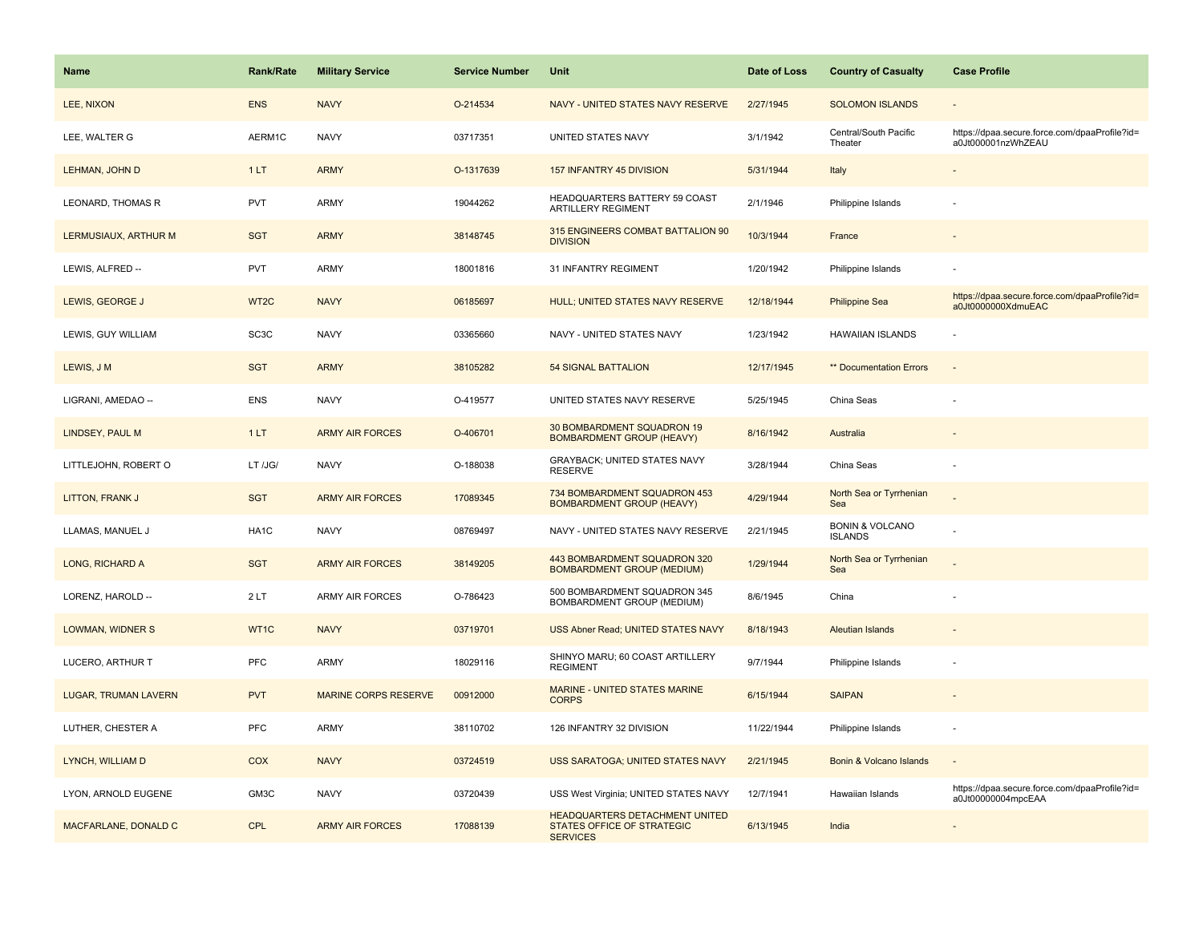| Name                        | <b>Rank/Rate</b>  | <b>Military Service</b>     | <b>Service Number</b> | Unit                                                                                          | Date of Loss | <b>Country of Casualty</b>                   | <b>Case Profile</b>                                                 |
|-----------------------------|-------------------|-----------------------------|-----------------------|-----------------------------------------------------------------------------------------------|--------------|----------------------------------------------|---------------------------------------------------------------------|
| LEE, NIXON                  | <b>ENS</b>        | <b>NAVY</b>                 | O-214534              | NAVY - UNITED STATES NAVY RESERVE                                                             | 2/27/1945    | <b>SOLOMON ISLANDS</b>                       |                                                                     |
| LEE, WALTER G               | AERM1C            | <b>NAVY</b>                 | 03717351              | UNITED STATES NAVY                                                                            | 3/1/1942     | Central/South Pacific<br>Theater             | https://dpaa.secure.force.com/dpaaProfile?id=<br>a0Jt000001nzWhZEAU |
| LEHMAN, JOHN D              | 1LT               | <b>ARMY</b>                 | O-1317639             | 157 INFANTRY 45 DIVISION                                                                      | 5/31/1944    | Italy                                        |                                                                     |
| LEONARD, THOMAS R           | <b>PVT</b>        | ARMY                        | 19044262              | HEADQUARTERS BATTERY 59 COAST<br><b>ARTILLERY REGIMENT</b>                                    | 2/1/1946     | Philippine Islands                           |                                                                     |
| LERMUSIAUX, ARTHUR M        | <b>SGT</b>        | <b>ARMY</b>                 | 38148745              | 315 ENGINEERS COMBAT BATTALION 90<br><b>DIVISION</b>                                          | 10/3/1944    | France                                       |                                                                     |
| LEWIS, ALFRED --            | <b>PVT</b>        | <b>ARMY</b>                 | 18001816              | 31 INFANTRY REGIMENT                                                                          | 1/20/1942    | Philippine Islands                           |                                                                     |
| LEWIS, GEORGE J             | WT2C              | <b>NAVY</b>                 | 06185697              | HULL; UNITED STATES NAVY RESERVE                                                              | 12/18/1944   | <b>Philippine Sea</b>                        | https://dpaa.secure.force.com/dpaaProfile?id=<br>a0Jt0000000XdmuEAC |
| LEWIS, GUY WILLIAM          | SC <sub>3</sub> C | <b>NAVY</b>                 | 03365660              | NAVY - UNITED STATES NAVY                                                                     | 1/23/1942    | <b>HAWAIIAN ISLANDS</b>                      |                                                                     |
| LEWIS, J M                  | <b>SGT</b>        | <b>ARMY</b>                 | 38105282              | <b>54 SIGNAL BATTALION</b>                                                                    | 12/17/1945   | ** Documentation Errors                      | $\sim$                                                              |
| LIGRANI, AMEDAO --          | <b>ENS</b>        | <b>NAVY</b>                 | O-419577              | UNITED STATES NAVY RESERVE                                                                    | 5/25/1945    | China Seas                                   |                                                                     |
| <b>LINDSEY, PAUL M</b>      | 1LT               | <b>ARMY AIR FORCES</b>      | O-406701              | 30 BOMBARDMENT SQUADRON 19<br><b>BOMBARDMENT GROUP (HEAVY)</b>                                | 8/16/1942    | Australia                                    |                                                                     |
| LITTLEJOHN, ROBERT O        | LT /JG/           | <b>NAVY</b>                 | O-188038              | GRAYBACK; UNITED STATES NAVY<br><b>RESERVE</b>                                                | 3/28/1944    | China Seas                                   |                                                                     |
| LITTON, FRANK J             | <b>SGT</b>        | <b>ARMY AIR FORCES</b>      | 17089345              | 734 BOMBARDMENT SQUADRON 453<br><b>BOMBARDMENT GROUP (HEAVY)</b>                              | 4/29/1944    | North Sea or Tyrrhenian<br>Sea               |                                                                     |
| LLAMAS, MANUEL J            | HA <sub>1</sub> C | <b>NAVY</b>                 | 08769497              | NAVY - UNITED STATES NAVY RESERVE                                                             | 2/21/1945    | <b>BONIN &amp; VOLCANO</b><br><b>ISLANDS</b> |                                                                     |
| LONG, RICHARD A             | <b>SGT</b>        | <b>ARMY AIR FORCES</b>      | 38149205              | 443 BOMBARDMENT SQUADRON 320<br><b>BOMBARDMENT GROUP (MEDIUM)</b>                             | 1/29/1944    | North Sea or Tyrrhenian<br>Sea               |                                                                     |
| LORENZ, HAROLD --           | 2LT               | <b>ARMY AIR FORCES</b>      | O-786423              | 500 BOMBARDMENT SQUADRON 345<br>BOMBARDMENT GROUP (MEDIUM)                                    | 8/6/1945     | China                                        |                                                                     |
| <b>LOWMAN, WIDNER S</b>     | WT1C              | <b>NAVY</b>                 | 03719701              | USS Abner Read; UNITED STATES NAVY                                                            | 8/18/1943    | <b>Aleutian Islands</b>                      |                                                                     |
| LUCERO, ARTHUR T            | PFC               | ARMY                        | 18029116              | SHINYO MARU; 60 COAST ARTILLERY<br><b>REGIMENT</b>                                            | 9/7/1944     | Philippine Islands                           |                                                                     |
| <b>LUGAR, TRUMAN LAVERN</b> | <b>PVT</b>        | <b>MARINE CORPS RESERVE</b> | 00912000              | MARINE - UNITED STATES MARINE<br><b>CORPS</b>                                                 | 6/15/1944    | <b>SAIPAN</b>                                |                                                                     |
| LUTHER, CHESTER A           | PFC               | <b>ARMY</b>                 | 38110702              | 126 INFANTRY 32 DIVISION                                                                      | 11/22/1944   | Philippine Islands                           |                                                                     |
| LYNCH, WILLIAM D            | <b>COX</b>        | <b>NAVY</b>                 | 03724519              | USS SARATOGA; UNITED STATES NAVY                                                              | 2/21/1945    | Bonin & Volcano Islands                      |                                                                     |
| LYON, ARNOLD EUGENE         | GM3C              | <b>NAVY</b>                 | 03720439              | USS West Virginia; UNITED STATES NAVY                                                         | 12/7/1941    | Hawaiian Islands                             | https://dpaa.secure.force.com/dpaaProfile?id=<br>a0Jt00000004mpcEAA |
| MACFARLANE, DONALD C        | <b>CPL</b>        | <b>ARMY AIR FORCES</b>      | 17088139              | <b>HEADQUARTERS DETACHMENT UNITED</b><br><b>STATES OFFICE OF STRATEGIC</b><br><b>SERVICES</b> | 6/13/1945    | India                                        |                                                                     |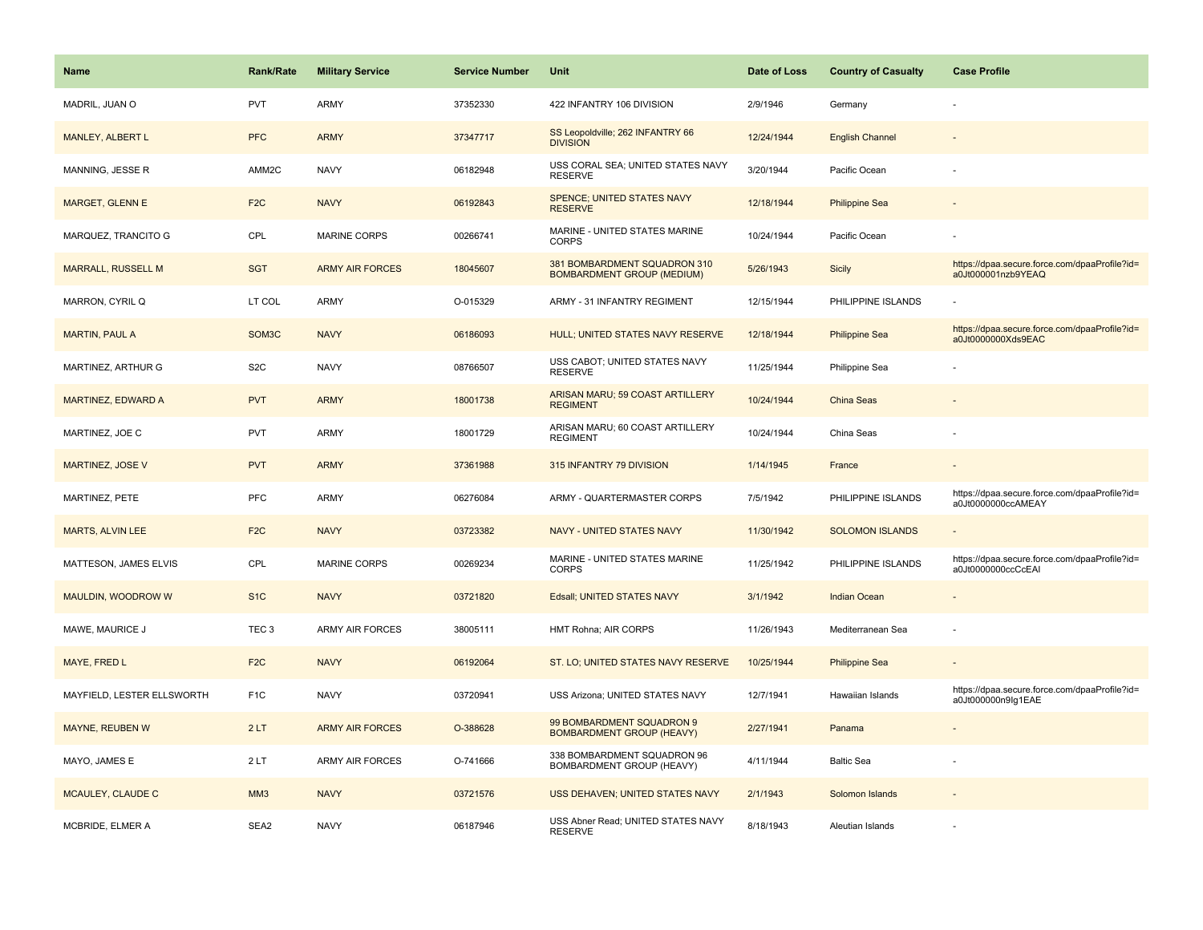| <b>Name</b>                | <b>Rank/Rate</b>   | <b>Military Service</b> | <b>Service Number</b> | Unit                                                              | Date of Loss | <b>Country of Casualty</b> | <b>Case Profile</b>                                                 |
|----------------------------|--------------------|-------------------------|-----------------------|-------------------------------------------------------------------|--------------|----------------------------|---------------------------------------------------------------------|
| MADRIL, JUAN O             | <b>PVT</b>         | ARMY                    | 37352330              | 422 INFANTRY 106 DIVISION                                         | 2/9/1946     | Germany                    |                                                                     |
| MANLEY, ALBERT L           | <b>PFC</b>         | <b>ARMY</b>             | 37347717              | SS Leopoldville; 262 INFANTRY 66<br><b>DIVISION</b>               | 12/24/1944   | <b>English Channel</b>     |                                                                     |
| MANNING, JESSE R           | AMM2C              | <b>NAVY</b>             | 06182948              | USS CORAL SEA; UNITED STATES NAVY<br><b>RESERVE</b>               | 3/20/1944    | Pacific Ocean              |                                                                     |
| MARGET, GLENN E            | F <sub>2</sub> C   | <b>NAVY</b>             | 06192843              | <b>SPENCE; UNITED STATES NAVY</b><br><b>RESERVE</b>               | 12/18/1944   | <b>Philippine Sea</b>      |                                                                     |
| MARQUEZ, TRANCITO G        | CPL                | <b>MARINE CORPS</b>     | 00266741              | MARINE - UNITED STATES MARINE<br><b>CORPS</b>                     | 10/24/1944   | Pacific Ocean              |                                                                     |
| <b>MARRALL, RUSSELL M</b>  | <b>SGT</b>         | <b>ARMY AIR FORCES</b>  | 18045607              | 381 BOMBARDMENT SQUADRON 310<br><b>BOMBARDMENT GROUP (MEDIUM)</b> | 5/26/1943    | <b>Sicily</b>              | https://dpaa.secure.force.com/dpaaProfile?id=<br>a0Jt000001nzb9YEAQ |
| MARRON, CYRIL Q            | LT COL             | ARMY                    | O-015329              | ARMY - 31 INFANTRY REGIMENT                                       | 12/15/1944   | PHILIPPINE ISLANDS         |                                                                     |
| <b>MARTIN, PAUL A</b>      | SOM <sub>3</sub> C | <b>NAVY</b>             | 06186093              | HULL; UNITED STATES NAVY RESERVE                                  | 12/18/1944   | <b>Philippine Sea</b>      | https://dpaa.secure.force.com/dpaaProfile?id=<br>a0Jt0000000Xds9EAC |
| MARTINEZ, ARTHUR G         | S <sub>2</sub> C   | <b>NAVY</b>             | 08766507              | USS CABOT; UNITED STATES NAVY<br><b>RESERVE</b>                   | 11/25/1944   | Philippine Sea             |                                                                     |
| MARTINEZ, EDWARD A         | <b>PVT</b>         | <b>ARMY</b>             | 18001738              | ARISAN MARU; 59 COAST ARTILLERY<br><b>REGIMENT</b>                | 10/24/1944   | China Seas                 |                                                                     |
| MARTINEZ, JOE C            | <b>PVT</b>         | <b>ARMY</b>             | 18001729              | ARISAN MARU; 60 COAST ARTILLERY<br><b>REGIMENT</b>                | 10/24/1944   | China Seas                 |                                                                     |
| MARTINEZ, JOSE V           | <b>PVT</b>         | <b>ARMY</b>             | 37361988              | 315 INFANTRY 79 DIVISION                                          | 1/14/1945    | France                     |                                                                     |
| MARTINEZ, PETE             | <b>PFC</b>         | <b>ARMY</b>             | 06276084              | ARMY - QUARTERMASTER CORPS                                        | 7/5/1942     | PHILIPPINE ISLANDS         | https://dpaa.secure.force.com/dpaaProfile?id=<br>a0Jt0000000ccAMEAY |
| <b>MARTS, ALVIN LEE</b>    | F <sub>2C</sub>    | <b>NAVY</b>             | 03723382              | NAVY - UNITED STATES NAVY                                         | 11/30/1942   | <b>SOLOMON ISLANDS</b>     |                                                                     |
| MATTESON, JAMES ELVIS      | CPL                | <b>MARINE CORPS</b>     | 00269234              | MARINE - UNITED STATES MARINE<br><b>CORPS</b>                     | 11/25/1942   | PHILIPPINE ISLANDS         | https://dpaa.secure.force.com/dpaaProfile?id=<br>a0Jt0000000ccCcEAI |
| MAULDIN, WOODROW W         | S <sub>1</sub> C   | <b>NAVY</b>             | 03721820              | Edsall; UNITED STATES NAVY                                        | 3/1/1942     | <b>Indian Ocean</b>        |                                                                     |
| MAWE, MAURICE J            | TEC <sub>3</sub>   | ARMY AIR FORCES         | 38005111              | HMT Rohna; AIR CORPS                                              | 11/26/1943   | Mediterranean Sea          |                                                                     |
| MAYE, FRED L               | F <sub>2</sub> C   | <b>NAVY</b>             | 06192064              | ST. LO; UNITED STATES NAVY RESERVE                                | 10/25/1944   | <b>Philippine Sea</b>      |                                                                     |
| MAYFIELD, LESTER ELLSWORTH | F <sub>1</sub> C   | <b>NAVY</b>             | 03720941              | USS Arizona; UNITED STATES NAVY                                   | 12/7/1941    | Hawaiian Islands           | https://dpaa.secure.force.com/dpaaProfile?id=<br>a0Jt000000n9lg1EAE |
| MAYNE, REUBEN W            | 2LT                | <b>ARMY AIR FORCES</b>  | O-388628              | 99 BOMBARDMENT SQUADRON 9<br><b>BOMBARDMENT GROUP (HEAVY)</b>     | 2/27/1941    | Panama                     |                                                                     |
| MAYO, JAMES E              | 2LT                | <b>ARMY AIR FORCES</b>  | O-741666              | 338 BOMBARDMENT SQUADRON 96<br>BOMBARDMENT GROUP (HEAVY)          | 4/11/1944    | <b>Baltic Sea</b>          |                                                                     |
| MCAULEY, CLAUDE C          | MM <sub>3</sub>    | <b>NAVY</b>             | 03721576              | USS DEHAVEN; UNITED STATES NAVY                                   | 2/1/1943     | Solomon Islands            |                                                                     |
| MCBRIDE, ELMER A           | SEA2               | <b>NAVY</b>             | 06187946              | USS Abner Read; UNITED STATES NAVY<br><b>RESERVE</b>              | 8/18/1943    | Aleutian Islands           |                                                                     |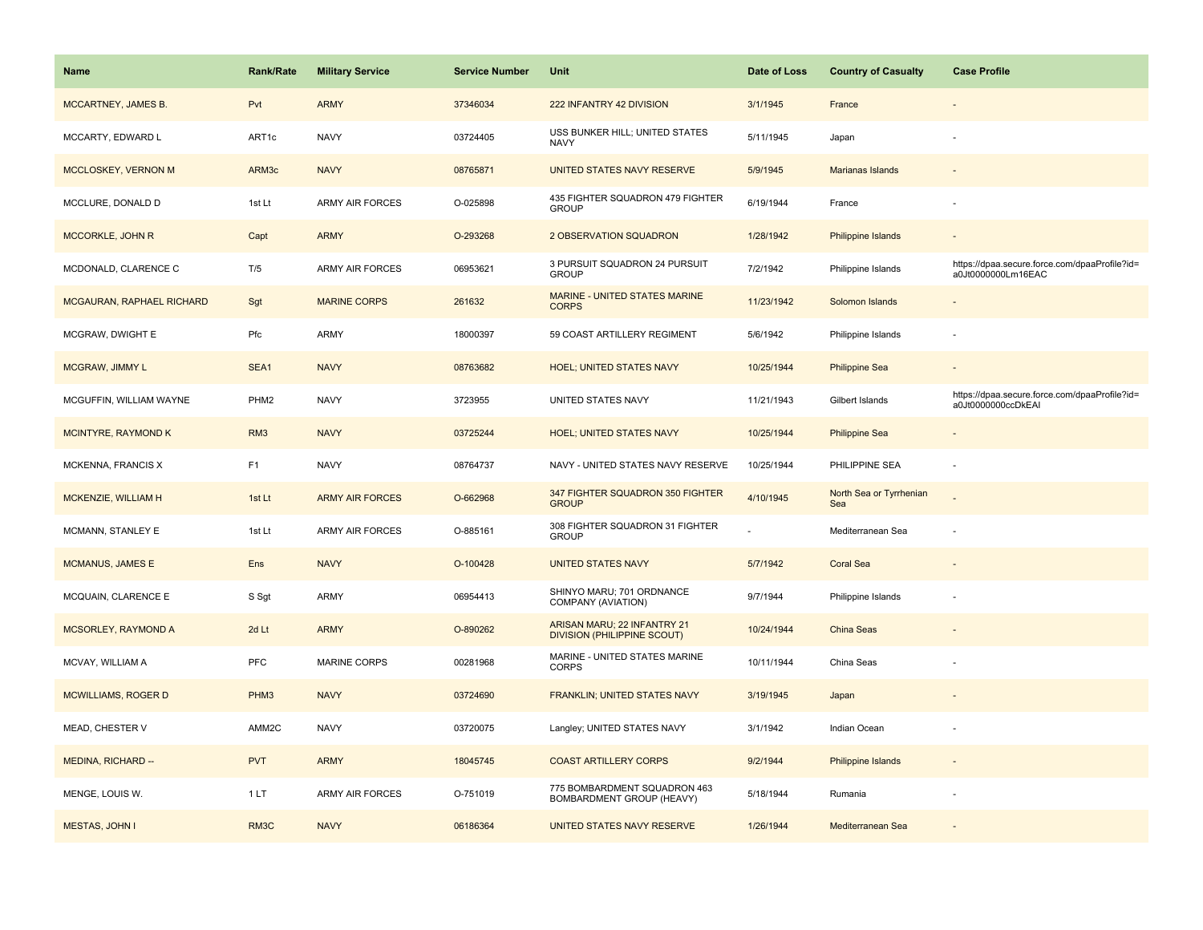| Name                       | <b>Rank/Rate</b> | <b>Military Service</b> | <b>Service Number</b> | Unit                                                              | Date of Loss | <b>Country of Casualty</b>     | <b>Case Profile</b>                                                 |
|----------------------------|------------------|-------------------------|-----------------------|-------------------------------------------------------------------|--------------|--------------------------------|---------------------------------------------------------------------|
| MCCARTNEY, JAMES B.        | Pvt              | <b>ARMY</b>             | 37346034              | 222 INFANTRY 42 DIVISION                                          | 3/1/1945     | France                         |                                                                     |
| MCCARTY, EDWARD L          | ART1c            | <b>NAVY</b>             | 03724405              | USS BUNKER HILL; UNITED STATES<br>NAVY                            | 5/11/1945    | Japan                          |                                                                     |
| MCCLOSKEY, VERNON M        | ARM3c            | <b>NAVY</b>             | 08765871              | UNITED STATES NAVY RESERVE                                        | 5/9/1945     | Marianas Islands               |                                                                     |
| MCCLURE, DONALD D          | 1st Lt           | ARMY AIR FORCES         | O-025898              | 435 FIGHTER SQUADRON 479 FIGHTER<br><b>GROUP</b>                  | 6/19/1944    | France                         |                                                                     |
| MCCORKLE, JOHN R           | Capt             | <b>ARMY</b>             | O-293268              | 2 OBSERVATION SQUADRON                                            | 1/28/1942    | Philippine Islands             |                                                                     |
| MCDONALD, CLARENCE C       | T/5              | <b>ARMY AIR FORCES</b>  | 06953621              | 3 PURSUIT SQUADRON 24 PURSUIT<br><b>GROUP</b>                     | 7/2/1942     | Philippine Islands             | https://dpaa.secure.force.com/dpaaProfile?id=<br>a0Jt0000000Lm16EAC |
| MCGAURAN, RAPHAEL RICHARD  | Sgt              | <b>MARINE CORPS</b>     | 261632                | <b>MARINE - UNITED STATES MARINE</b><br><b>CORPS</b>              | 11/23/1942   | Solomon Islands                |                                                                     |
| MCGRAW, DWIGHT E           | Pfc              | <b>ARMY</b>             | 18000397              | 59 COAST ARTILLERY REGIMENT                                       | 5/6/1942     | Philippine Islands             | ÷.                                                                  |
| MCGRAW, JIMMY L            | SEA1             | <b>NAVY</b>             | 08763682              | <b>HOEL; UNITED STATES NAVY</b>                                   | 10/25/1944   | <b>Philippine Sea</b>          |                                                                     |
| MCGUFFIN, WILLIAM WAYNE    | PHM <sub>2</sub> | <b>NAVY</b>             | 3723955               | UNITED STATES NAVY                                                | 11/21/1943   | Gilbert Islands                | https://dpaa.secure.force.com/dpaaProfile?id=<br>a0Jt0000000ccDkEAI |
| MCINTYRE, RAYMOND K        | RM <sub>3</sub>  | <b>NAVY</b>             | 03725244              | <b>HOEL; UNITED STATES NAVY</b>                                   | 10/25/1944   | <b>Philippine Sea</b>          |                                                                     |
| MCKENNA, FRANCIS X         | F <sub>1</sub>   | <b>NAVY</b>             | 08764737              | NAVY - UNITED STATES NAVY RESERVE                                 | 10/25/1944   | PHILIPPINE SEA                 | ÷,                                                                  |
| MCKENZIE, WILLIAM H        | 1st Lt           | <b>ARMY AIR FORCES</b>  | O-662968              | 347 FIGHTER SQUADRON 350 FIGHTER<br><b>GROUP</b>                  | 4/10/1945    | North Sea or Tyrrhenian<br>Sea |                                                                     |
| MCMANN, STANLEY E          | 1st Lt           | <b>ARMY AIR FORCES</b>  | O-885161              | 308 FIGHTER SQUADRON 31 FIGHTER<br><b>GROUP</b>                   |              | Mediterranean Sea              | $\overline{\phantom{a}}$                                            |
| <b>MCMANUS, JAMES E</b>    | Ens              | <b>NAVY</b>             | O-100428              | <b>UNITED STATES NAVY</b>                                         | 5/7/1942     | <b>Coral Sea</b>               |                                                                     |
| MCQUAIN, CLARENCE E        | S Sgt            | <b>ARMY</b>             | 06954413              | SHINYO MARU; 701 ORDNANCE<br>COMPANY (AVIATION)                   | 9/7/1944     | Philippine Islands             |                                                                     |
| MCSORLEY, RAYMOND A        | 2d Lt            | <b>ARMY</b>             | O-890262              | ARISAN MARU; 22 INFANTRY 21<br><b>DIVISION (PHILIPPINE SCOUT)</b> | 10/24/1944   | China Seas                     |                                                                     |
| MCVAY, WILLIAM A           | PFC              | MARINE CORPS            | 00281968              | MARINE - UNITED STATES MARINE<br><b>CORPS</b>                     | 10/11/1944   | China Seas                     |                                                                     |
| <b>MCWILLIAMS, ROGER D</b> | PHM <sub>3</sub> | <b>NAVY</b>             | 03724690              | FRANKLIN; UNITED STATES NAVY                                      | 3/19/1945    | Japan                          |                                                                     |
| MEAD, CHESTER V            | AMM2C            | <b>NAVY</b>             | 03720075              | Langley; UNITED STATES NAVY                                       | 3/1/1942     | Indian Ocean                   |                                                                     |
| MEDINA, RICHARD --         | <b>PVT</b>       | <b>ARMY</b>             | 18045745              | <b>COAST ARTILLERY CORPS</b>                                      | 9/2/1944     | <b>Philippine Islands</b>      |                                                                     |
| MENGE, LOUIS W.            | 1 LT             | <b>ARMY AIR FORCES</b>  | O-751019              | 775 BOMBARDMENT SQUADRON 463<br>BOMBARDMENT GROUP (HEAVY)         | 5/18/1944    | Rumania                        |                                                                     |
| <b>MESTAS, JOHN I</b>      | RM3C             | <b>NAVY</b>             | 06186364              | UNITED STATES NAVY RESERVE                                        | 1/26/1944    | Mediterranean Sea              |                                                                     |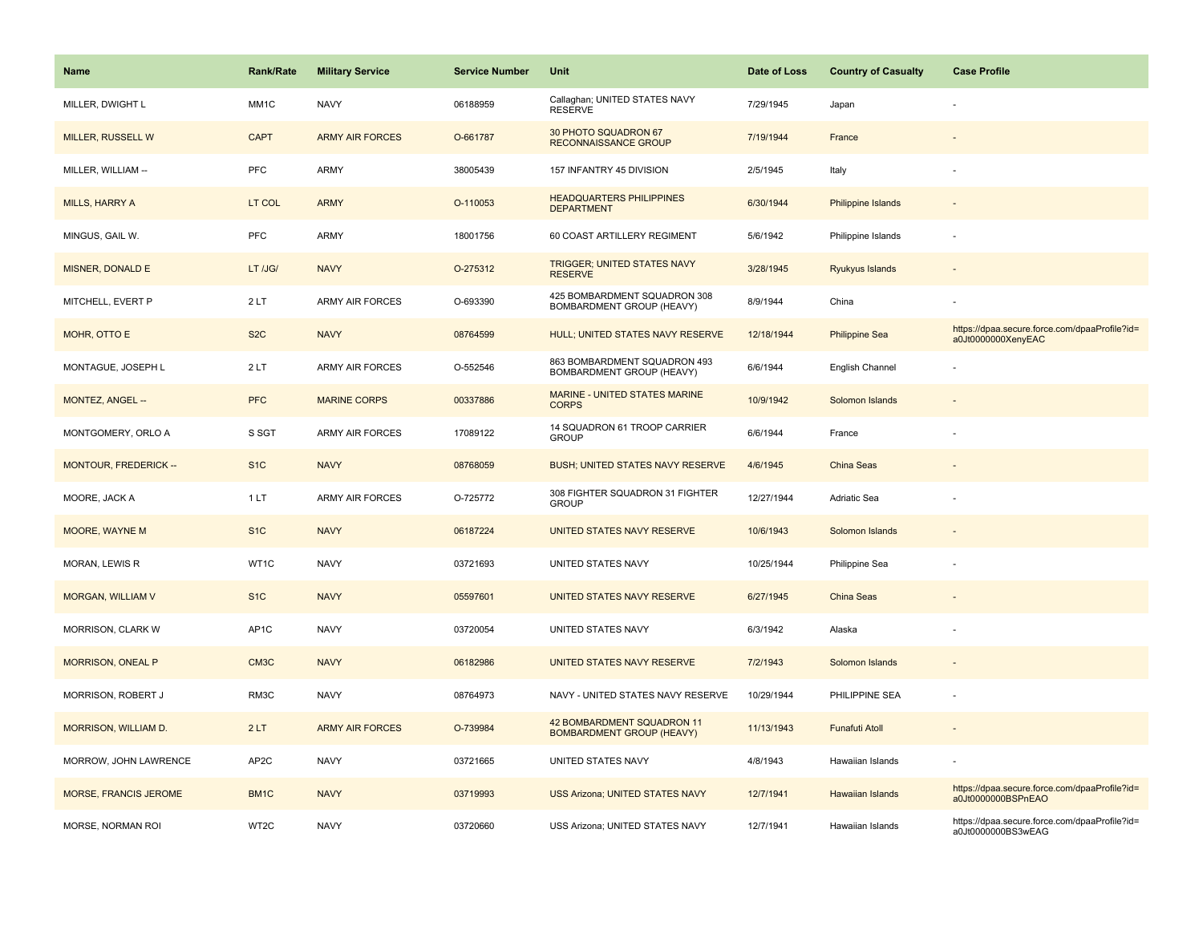| <b>Name</b>                  | Rank/Rate         | <b>Military Service</b> | <b>Service Number</b> | Unit                                                           | Date of Loss | <b>Country of Casualty</b> | <b>Case Profile</b>                                                 |
|------------------------------|-------------------|-------------------------|-----------------------|----------------------------------------------------------------|--------------|----------------------------|---------------------------------------------------------------------|
| MILLER, DWIGHT L             | MM1C              | <b>NAVY</b>             | 06188959              | Callaghan; UNITED STATES NAVY<br><b>RESERVE</b>                | 7/29/1945    | Japan                      |                                                                     |
| MILLER, RUSSELL W            | <b>CAPT</b>       | <b>ARMY AIR FORCES</b>  | O-661787              | 30 PHOTO SQUADRON 67<br><b>RECONNAISSANCE GROUP</b>            | 7/19/1944    | France                     |                                                                     |
| MILLER, WILLIAM --           | <b>PFC</b>        | <b>ARMY</b>             | 38005439              | 157 INFANTRY 45 DIVISION                                       | 2/5/1945     | Italy                      |                                                                     |
| <b>MILLS, HARRY A</b>        | LT COL            | <b>ARMY</b>             | O-110053              | <b>HEADQUARTERS PHILIPPINES</b><br><b>DEPARTMENT</b>           | 6/30/1944    | <b>Philippine Islands</b>  |                                                                     |
| MINGUS, GAIL W.              | <b>PFC</b>        | <b>ARMY</b>             | 18001756              | 60 COAST ARTILLERY REGIMENT                                    | 5/6/1942     | Philippine Islands         |                                                                     |
| MISNER, DONALD E             | LT /JG/           | <b>NAVY</b>             | O-275312              | <b>TRIGGER; UNITED STATES NAVY</b><br><b>RESERVE</b>           | 3/28/1945    | Ryukyus Islands            |                                                                     |
| MITCHELL, EVERT P            | 2LT               | <b>ARMY AIR FORCES</b>  | O-693390              | 425 BOMBARDMENT SQUADRON 308<br>BOMBARDMENT GROUP (HEAVY)      | 8/9/1944     | China                      |                                                                     |
| MOHR, OTTO E                 | S <sub>2</sub> C  | <b>NAVY</b>             | 08764599              | HULL; UNITED STATES NAVY RESERVE                               | 12/18/1944   | <b>Philippine Sea</b>      | https://dpaa.secure.force.com/dpaaProfile?id=<br>a0Jt0000000XenyEAC |
| MONTAGUE, JOSEPH L           | 2LT               | <b>ARMY AIR FORCES</b>  | O-552546              | 863 BOMBARDMENT SQUADRON 493<br>BOMBARDMENT GROUP (HEAVY)      | 6/6/1944     | English Channel            |                                                                     |
| MONTEZ, ANGEL --             | <b>PFC</b>        | <b>MARINE CORPS</b>     | 00337886              | <b>MARINE - UNITED STATES MARINE</b><br><b>CORPS</b>           | 10/9/1942    | Solomon Islands            |                                                                     |
| MONTGOMERY, ORLO A           | S SGT             | <b>ARMY AIR FORCES</b>  | 17089122              | 14 SQUADRON 61 TROOP CARRIER<br><b>GROUP</b>                   | 6/6/1944     | France                     |                                                                     |
| <b>MONTOUR, FREDERICK --</b> | S <sub>1</sub> C  | <b>NAVY</b>             | 08768059              | <b>BUSH; UNITED STATES NAVY RESERVE</b>                        | 4/6/1945     | China Seas                 |                                                                     |
| MOORE, JACK A                | 1LT               | <b>ARMY AIR FORCES</b>  | O-725772              | 308 FIGHTER SQUADRON 31 FIGHTER<br><b>GROUP</b>                | 12/27/1944   | Adriatic Sea               |                                                                     |
| <b>MOORE, WAYNE M</b>        | S <sub>1</sub> C  | <b>NAVY</b>             | 06187224              | UNITED STATES NAVY RESERVE                                     | 10/6/1943    | Solomon Islands            |                                                                     |
| MORAN, LEWIS R               | WT1C              | <b>NAVY</b>             | 03721693              | UNITED STATES NAVY                                             | 10/25/1944   | Philippine Sea             |                                                                     |
| <b>MORGAN, WILLIAM V</b>     | S <sub>1</sub> C  | <b>NAVY</b>             | 05597601              | UNITED STATES NAVY RESERVE                                     | 6/27/1945    | <b>China Seas</b>          |                                                                     |
| <b>MORRISON, CLARK W</b>     | AP <sub>1</sub> C | <b>NAVY</b>             | 03720054              | UNITED STATES NAVY                                             | 6/3/1942     | Alaska                     |                                                                     |
| MORRISON, ONEAL P            | CM3C              | <b>NAVY</b>             | 06182986              | UNITED STATES NAVY RESERVE                                     | 7/2/1943     | Solomon Islands            |                                                                     |
| MORRISON, ROBERT J           | RM3C              | <b>NAVY</b>             | 08764973              | NAVY - UNITED STATES NAVY RESERVE                              | 10/29/1944   | PHILIPPINE SEA             |                                                                     |
| MORRISON, WILLIAM D.         | 2LT               | <b>ARMY AIR FORCES</b>  | O-739984              | 42 BOMBARDMENT SQUADRON 11<br><b>BOMBARDMENT GROUP (HEAVY)</b> | 11/13/1943   | <b>Funafuti Atoll</b>      | $\sim$                                                              |
| MORROW, JOHN LAWRENCE        | AP <sub>2</sub> C | <b>NAVY</b>             | 03721665              | UNITED STATES NAVY                                             | 4/8/1943     | Hawaiian Islands           | ÷.                                                                  |
| <b>MORSE, FRANCIS JEROME</b> | BM1C              | <b>NAVY</b>             | 03719993              | <b>USS Arizona; UNITED STATES NAVY</b>                         | 12/7/1941    | Hawaiian Islands           | https://dpaa.secure.force.com/dpaaProfile?id=<br>a0Jt0000000BSPnEAO |
| MORSE, NORMAN ROI            | WT <sub>2</sub> C | <b>NAVY</b>             | 03720660              | <b>USS Arizona: UNITED STATES NAVY</b>                         | 12/7/1941    | Hawaiian Islands           | https://dpaa.secure.force.com/dpaaProfile?id=<br>a0Jt0000000BS3wEAG |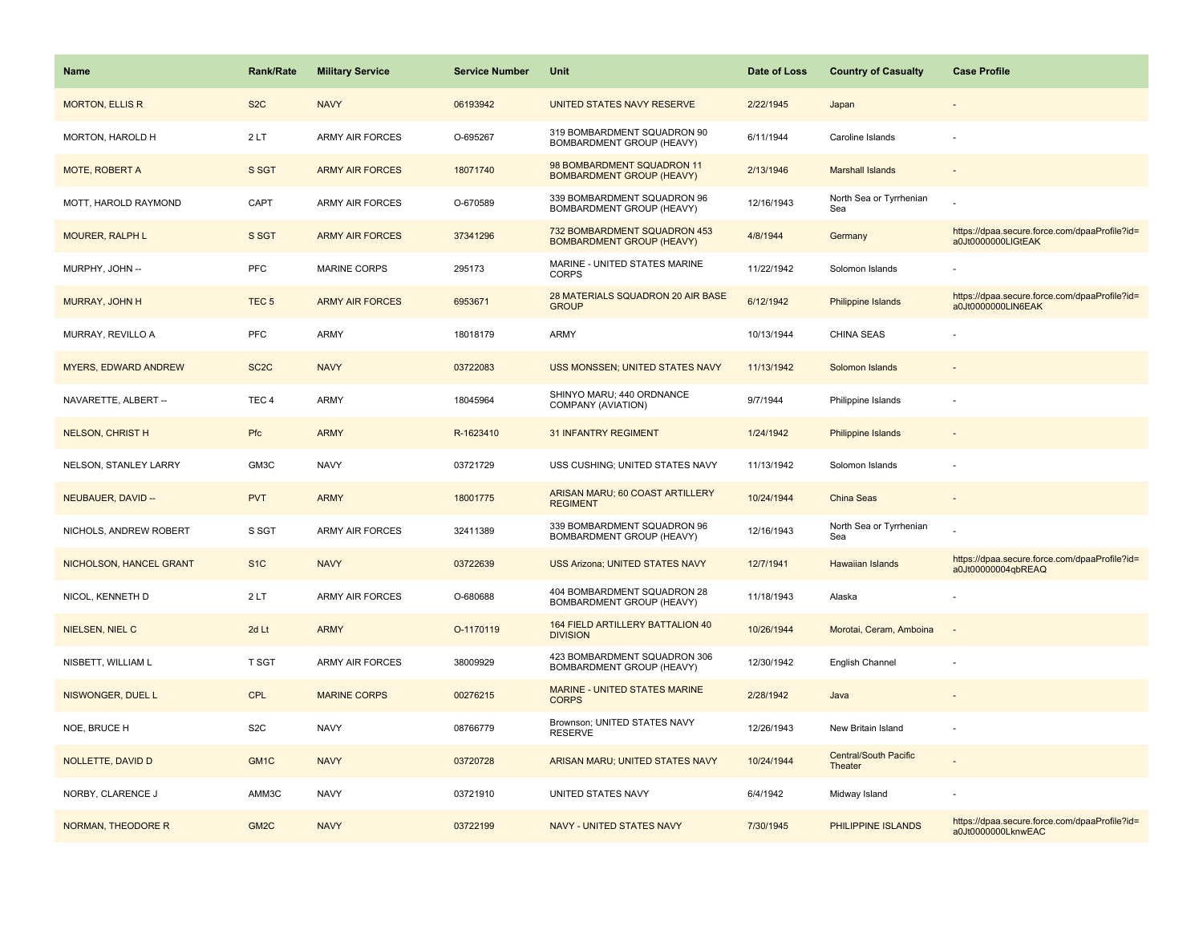| <b>Name</b>                 | <b>Rank/Rate</b>  | <b>Military Service</b> | <b>Service Number</b> | Unit                                                             | Date of Loss | <b>Country of Casualty</b>       | <b>Case Profile</b>                                                 |
|-----------------------------|-------------------|-------------------------|-----------------------|------------------------------------------------------------------|--------------|----------------------------------|---------------------------------------------------------------------|
| <b>MORTON, ELLIS R</b>      | S <sub>2</sub> C  | <b>NAVY</b>             | 06193942              | UNITED STATES NAVY RESERVE                                       | 2/22/1945    | Japan                            |                                                                     |
| MORTON, HAROLD H            | 2LT               | ARMY AIR FORCES         | O-695267              | 319 BOMBARDMENT SQUADRON 90<br>BOMBARDMENT GROUP (HEAVY)         | 6/11/1944    | Caroline Islands                 |                                                                     |
| MOTE, ROBERT A              | S SGT             | <b>ARMY AIR FORCES</b>  | 18071740              | 98 BOMBARDMENT SQUADRON 11<br><b>BOMBARDMENT GROUP (HEAVY)</b>   | 2/13/1946    | <b>Marshall Islands</b>          |                                                                     |
| MOTT, HAROLD RAYMOND        | CAPT              | <b>ARMY AIR FORCES</b>  | O-670589              | 339 BOMBARDMENT SQUADRON 96<br>BOMBARDMENT GROUP (HEAVY)         | 12/16/1943   | North Sea or Tyrrhenian<br>Sea   |                                                                     |
| <b>MOURER, RALPH L</b>      | S SGT             | <b>ARMY AIR FORCES</b>  | 37341296              | 732 BOMBARDMENT SQUADRON 453<br><b>BOMBARDMENT GROUP (HEAVY)</b> | 4/8/1944     | Germany                          | https://dpaa.secure.force.com/dpaaProfile?id=<br>a0Jt0000000LIGtEAK |
| MURPHY, JOHN --             | <b>PFC</b>        | <b>MARINE CORPS</b>     | 295173                | MARINE - UNITED STATES MARINE<br><b>CORPS</b>                    | 11/22/1942   | Solomon Islands                  |                                                                     |
| <b>MURRAY, JOHN H</b>       | TEC <sub>5</sub>  | <b>ARMY AIR FORCES</b>  | 6953671               | 28 MATERIALS SQUADRON 20 AIR BASE<br><b>GROUP</b>                | 6/12/1942    | <b>Philippine Islands</b>        | https://dpaa.secure.force.com/dpaaProfile?id=<br>a0Jt0000000LIN6EAK |
| MURRAY, REVILLO A           | <b>PFC</b>        | ARMY                    | 18018179              | <b>ARMY</b>                                                      | 10/13/1944   | <b>CHINA SEAS</b>                |                                                                     |
| <b>MYERS, EDWARD ANDREW</b> | SC <sub>2</sub> C | <b>NAVY</b>             | 03722083              | USS MONSSEN; UNITED STATES NAVY                                  | 11/13/1942   | Solomon Islands                  |                                                                     |
| NAVARETTE, ALBERT --        | TEC <sub>4</sub>  | ARMY                    | 18045964              | SHINYO MARU; 440 ORDNANCE<br>COMPANY (AVIATION)                  | 9/7/1944     | Philippine Islands               |                                                                     |
| <b>NELSON, CHRIST H</b>     | Pfc               | <b>ARMY</b>             | R-1623410             | <b>31 INFANTRY REGIMENT</b>                                      | 1/24/1942    | <b>Philippine Islands</b>        |                                                                     |
| NELSON, STANLEY LARRY       | GM3C              | <b>NAVY</b>             | 03721729              | USS CUSHING; UNITED STATES NAVY                                  | 11/13/1942   | Solomon Islands                  |                                                                     |
| NEUBAUER, DAVID --          | <b>PVT</b>        | <b>ARMY</b>             | 18001775              | ARISAN MARU; 60 COAST ARTILLERY<br><b>REGIMENT</b>               | 10/24/1944   | China Seas                       |                                                                     |
| NICHOLS, ANDREW ROBERT      | S SGT             | ARMY AIR FORCES         | 32411389              | 339 BOMBARDMENT SQUADRON 96<br>BOMBARDMENT GROUP (HEAVY)         | 12/16/1943   | North Sea or Tyrrhenian<br>Sea   |                                                                     |
| NICHOLSON, HANCEL GRANT     | S <sub>1</sub> C  | <b>NAVY</b>             | 03722639              | <b>USS Arizona; UNITED STATES NAVY</b>                           | 12/7/1941    | Hawaiian Islands                 | https://dpaa.secure.force.com/dpaaProfile?id=<br>a0Jt00000004qbREAQ |
| NICOL, KENNETH D            | 2LT               | <b>ARMY AIR FORCES</b>  | O-680688              | 404 BOMBARDMENT SQUADRON 28<br>BOMBARDMENT GROUP (HEAVY)         | 11/18/1943   | Alaska                           |                                                                     |
| NIELSEN, NIEL C             | 2d Lt             | <b>ARMY</b>             | O-1170119             | 164 FIELD ARTILLERY BATTALION 40<br><b>DIVISION</b>              | 10/26/1944   | Morotai, Ceram, Amboina          |                                                                     |
| NISBETT, WILLIAM L          | T SGT             | <b>ARMY AIR FORCES</b>  | 38009929              | 423 BOMBARDMENT SQUADRON 306<br>BOMBARDMENT GROUP (HEAVY)        | 12/30/1942   | English Channel                  |                                                                     |
| NISWONGER, DUEL L           | <b>CPL</b>        | <b>MARINE CORPS</b>     | 00276215              | MARINE - UNITED STATES MARINE<br><b>CORPS</b>                    | 2/28/1942    | Java                             |                                                                     |
| NOE, BRUCE H                | S <sub>2</sub> C  | <b>NAVY</b>             | 08766779              | Brownson; UNITED STATES NAVY<br><b>RESERVE</b>                   | 12/26/1943   | New Britain Island               |                                                                     |
| NOLLETTE, DAVID D           | GM <sub>1</sub> C | <b>NAVY</b>             | 03720728              | ARISAN MARU; UNITED STATES NAVY                                  | 10/24/1944   | Central/South Pacific<br>Theater |                                                                     |
| NORBY, CLARENCE J           | AMM3C             | <b>NAVY</b>             | 03721910              | UNITED STATES NAVY                                               | 6/4/1942     | Midway Island                    |                                                                     |
| <b>NORMAN, THEODORE R</b>   | GM <sub>2</sub> C | <b>NAVY</b>             | 03722199              | <b>NAVY - UNITED STATES NAVY</b>                                 | 7/30/1945    | PHILIPPINE ISLANDS               | https://dpaa.secure.force.com/dpaaProfile?id=<br>a0Jt0000000LknwEAC |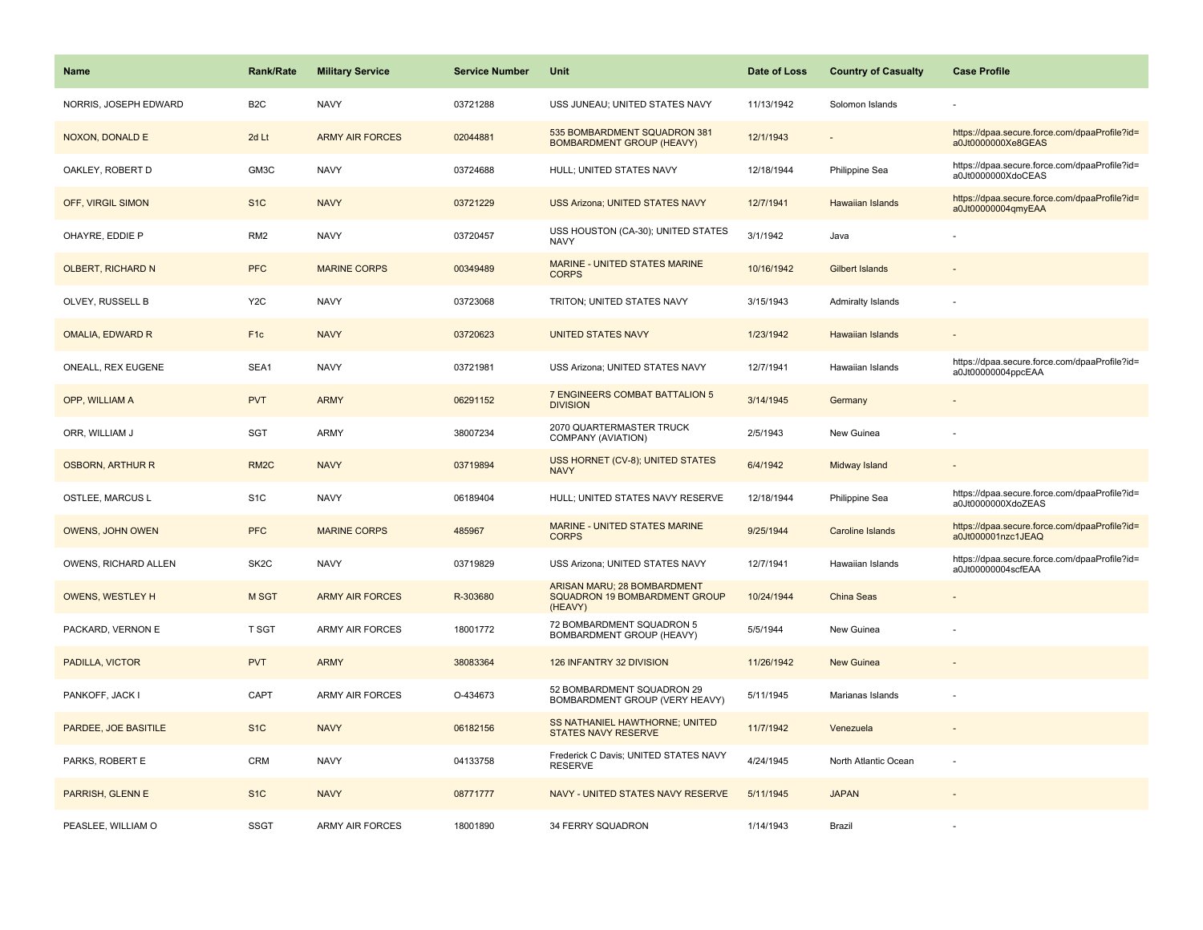| <b>Name</b>              | <b>Rank/Rate</b>  | <b>Military Service</b> | <b>Service Number</b> | Unit                                                                    | Date of Loss | <b>Country of Casualty</b> | <b>Case Profile</b>                                                 |
|--------------------------|-------------------|-------------------------|-----------------------|-------------------------------------------------------------------------|--------------|----------------------------|---------------------------------------------------------------------|
| NORRIS, JOSEPH EDWARD    | B <sub>2</sub> C  | <b>NAVY</b>             | 03721288              | USS JUNEAU; UNITED STATES NAVY                                          | 11/13/1942   | Solomon Islands            |                                                                     |
| <b>NOXON, DONALD E</b>   | 2d Lt             | <b>ARMY AIR FORCES</b>  | 02044881              | 535 BOMBARDMENT SQUADRON 381<br><b>BOMBARDMENT GROUP (HEAVY)</b>        | 12/1/1943    |                            | https://dpaa.secure.force.com/dpaaProfile?id=<br>a0Jt0000000Xe8GEAS |
| OAKLEY, ROBERT D         | GM3C              | <b>NAVY</b>             | 03724688              | HULL; UNITED STATES NAVY                                                | 12/18/1944   | Philippine Sea             | https://dpaa.secure.force.com/dpaaProfile?id=<br>a0Jt0000000XdoCEAS |
| OFF, VIRGIL SIMON        | S <sub>1</sub> C  | <b>NAVY</b>             | 03721229              | <b>USS Arizona; UNITED STATES NAVY</b>                                  | 12/7/1941    | Hawaiian Islands           | https://dpaa.secure.force.com/dpaaProfile?id=<br>a0Jt00000004qmyEAA |
| OHAYRE, EDDIE P          | RM <sub>2</sub>   | <b>NAVY</b>             | 03720457              | USS HOUSTON (CA-30); UNITED STATES<br><b>NAVY</b>                       | 3/1/1942     | Java                       |                                                                     |
| <b>OLBERT, RICHARD N</b> | <b>PFC</b>        | <b>MARINE CORPS</b>     | 00349489              | MARINE - UNITED STATES MARINE<br><b>CORPS</b>                           | 10/16/1942   | <b>Gilbert Islands</b>     |                                                                     |
| OLVEY, RUSSELL B         | Y <sub>2</sub> C  | <b>NAVY</b>             | 03723068              | TRITON; UNITED STATES NAVY                                              | 3/15/1943    | Admiralty Islands          |                                                                     |
| <b>OMALIA, EDWARD R</b>  | F <sub>1c</sub>   | <b>NAVY</b>             | 03720623              | <b>UNITED STATES NAVY</b>                                               | 1/23/1942    | <b>Hawaiian Islands</b>    |                                                                     |
| ONEALL, REX EUGENE       | SEA1              | <b>NAVY</b>             | 03721981              | USS Arizona; UNITED STATES NAVY                                         | 12/7/1941    | Hawaiian Islands           | https://dpaa.secure.force.com/dpaaProfile?id=<br>a0Jt00000004ppcEAA |
| OPP, WILLIAM A           | <b>PVT</b>        | <b>ARMY</b>             | 06291152              | 7 ENGINEERS COMBAT BATTALION 5<br><b>DIVISION</b>                       | 3/14/1945    | Germany                    |                                                                     |
| ORR, WILLIAM J           | <b>SGT</b>        | ARMY                    | 38007234              | 2070 QUARTERMASTER TRUCK<br>COMPANY (AVIATION)                          | 2/5/1943     | New Guinea                 |                                                                     |
| <b>OSBORN, ARTHUR R</b>  | RM <sub>2</sub> C | <b>NAVY</b>             | 03719894              | USS HORNET (CV-8); UNITED STATES<br><b>NAVY</b>                         | 6/4/1942     | Midway Island              |                                                                     |
| OSTLEE, MARCUS L         | S <sub>1</sub> C  | <b>NAVY</b>             | 06189404              | HULL; UNITED STATES NAVY RESERVE                                        | 12/18/1944   | Philippine Sea             | https://dpaa.secure.force.com/dpaaProfile?id=<br>a0Jt0000000XdoZEAS |
| <b>OWENS, JOHN OWEN</b>  | <b>PFC</b>        | <b>MARINE CORPS</b>     | 485967                | MARINE - UNITED STATES MARINE<br><b>CORPS</b>                           | 9/25/1944    | Caroline Islands           | https://dpaa.secure.force.com/dpaaProfile?id=<br>a0Jt000001nzc1JEAQ |
| OWENS, RICHARD ALLEN     | SK <sub>2</sub> C | <b>NAVY</b>             | 03719829              | USS Arizona; UNITED STATES NAVY                                         | 12/7/1941    | Hawaiian Islands           | https://dpaa.secure.force.com/dpaaProfile?id=<br>a0Jt00000004scfEAA |
| <b>OWENS, WESTLEY H</b>  | M SGT             | <b>ARMY AIR FORCES</b>  | R-303680              | ARISAN MARU; 28 BOMBARDMENT<br>SQUADRON 19 BOMBARDMENT GROUP<br>(HEAVY) | 10/24/1944   | China Seas                 |                                                                     |
| PACKARD, VERNON E        | T SGT             | <b>ARMY AIR FORCES</b>  | 18001772              | 72 BOMBARDMENT SQUADRON 5<br>BOMBARDMENT GROUP (HEAVY)                  | 5/5/1944     | New Guinea                 |                                                                     |
| PADILLA, VICTOR          | <b>PVT</b>        | <b>ARMY</b>             | 38083364              | 126 INFANTRY 32 DIVISION                                                | 11/26/1942   | <b>New Guinea</b>          |                                                                     |
| PANKOFF, JACK I          | CAPT              | ARMY AIR FORCES         | O-434673              | 52 BOMBARDMENT SQUADRON 29<br>BOMBARDMENT GROUP (VERY HEAVY)            | 5/11/1945    | Marianas Islands           |                                                                     |
| PARDEE, JOE BASITILE     | S <sub>1</sub> C  | <b>NAVY</b>             | 06182156              | SS NATHANIEL HAWTHORNE; UNITED<br>STATES NAVY RESERVE                   | 11/7/1942    | Venezuela                  |                                                                     |
| PARKS, ROBERT E          | <b>CRM</b>        | <b>NAVY</b>             | 04133758              | Frederick C Davis; UNITED STATES NAVY<br><b>RESERVE</b>                 | 4/24/1945    | North Atlantic Ocean       |                                                                     |
| PARRISH, GLENN E         | S <sub>1C</sub>   | <b>NAVY</b>             | 08771777              | NAVY - UNITED STATES NAVY RESERVE                                       | 5/11/1945    | <b>JAPAN</b>               |                                                                     |
| PEASLEE, WILLIAM O       | <b>SSGT</b>       | <b>ARMY AIR FORCES</b>  | 18001890              | 34 FERRY SQUADRON                                                       | 1/14/1943    | Brazil                     |                                                                     |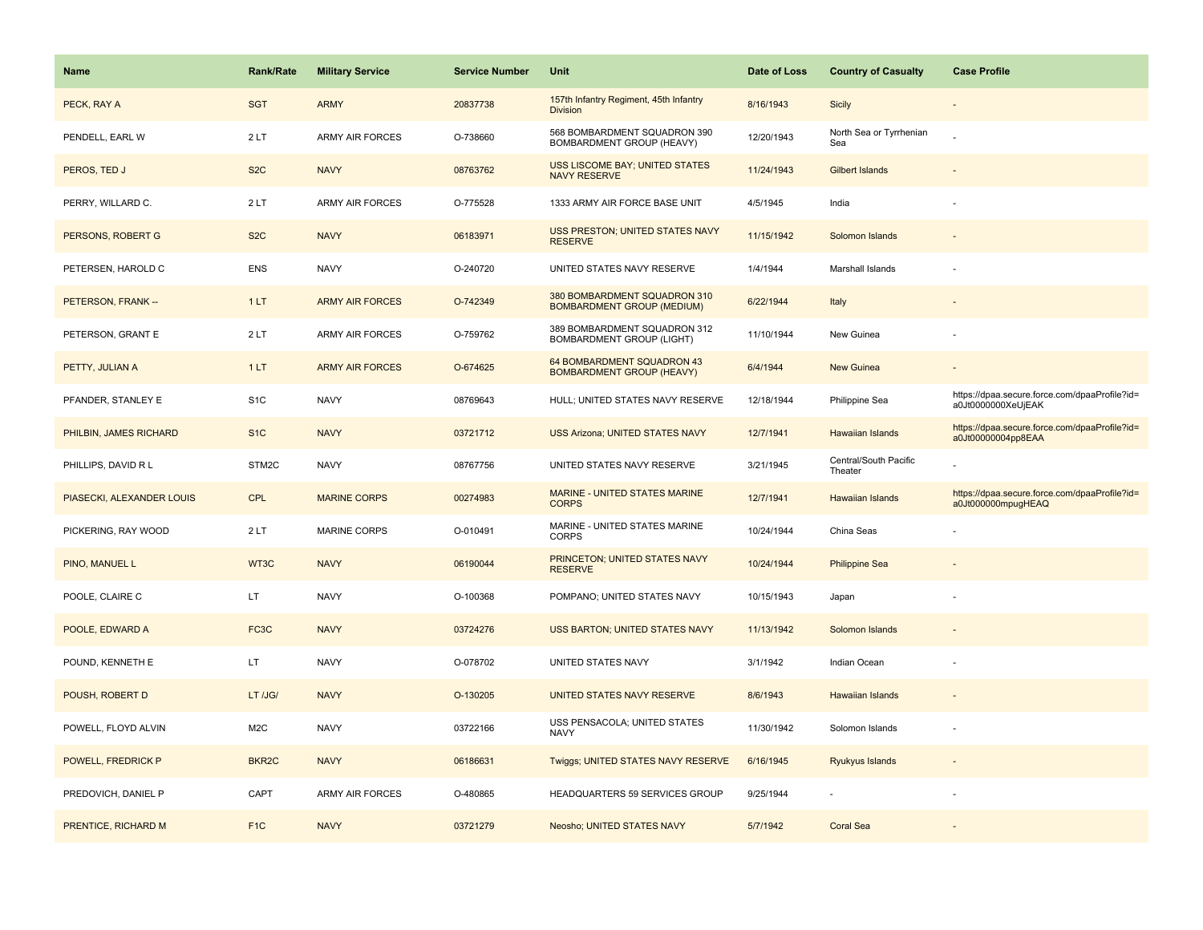| Name                      | <b>Rank/Rate</b>   | <b>Military Service</b> | <b>Service Number</b> | Unit                                                              | Date of Loss | <b>Country of Casualty</b>       | <b>Case Profile</b>                                                 |
|---------------------------|--------------------|-------------------------|-----------------------|-------------------------------------------------------------------|--------------|----------------------------------|---------------------------------------------------------------------|
| PECK, RAY A               | <b>SGT</b>         | <b>ARMY</b>             | 20837738              | 157th Infantry Regiment, 45th Infantry<br><b>Division</b>         | 8/16/1943    | <b>Sicily</b>                    |                                                                     |
| PENDELL, EARL W           | 2LT                | ARMY AIR FORCES         | O-738660              | 568 BOMBARDMENT SQUADRON 390<br>BOMBARDMENT GROUP (HEAVY)         | 12/20/1943   | North Sea or Tyrrhenian<br>Sea   |                                                                     |
| PEROS, TED J              | S <sub>2</sub> C   | <b>NAVY</b>             | 08763762              | USS LISCOME BAY; UNITED STATES<br><b>NAVY RESERVE</b>             | 11/24/1943   | <b>Gilbert Islands</b>           |                                                                     |
| PERRY, WILLARD C.         | 2LT                | ARMY AIR FORCES         | O-775528              | 1333 ARMY AIR FORCE BASE UNIT                                     | 4/5/1945     | India                            |                                                                     |
| PERSONS, ROBERT G         | S <sub>2</sub> C   | <b>NAVY</b>             | 06183971              | USS PRESTON; UNITED STATES NAVY<br><b>RESERVE</b>                 | 11/15/1942   | Solomon Islands                  |                                                                     |
| PETERSEN, HAROLD C        | <b>ENS</b>         | <b>NAVY</b>             | O-240720              | UNITED STATES NAVY RESERVE                                        | 1/4/1944     | Marshall Islands                 |                                                                     |
| PETERSON, FRANK --        | 1LT                | <b>ARMY AIR FORCES</b>  | O-742349              | 380 BOMBARDMENT SQUADRON 310<br><b>BOMBARDMENT GROUP (MEDIUM)</b> | 6/22/1944    | Italy                            |                                                                     |
| PETERSON, GRANT E         | 2LT                | ARMY AIR FORCES         | O-759762              | 389 BOMBARDMENT SQUADRON 312<br>BOMBARDMENT GROUP (LIGHT)         | 11/10/1944   | New Guinea                       |                                                                     |
| PETTY, JULIAN A           | 1LT                | <b>ARMY AIR FORCES</b>  | O-674625              | 64 BOMBARDMENT SQUADRON 43<br><b>BOMBARDMENT GROUP (HEAVY)</b>    | 6/4/1944     | New Guinea                       |                                                                     |
| PFANDER, STANLEY E        | S <sub>1</sub> C   | <b>NAVY</b>             | 08769643              | HULL; UNITED STATES NAVY RESERVE                                  | 12/18/1944   | Philippine Sea                   | https://dpaa.secure.force.com/dpaaProfile?id=<br>a0Jt0000000XeUjEAK |
| PHILBIN, JAMES RICHARD    | S <sub>1</sub> C   | <b>NAVY</b>             | 03721712              | <b>USS Arizona; UNITED STATES NAVY</b>                            | 12/7/1941    | <b>Hawaiian Islands</b>          | https://dpaa.secure.force.com/dpaaProfile?id=<br>a0Jt00000004pp8EAA |
| PHILLIPS, DAVID R L       | STM2C              | <b>NAVY</b>             | 08767756              | UNITED STATES NAVY RESERVE                                        | 3/21/1945    | Central/South Pacific<br>Theater |                                                                     |
| PIASECKI, ALEXANDER LOUIS | <b>CPL</b>         | <b>MARINE CORPS</b>     | 00274983              | MARINE - UNITED STATES MARINE<br><b>CORPS</b>                     | 12/7/1941    | <b>Hawaiian Islands</b>          | https://dpaa.secure.force.com/dpaaProfile?id=<br>a0Jt000000mpugHEAQ |
| PICKERING, RAY WOOD       | 2LT                | <b>MARINE CORPS</b>     | O-010491              | MARINE - UNITED STATES MARINE<br>CORPS                            | 10/24/1944   | China Seas                       |                                                                     |
| PINO, MANUEL L            | WT3C               | <b>NAVY</b>             | 06190044              | PRINCETON; UNITED STATES NAVY<br><b>RESERVE</b>                   | 10/24/1944   | <b>Philippine Sea</b>            |                                                                     |
| POOLE, CLAIRE C           | LT.                | <b>NAVY</b>             | O-100368              | POMPANO; UNITED STATES NAVY                                       | 10/15/1943   | Japan                            |                                                                     |
| POOLE, EDWARD A           | FC <sub>3</sub> C  | <b>NAVY</b>             | 03724276              | <b>USS BARTON; UNITED STATES NAVY</b>                             | 11/13/1942   | Solomon Islands                  |                                                                     |
| POUND, KENNETH E          | LT.                | <b>NAVY</b>             | O-078702              | UNITED STATES NAVY                                                | 3/1/1942     | Indian Ocean                     |                                                                     |
| POUSH, ROBERT D           | LT /JG/            | <b>NAVY</b>             | O-130205              | UNITED STATES NAVY RESERVE                                        | 8/6/1943     | <b>Hawaiian Islands</b>          |                                                                     |
| POWELL, FLOYD ALVIN       | M <sub>2</sub> C   | <b>NAVY</b>             | 03722166              | USS PENSACOLA; UNITED STATES<br><b>NAVY</b>                       | 11/30/1942   | Solomon Islands                  |                                                                     |
| POWELL, FREDRICK P        | BKR <sub>2</sub> C | <b>NAVY</b>             | 06186631              | Twiggs; UNITED STATES NAVY RESERVE                                | 6/16/1945    | Ryukyus Islands                  |                                                                     |
| PREDOVICH, DANIEL P       | CAPT               | <b>ARMY AIR FORCES</b>  | O-480865              | HEADQUARTERS 59 SERVICES GROUP                                    | 9/25/1944    |                                  |                                                                     |
| PRENTICE, RICHARD M       | F <sub>1C</sub>    | <b>NAVY</b>             | 03721279              | Neosho; UNITED STATES NAVY                                        | 5/7/1942     | <b>Coral Sea</b>                 |                                                                     |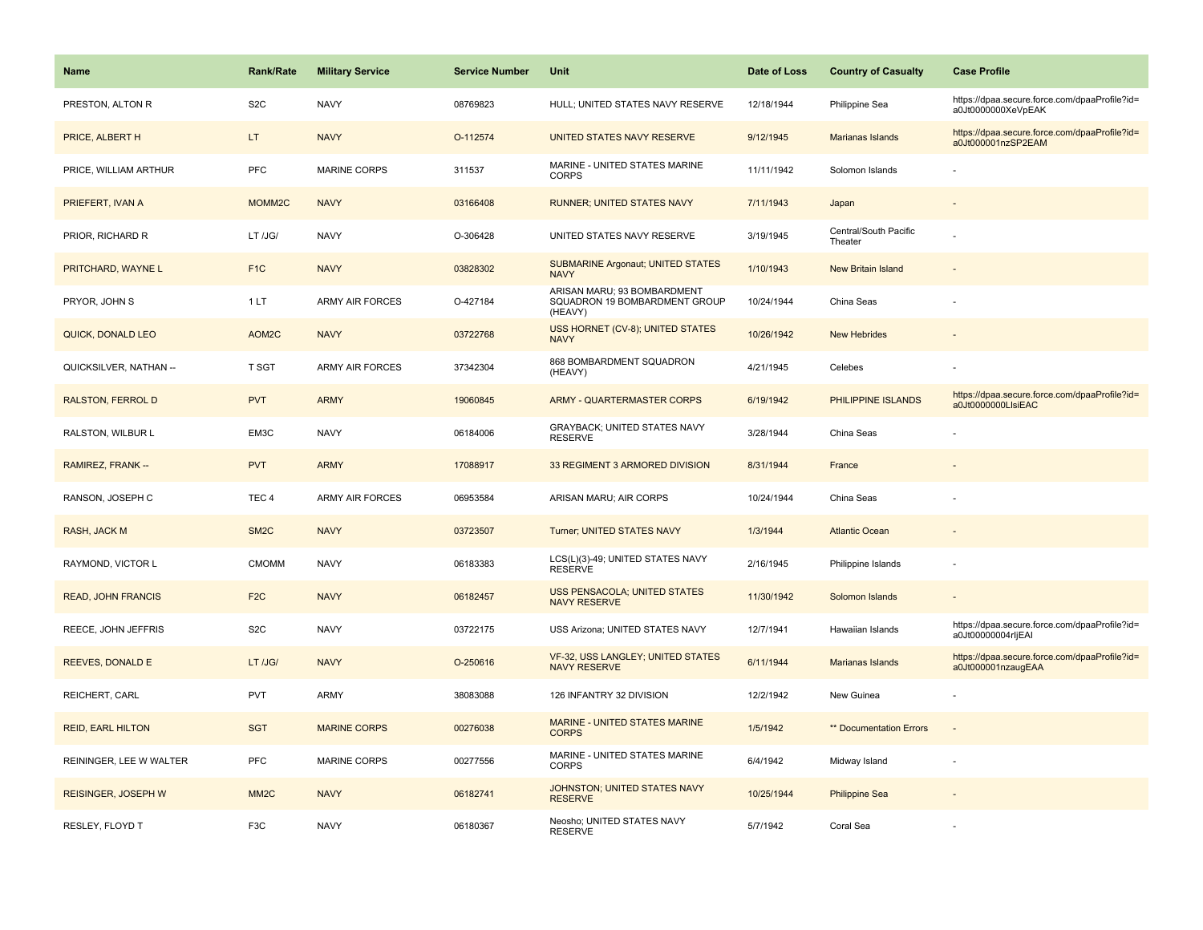| <b>Name</b>                | <b>Rank/Rate</b>   | <b>Military Service</b> | <b>Service Number</b> | Unit                                                                    | Date of Loss | <b>Country of Casualty</b>       | <b>Case Profile</b>                                                 |
|----------------------------|--------------------|-------------------------|-----------------------|-------------------------------------------------------------------------|--------------|----------------------------------|---------------------------------------------------------------------|
| PRESTON, ALTON R           | S <sub>2</sub> C   | <b>NAVY</b>             | 08769823              | HULL; UNITED STATES NAVY RESERVE                                        | 12/18/1944   | Philippine Sea                   | https://dpaa.secure.force.com/dpaaProfile?id=<br>a0Jt0000000XeVpEAK |
| PRICE, ALBERT H            | LT.                | <b>NAVY</b>             | O-112574              | UNITED STATES NAVY RESERVE                                              | 9/12/1945    | Marianas Islands                 | https://dpaa.secure.force.com/dpaaProfile?id=<br>a0Jt000001nzSP2EAM |
| PRICE, WILLIAM ARTHUR      | PFC                | MARINE CORPS            | 311537                | MARINE - UNITED STATES MARINE<br><b>CORPS</b>                           | 11/11/1942   | Solomon Islands                  |                                                                     |
| PRIEFERT, IVAN A           | MOMM <sub>2C</sub> | <b>NAVY</b>             | 03166408              | <b>RUNNER; UNITED STATES NAVY</b>                                       | 7/11/1943    | Japan                            |                                                                     |
| PRIOR, RICHARD R           | LT /JG/            | <b>NAVY</b>             | O-306428              | UNITED STATES NAVY RESERVE                                              | 3/19/1945    | Central/South Pacific<br>Theater |                                                                     |
| PRITCHARD, WAYNE L         | F <sub>1C</sub>    | <b>NAVY</b>             | 03828302              | <b>SUBMARINE Argonaut; UNITED STATES</b><br><b>NAVY</b>                 | 1/10/1943    | New Britain Island               |                                                                     |
| PRYOR, JOHN S              | 1LT                | <b>ARMY AIR FORCES</b>  | O-427184              | ARISAN MARU; 93 BOMBARDMENT<br>SQUADRON 19 BOMBARDMENT GROUP<br>(HEAVY) | 10/24/1944   | China Seas                       |                                                                     |
| QUICK, DONALD LEO          | AOM2C              | <b>NAVY</b>             | 03722768              | USS HORNET (CV-8); UNITED STATES<br><b>NAVY</b>                         | 10/26/1942   | <b>New Hebrides</b>              |                                                                     |
| QUICKSILVER, NATHAN --     | T SGT              | <b>ARMY AIR FORCES</b>  | 37342304              | 868 BOMBARDMENT SQUADRON<br>(HEAVY)                                     | 4/21/1945    | Celebes                          |                                                                     |
| RALSTON, FERROL D          | <b>PVT</b>         | <b>ARMY</b>             | 19060845              | <b>ARMY - QUARTERMASTER CORPS</b>                                       | 6/19/1942    | PHILIPPINE ISLANDS               | https://dpaa.secure.force.com/dpaaProfile?id=<br>a0Jt0000000LlsiEAC |
| RALSTON, WILBUR L          | EM3C               | <b>NAVY</b>             | 06184006              | <b>GRAYBACK; UNITED STATES NAVY</b><br><b>RESERVE</b>                   | 3/28/1944    | China Seas                       |                                                                     |
| RAMIREZ, FRANK --          | <b>PVT</b>         | <b>ARMY</b>             | 17088917              | 33 REGIMENT 3 ARMORED DIVISION                                          | 8/31/1944    | France                           |                                                                     |
| RANSON, JOSEPH C           | TEC <sub>4</sub>   | <b>ARMY AIR FORCES</b>  | 06953584              | ARISAN MARU; AIR CORPS                                                  | 10/24/1944   | China Seas                       |                                                                     |
| RASH, JACK M               | SM <sub>2</sub> C  | <b>NAVY</b>             | 03723507              | Turner; UNITED STATES NAVY                                              | 1/3/1944     | <b>Atlantic Ocean</b>            |                                                                     |
| RAYMOND, VICTOR L          | <b>CMOMM</b>       | <b>NAVY</b>             | 06183383              | LCS(L)(3)-49; UNITED STATES NAVY<br><b>RESERVE</b>                      | 2/16/1945    | Philippine Islands               |                                                                     |
| <b>READ, JOHN FRANCIS</b>  | F <sub>2C</sub>    | <b>NAVY</b>             | 06182457              | <b>USS PENSACOLA; UNITED STATES</b><br><b>NAVY RESERVE</b>              | 11/30/1942   | Solomon Islands                  |                                                                     |
| REECE, JOHN JEFFRIS        | S <sub>2</sub> C   | <b>NAVY</b>             | 03722175              | USS Arizona; UNITED STATES NAVY                                         | 12/7/1941    | Hawaiian Islands                 | https://dpaa.secure.force.com/dpaaProfile?id=<br>a0Jt00000004rljEAI |
| <b>REEVES, DONALD E</b>    | LT /JG/            | <b>NAVY</b>             | O-250616              | VF-32, USS LANGLEY; UNITED STATES<br><b>NAVY RESERVE</b>                | 6/11/1944    | Marianas Islands                 | https://dpaa.secure.force.com/dpaaProfile?id=<br>a0Jt000001nzaugEAA |
| REICHERT, CARL             | <b>PVT</b>         | ARMY                    | 38083088              | 126 INFANTRY 32 DIVISION                                                | 12/2/1942    | New Guinea                       |                                                                     |
| <b>REID, EARL HILTON</b>   | <b>SGT</b>         | <b>MARINE CORPS</b>     | 00276038              | MARINE - UNITED STATES MARINE<br><b>CORPS</b>                           | 1/5/1942     | ** Documentation Errors          |                                                                     |
| REININGER, LEE W WALTER    | <b>PFC</b>         | <b>MARINE CORPS</b>     | 00277556              | MARINE - UNITED STATES MARINE<br><b>CORPS</b>                           | 6/4/1942     | Midway Island                    |                                                                     |
| <b>REISINGER, JOSEPH W</b> | MM <sub>2</sub> C  | <b>NAVY</b>             | 06182741              | JOHNSTON; UNITED STATES NAVY<br><b>RESERVE</b>                          | 10/25/1944   | <b>Philippine Sea</b>            |                                                                     |
| RESLEY, FLOYD T            | F <sub>3</sub> C   | <b>NAVY</b>             | 06180367              | Neosho; UNITED STATES NAVY<br><b>RESERVE</b>                            | 5/7/1942     | Coral Sea                        |                                                                     |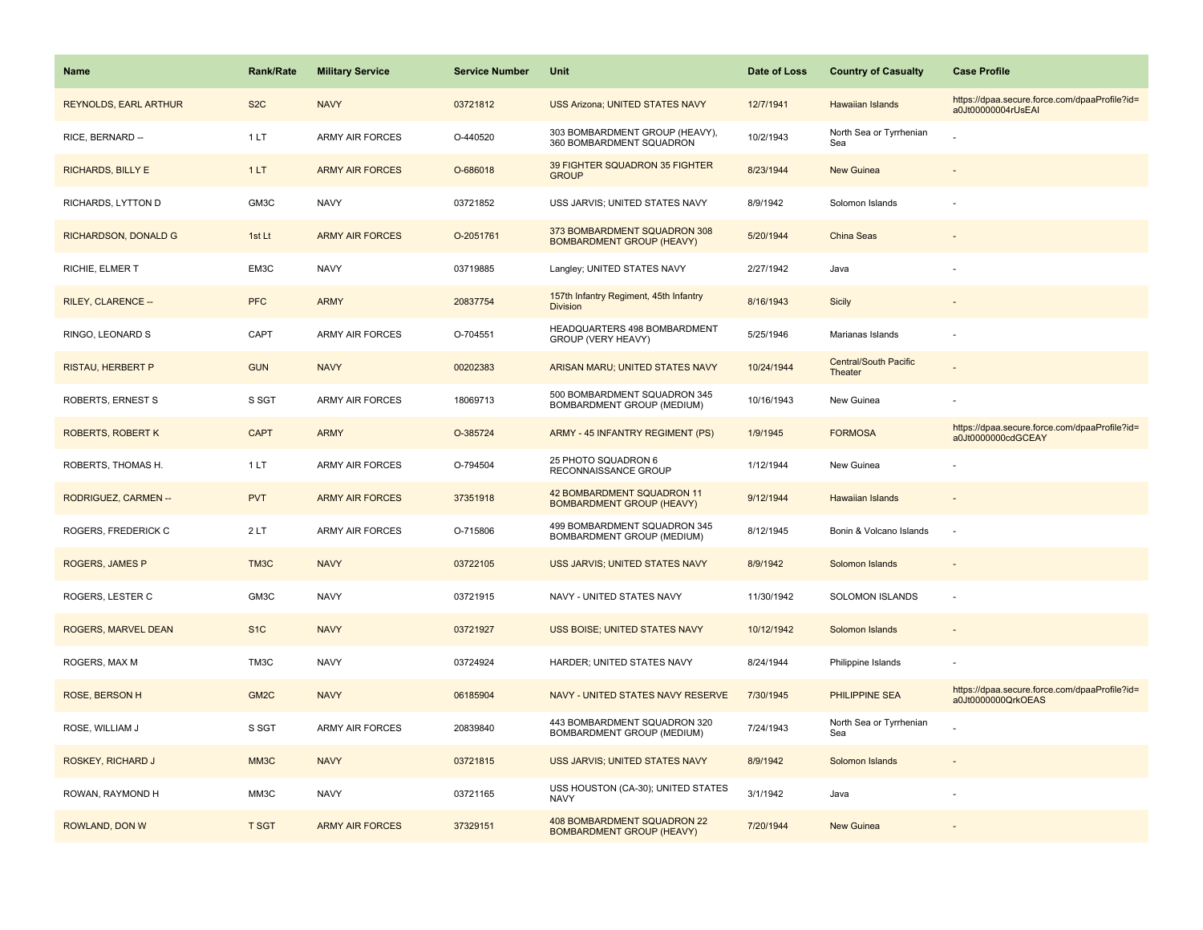| <b>Name</b>                 | <b>Rank/Rate</b> | <b>Military Service</b> | <b>Service Number</b> | Unit                                                             | Date of Loss | <b>Country of Casualty</b>              | <b>Case Profile</b>                                                 |
|-----------------------------|------------------|-------------------------|-----------------------|------------------------------------------------------------------|--------------|-----------------------------------------|---------------------------------------------------------------------|
| REYNOLDS, EARL ARTHUR       | S <sub>2</sub> C | <b>NAVY</b>             | 03721812              | <b>USS Arizona; UNITED STATES NAVY</b>                           | 12/7/1941    | <b>Hawaiian Islands</b>                 | https://dpaa.secure.force.com/dpaaProfile?id=<br>a0Jt00000004rUsEAI |
| RICE, BERNARD --            | 1LT              | <b>ARMY AIR FORCES</b>  | O-440520              | 303 BOMBARDMENT GROUP (HEAVY),<br>360 BOMBARDMENT SQUADRON       | 10/2/1943    | North Sea or Tyrrhenian<br>Sea          |                                                                     |
| <b>RICHARDS, BILLY E</b>    | 1LT              | <b>ARMY AIR FORCES</b>  | O-686018              | 39 FIGHTER SQUADRON 35 FIGHTER<br><b>GROUP</b>                   | 8/23/1944    | <b>New Guinea</b>                       |                                                                     |
| RICHARDS, LYTTON D          | GM3C             | <b>NAVY</b>             | 03721852              | USS JARVIS; UNITED STATES NAVY                                   | 8/9/1942     | Solomon Islands                         |                                                                     |
| <b>RICHARDSON, DONALD G</b> | 1st Lt           | <b>ARMY AIR FORCES</b>  | O-2051761             | 373 BOMBARDMENT SQUADRON 308<br><b>BOMBARDMENT GROUP (HEAVY)</b> | 5/20/1944    | China Seas                              |                                                                     |
| RICHIE, ELMER T             | EM3C             | <b>NAVY</b>             | 03719885              | Langley; UNITED STATES NAVY                                      | 2/27/1942    | Java                                    |                                                                     |
| RILEY, CLARENCE --          | <b>PFC</b>       | <b>ARMY</b>             | 20837754              | 157th Infantry Regiment, 45th Infantry<br><b>Division</b>        | 8/16/1943    | <b>Sicily</b>                           |                                                                     |
| RINGO, LEONARD S            | CAPT             | <b>ARMY AIR FORCES</b>  | O-704551              | HEADQUARTERS 498 BOMBARDMENT<br>GROUP (VERY HEAVY)               | 5/25/1946    | Marianas Islands                        |                                                                     |
| <b>RISTAU, HERBERT P</b>    | <b>GUN</b>       | <b>NAVY</b>             | 00202383              | ARISAN MARU; UNITED STATES NAVY                                  | 10/24/1944   | <b>Central/South Pacific</b><br>Theater |                                                                     |
| <b>ROBERTS, ERNEST S</b>    | S SGT            | <b>ARMY AIR FORCES</b>  | 18069713              | 500 BOMBARDMENT SQUADRON 345<br>BOMBARDMENT GROUP (MEDIUM)       | 10/16/1943   | New Guinea                              |                                                                     |
| <b>ROBERTS, ROBERT K</b>    | <b>CAPT</b>      | <b>ARMY</b>             | O-385724              | ARMY - 45 INFANTRY REGIMENT (PS)                                 | 1/9/1945     | <b>FORMOSA</b>                          | https://dpaa.secure.force.com/dpaaProfile?id=<br>a0Jt0000000cdGCEAY |
| ROBERTS, THOMAS H.          | 1LT              | <b>ARMY AIR FORCES</b>  | O-794504              | 25 PHOTO SQUADRON 6<br>RECONNAISSANCE GROUP                      | 1/12/1944    | New Guinea                              |                                                                     |
| RODRIGUEZ, CARMEN --        | <b>PVT</b>       | <b>ARMY AIR FORCES</b>  | 37351918              | 42 BOMBARDMENT SQUADRON 11<br><b>BOMBARDMENT GROUP (HEAVY)</b>   | 9/12/1944    | <b>Hawaiian Islands</b>                 |                                                                     |
| ROGERS, FREDERICK C         | 2LT              | <b>ARMY AIR FORCES</b>  | O-715806              | 499 BOMBARDMENT SQUADRON 345<br>BOMBARDMENT GROUP (MEDIUM)       | 8/12/1945    | Bonin & Volcano Islands                 | $\sim$                                                              |
| <b>ROGERS, JAMES P</b>      | TM3C             | <b>NAVY</b>             | 03722105              | <b>USS JARVIS; UNITED STATES NAVY</b>                            | 8/9/1942     | Solomon Islands                         |                                                                     |
| ROGERS, LESTER C            | GM3C             | <b>NAVY</b>             | 03721915              | NAVY - UNITED STATES NAVY                                        | 11/30/1942   | SOLOMON ISLANDS                         |                                                                     |
| ROGERS, MARVEL DEAN         | S <sub>1</sub> C | <b>NAVY</b>             | 03721927              | USS BOISE; UNITED STATES NAVY                                    | 10/12/1942   | Solomon Islands                         |                                                                     |
| ROGERS, MAX M               | TM3C             | <b>NAVY</b>             | 03724924              | HARDER; UNITED STATES NAVY                                       | 8/24/1944    | Philippine Islands                      |                                                                     |
| ROSE, BERSON H              | GM <sub>2C</sub> | <b>NAVY</b>             | 06185904              | NAVY - UNITED STATES NAVY RESERVE                                | 7/30/1945    | <b>PHILIPPINE SEA</b>                   | https://dpaa.secure.force.com/dpaaProfile?id=<br>a0Jt0000000QrkOEAS |
| ROSE, WILLIAM J             | S SGT            | <b>ARMY AIR FORCES</b>  | 20839840              | 443 BOMBARDMENT SQUADRON 320<br>BOMBARDMENT GROUP (MEDIUM)       | 7/24/1943    | North Sea or Tyrrhenian<br>Sea          |                                                                     |
| ROSKEY, RICHARD J           | MM3C             | <b>NAVY</b>             | 03721815              | USS JARVIS; UNITED STATES NAVY                                   | 8/9/1942     | Solomon Islands                         |                                                                     |
| ROWAN, RAYMOND H            | MM3C             | <b>NAVY</b>             | 03721165              | USS HOUSTON (CA-30); UNITED STATES<br><b>NAVY</b>                | 3/1/1942     | Java                                    |                                                                     |
| ROWLAND, DON W              | <b>T SGT</b>     | <b>ARMY AIR FORCES</b>  | 37329151              | 408 BOMBARDMENT SQUADRON 22<br><b>BOMBARDMENT GROUP (HEAVY)</b>  | 7/20/1944    | <b>New Guinea</b>                       |                                                                     |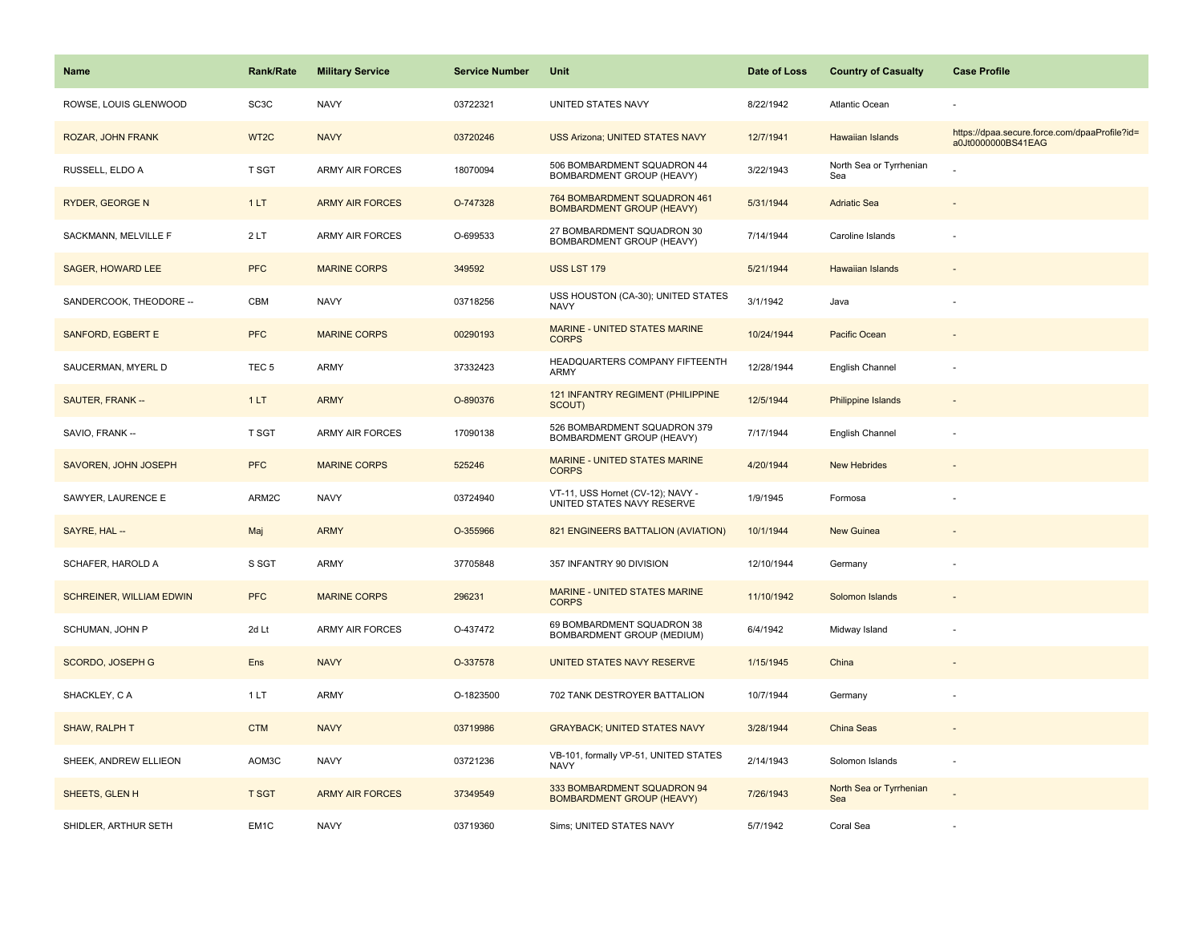| <b>Name</b>                     | <b>Rank/Rate</b>  | <b>Military Service</b> | <b>Service Number</b> | Unit                                                             | Date of Loss | <b>Country of Casualty</b>     | <b>Case Profile</b>                                                 |
|---------------------------------|-------------------|-------------------------|-----------------------|------------------------------------------------------------------|--------------|--------------------------------|---------------------------------------------------------------------|
| ROWSE, LOUIS GLENWOOD           | SC <sub>3</sub> C | <b>NAVY</b>             | 03722321              | UNITED STATES NAVY                                               | 8/22/1942    | Atlantic Ocean                 |                                                                     |
| ROZAR, JOHN FRANK               | WT2C              | <b>NAVY</b>             | 03720246              | <b>USS Arizona: UNITED STATES NAVY</b>                           | 12/7/1941    | <b>Hawaiian Islands</b>        | https://dpaa.secure.force.com/dpaaProfile?id=<br>a0Jt0000000BS41EAG |
| RUSSELL, ELDO A                 | T SGT             | <b>ARMY AIR FORCES</b>  | 18070094              | 506 BOMBARDMENT SQUADRON 44<br>BOMBARDMENT GROUP (HEAVY)         | 3/22/1943    | North Sea or Tyrrhenian<br>Sea |                                                                     |
| RYDER, GEORGE N                 | 1LT               | <b>ARMY AIR FORCES</b>  | O-747328              | 764 BOMBARDMENT SQUADRON 461<br><b>BOMBARDMENT GROUP (HEAVY)</b> | 5/31/1944    | <b>Adriatic Sea</b>            |                                                                     |
| SACKMANN, MELVILLE F            | 2LT               | <b>ARMY AIR FORCES</b>  | O-699533              | 27 BOMBARDMENT SQUADRON 30<br>BOMBARDMENT GROUP (HEAVY)          | 7/14/1944    | Caroline Islands               |                                                                     |
| <b>SAGER, HOWARD LEE</b>        | <b>PFC</b>        | <b>MARINE CORPS</b>     | 349592                | <b>USS LST 179</b>                                               | 5/21/1944    | Hawaiian Islands               |                                                                     |
| SANDERCOOK, THEODORE --         | CBM               | <b>NAVY</b>             | 03718256              | USS HOUSTON (CA-30); UNITED STATES<br><b>NAVY</b>                | 3/1/1942     | Java                           |                                                                     |
| <b>SANFORD, EGBERT E</b>        | <b>PFC</b>        | <b>MARINE CORPS</b>     | 00290193              | <b>MARINE - UNITED STATES MARINE</b><br><b>CORPS</b>             | 10/24/1944   | Pacific Ocean                  |                                                                     |
| SAUCERMAN, MYERL D              | TEC <sub>5</sub>  | ARMY                    | 37332423              | HEADQUARTERS COMPANY FIFTEENTH<br>ARMY                           | 12/28/1944   | English Channel                |                                                                     |
| SAUTER, FRANK --                | 1LT               | <b>ARMY</b>             | O-890376              | 121 INFANTRY REGIMENT (PHILIPPINE<br>SCOUT)                      | 12/5/1944    | <b>Philippine Islands</b>      |                                                                     |
| SAVIO, FRANK --                 | <b>T SGT</b>      | <b>ARMY AIR FORCES</b>  | 17090138              | 526 BOMBARDMENT SQUADRON 379<br>BOMBARDMENT GROUP (HEAVY)        | 7/17/1944    | English Channel                |                                                                     |
| SAVOREN, JOHN JOSEPH            | <b>PFC</b>        | <b>MARINE CORPS</b>     | 525246                | <b>MARINE - UNITED STATES MARINE</b><br><b>CORPS</b>             | 4/20/1944    | <b>New Hebrides</b>            |                                                                     |
| SAWYER, LAURENCE E              | ARM2C             | <b>NAVY</b>             | 03724940              | VT-11, USS Hornet (CV-12); NAVY -<br>UNITED STATES NAVY RESERVE  | 1/9/1945     | Formosa                        |                                                                     |
| SAYRE, HAL --                   | Maj               | <b>ARMY</b>             | O-355966              | 821 ENGINEERS BATTALION (AVIATION)                               | 10/1/1944    | <b>New Guinea</b>              |                                                                     |
| SCHAFER, HAROLD A               | S SGT             | ARMY                    | 37705848              | 357 INFANTRY 90 DIVISION                                         | 12/10/1944   | Germany                        |                                                                     |
| <b>SCHREINER, WILLIAM EDWIN</b> | <b>PFC</b>        | <b>MARINE CORPS</b>     | 296231                | <b>MARINE - UNITED STATES MARINE</b><br><b>CORPS</b>             | 11/10/1942   | Solomon Islands                |                                                                     |
| SCHUMAN, JOHN P                 | 2d Lt             | <b>ARMY AIR FORCES</b>  | O-437472              | 69 BOMBARDMENT SQUADRON 38<br>BOMBARDMENT GROUP (MEDIUM)         | 6/4/1942     | Midway Island                  |                                                                     |
| SCORDO, JOSEPH G                | Ens               | <b>NAVY</b>             | O-337578              | UNITED STATES NAVY RESERVE                                       | 1/15/1945    | China                          |                                                                     |
| SHACKLEY, CA                    | 1LT               | <b>ARMY</b>             | O-1823500             | 702 TANK DESTROYER BATTALION                                     | 10/7/1944    | Germany                        |                                                                     |
| SHAW, RALPH T                   | <b>CTM</b>        | <b>NAVY</b>             | 03719986              | <b>GRAYBACK; UNITED STATES NAVY</b>                              | 3/28/1944    | China Seas                     |                                                                     |
| SHEEK, ANDREW ELLIEON           | AOM3C             | <b>NAVY</b>             | 03721236              | VB-101, formally VP-51, UNITED STATES<br><b>NAVY</b>             | 2/14/1943    | Solomon Islands                | ÷,                                                                  |
| SHEETS, GLEN H                  | <b>T SGT</b>      | <b>ARMY AIR FORCES</b>  | 37349549              | 333 BOMBARDMENT SQUADRON 94<br><b>BOMBARDMENT GROUP (HEAVY)</b>  | 7/26/1943    | North Sea or Tyrrhenian<br>Sea |                                                                     |
| SHIDLER, ARTHUR SETH            | EM <sub>1C</sub>  | <b>NAVY</b>             | 03719360              | Sims; UNITED STATES NAVY                                         | 5/7/1942     | Coral Sea                      |                                                                     |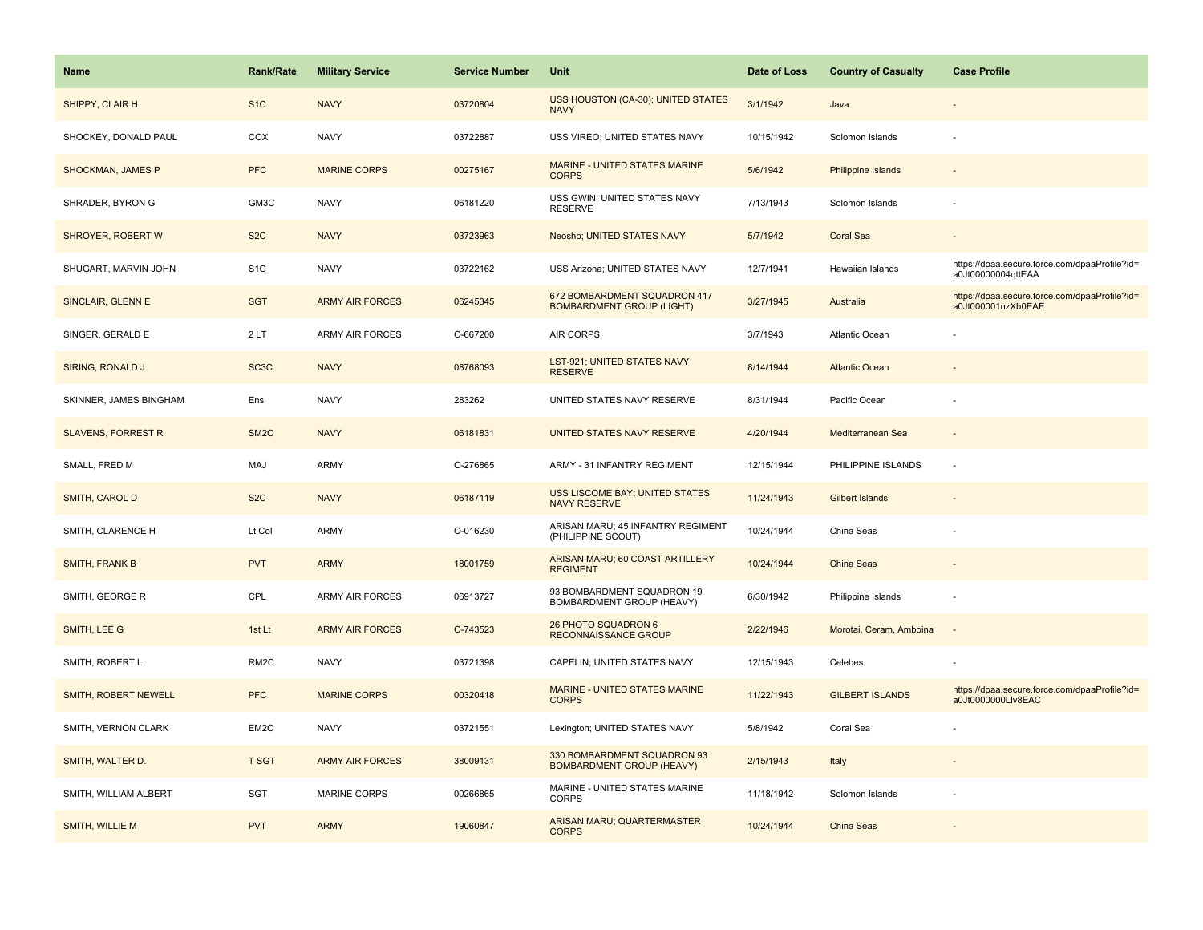| <b>Name</b>               | Rank/Rate         | <b>Military Service</b> | <b>Service Number</b> | Unit                                                             | Date of Loss | <b>Country of Casualty</b> | <b>Case Profile</b>                                                 |
|---------------------------|-------------------|-------------------------|-----------------------|------------------------------------------------------------------|--------------|----------------------------|---------------------------------------------------------------------|
| SHIPPY, CLAIR H           | S <sub>1</sub> C  | <b>NAVY</b>             | 03720804              | USS HOUSTON (CA-30); UNITED STATES<br><b>NAVY</b>                | 3/1/1942     | Java                       |                                                                     |
| SHOCKEY, DONALD PAUL      | COX               | <b>NAVY</b>             | 03722887              | USS VIREO; UNITED STATES NAVY                                    | 10/15/1942   | Solomon Islands            |                                                                     |
| SHOCKMAN, JAMES P         | <b>PFC</b>        | <b>MARINE CORPS</b>     | 00275167              | MARINE - UNITED STATES MARINE<br><b>CORPS</b>                    | 5/6/1942     | <b>Philippine Islands</b>  |                                                                     |
| SHRADER, BYRON G          | GM3C              | <b>NAVY</b>             | 06181220              | USS GWIN; UNITED STATES NAVY<br><b>RESERVE</b>                   | 7/13/1943    | Solomon Islands            |                                                                     |
| SHROYER, ROBERT W         | S <sub>2</sub> C  | <b>NAVY</b>             | 03723963              | Neosho; UNITED STATES NAVY                                       | 5/7/1942     | <b>Coral Sea</b>           |                                                                     |
| SHUGART, MARVIN JOHN      | S <sub>1</sub> C  | <b>NAVY</b>             | 03722162              | USS Arizona; UNITED STATES NAVY                                  | 12/7/1941    | Hawaiian Islands           | https://dpaa.secure.force.com/dpaaProfile?id=<br>a0Jt00000004qttEAA |
| SINCLAIR, GLENN E         | <b>SGT</b>        | <b>ARMY AIR FORCES</b>  | 06245345              | 672 BOMBARDMENT SQUADRON 417<br><b>BOMBARDMENT GROUP (LIGHT)</b> | 3/27/1945    | Australia                  | https://dpaa.secure.force.com/dpaaProfile?id=<br>a0Jt000001nzXb0EAE |
| SINGER, GERALD E          | 2LT               | <b>ARMY AIR FORCES</b>  | O-667200              | AIR CORPS                                                        | 3/7/1943     | Atlantic Ocean             |                                                                     |
| SIRING, RONALD J          | SC <sub>3</sub> C | <b>NAVY</b>             | 08768093              | <b>LST-921; UNITED STATES NAVY</b><br><b>RESERVE</b>             | 8/14/1944    | <b>Atlantic Ocean</b>      |                                                                     |
| SKINNER, JAMES BINGHAM    | Ens               | <b>NAVY</b>             | 283262                | UNITED STATES NAVY RESERVE                                       | 8/31/1944    | Pacific Ocean              |                                                                     |
| <b>SLAVENS, FORREST R</b> | SM <sub>2</sub> C | <b>NAVY</b>             | 06181831              | UNITED STATES NAVY RESERVE                                       | 4/20/1944    | Mediterranean Sea          |                                                                     |
| SMALL, FRED M             | MAJ               | <b>ARMY</b>             | O-276865              | ARMY - 31 INFANTRY REGIMENT                                      | 12/15/1944   | PHILIPPINE ISLANDS         | ÷,                                                                  |
| SMITH, CAROL D            | S <sub>2</sub> C  | <b>NAVY</b>             | 06187119              | <b>USS LISCOME BAY; UNITED STATES</b><br>NAVY RESERVE            | 11/24/1943   | Gilbert Islands            |                                                                     |
| SMITH, CLARENCE H         | Lt Col            | ARMY                    | O-016230              | ARISAN MARU; 45 INFANTRY REGIMENT<br>(PHILIPPINE SCOUT)          | 10/24/1944   | China Seas                 |                                                                     |
| SMITH, FRANK B            | <b>PVT</b>        | <b>ARMY</b>             | 18001759              | ARISAN MARU; 60 COAST ARTILLERY<br><b>REGIMENT</b>               | 10/24/1944   | China Seas                 |                                                                     |
| SMITH, GEORGE R           | CPL               | <b>ARMY AIR FORCES</b>  | 06913727              | 93 BOMBARDMENT SQUADRON 19<br>BOMBARDMENT GROUP (HEAVY)          | 6/30/1942    | Philippine Islands         | ÷,                                                                  |
| SMITH, LEE G              | 1st Lt            | <b>ARMY AIR FORCES</b>  | O-743523              | 26 PHOTO SQUADRON 6<br>RECONNAISSANCE GROUP                      | 2/22/1946    | Morotai, Ceram, Amboina    | $\sim$                                                              |
| SMITH, ROBERT L           | RM <sub>2</sub> C | <b>NAVY</b>             | 03721398              | CAPELIN; UNITED STATES NAVY                                      | 12/15/1943   | Celebes                    |                                                                     |
| SMITH, ROBERT NEWELL      | <b>PFC</b>        | <b>MARINE CORPS</b>     | 00320418              | <b>MARINE - UNITED STATES MARINE</b><br><b>CORPS</b>             | 11/22/1943   | <b>GILBERT ISLANDS</b>     | https://dpaa.secure.force.com/dpaaProfile?id=<br>a0Jt0000000Llv8EAC |
| SMITH, VERNON CLARK       | EM <sub>2</sub> C | <b>NAVY</b>             | 03721551              | Lexington; UNITED STATES NAVY                                    | 5/8/1942     | Coral Sea                  |                                                                     |
| SMITH, WALTER D.          | T SGT             | <b>ARMY AIR FORCES</b>  | 38009131              | 330 BOMBARDMENT SQUADRON 93<br><b>BOMBARDMENT GROUP (HEAVY)</b>  | 2/15/1943    | Italy                      |                                                                     |
| SMITH, WILLIAM ALBERT     | SGT               | <b>MARINE CORPS</b>     | 00266865              | MARINE - UNITED STATES MARINE<br><b>CORPS</b>                    | 11/18/1942   | Solomon Islands            |                                                                     |
| SMITH, WILLIE M           | <b>PVT</b>        | <b>ARMY</b>             | 19060847              | ARISAN MARU; QUARTERMASTER<br><b>CORPS</b>                       | 10/24/1944   | <b>China Seas</b>          |                                                                     |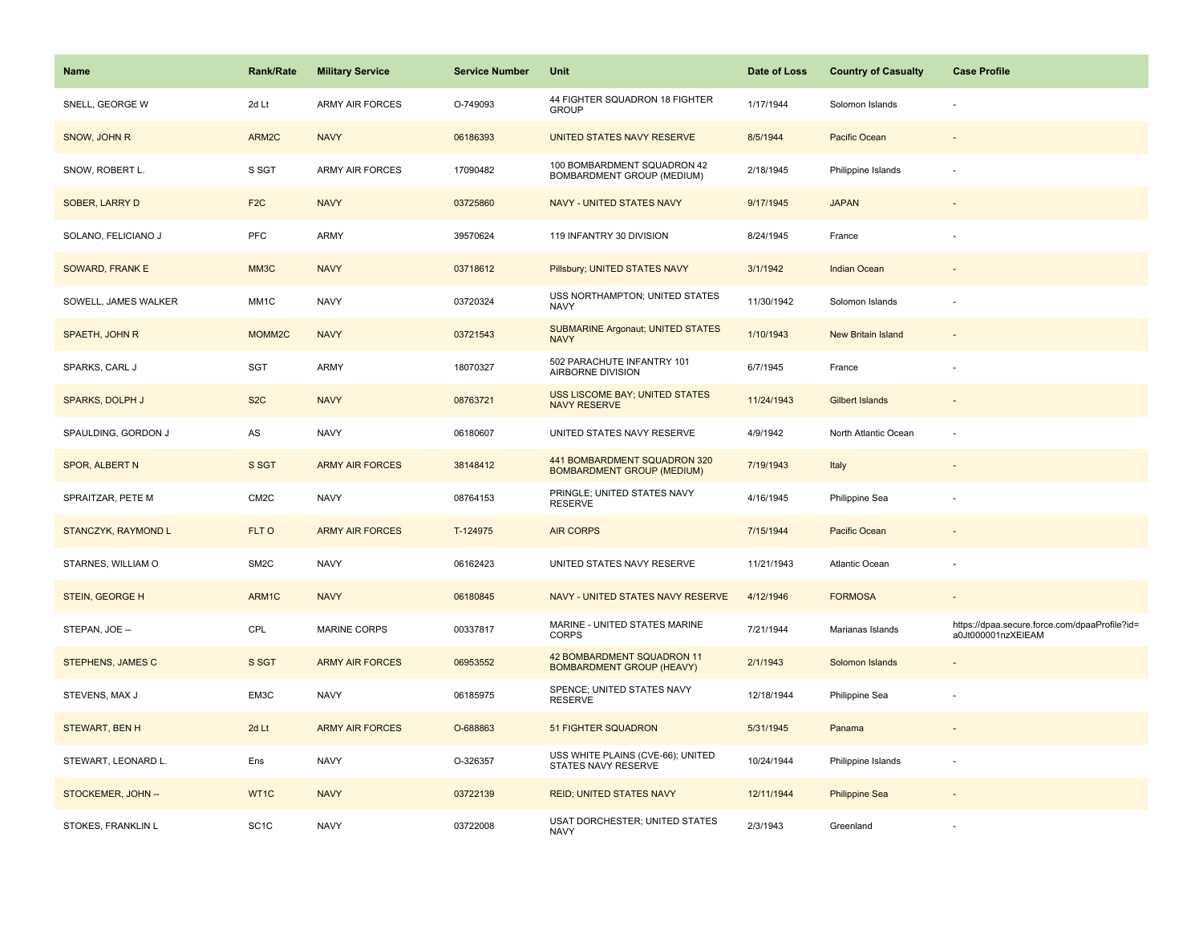| Name                       | <b>Rank/Rate</b>  | <b>Military Service</b> | <b>Service Number</b> | Unit                                                              | Date of Loss | <b>Country of Casualty</b> | <b>Case Profile</b>                                                 |
|----------------------------|-------------------|-------------------------|-----------------------|-------------------------------------------------------------------|--------------|----------------------------|---------------------------------------------------------------------|
| SNELL, GEORGE W            | 2d Lt             | <b>ARMY AIR FORCES</b>  | O-749093              | 44 FIGHTER SQUADRON 18 FIGHTER<br><b>GROUP</b>                    | 1/17/1944    | Solomon Islands            |                                                                     |
| SNOW, JOHN R               | ARM2C             | <b>NAVY</b>             | 06186393              | UNITED STATES NAVY RESERVE                                        | 8/5/1944     | <b>Pacific Ocean</b>       |                                                                     |
| SNOW, ROBERT L.            | S SGT             | <b>ARMY AIR FORCES</b>  | 17090482              | 100 BOMBARDMENT SQUADRON 42<br>BOMBARDMENT GROUP (MEDIUM)         | 2/18/1945    | Philippine Islands         |                                                                     |
| SOBER, LARRY D             | F <sub>2</sub> C  | <b>NAVY</b>             | 03725860              | NAVY - UNITED STATES NAVY                                         | 9/17/1945    | <b>JAPAN</b>               |                                                                     |
| SOLANO, FELICIANO J        | PFC               | <b>ARMY</b>             | 39570624              | 119 INFANTRY 30 DIVISION                                          | 8/24/1945    | France                     |                                                                     |
| SOWARD, FRANK E            | MM3C              | <b>NAVY</b>             | 03718612              | Pillsbury; UNITED STATES NAVY                                     | 3/1/1942     | Indian Ocean               |                                                                     |
| SOWELL, JAMES WALKER       | MM1C              | <b>NAVY</b>             | 03720324              | USS NORTHAMPTON; UNITED STATES<br>NAVY                            | 11/30/1942   | Solomon Islands            |                                                                     |
| SPAETH, JOHN R             | MOMM2C            | <b>NAVY</b>             | 03721543              | <b>SUBMARINE Argonaut; UNITED STATES</b><br><b>NAVY</b>           | 1/10/1943    | New Britain Island         |                                                                     |
| SPARKS, CARL J             | SGT               | ARMY                    | 18070327              | 502 PARACHUTE INFANTRY 101<br>AIRBORNE DIVISION                   | 6/7/1945     | France                     |                                                                     |
| <b>SPARKS, DOLPH J</b>     | S <sub>2</sub> C  | <b>NAVY</b>             | 08763721              | <b>USS LISCOME BAY; UNITED STATES</b><br><b>NAVY RESERVE</b>      | 11/24/1943   | Gilbert Islands            |                                                                     |
| SPAULDING, GORDON J        | AS                | <b>NAVY</b>             | 06180607              | UNITED STATES NAVY RESERVE                                        | 4/9/1942     | North Atlantic Ocean       |                                                                     |
| <b>SPOR, ALBERT N</b>      | S SGT             | <b>ARMY AIR FORCES</b>  | 38148412              | 441 BOMBARDMENT SQUADRON 320<br><b>BOMBARDMENT GROUP (MEDIUM)</b> | 7/19/1943    | Italy                      |                                                                     |
| SPRAITZAR, PETE M          | CM <sub>2</sub> C | <b>NAVY</b>             | 08764153              | PRINGLE; UNITED STATES NAVY<br><b>RESERVE</b>                     | 4/16/1945    | Philippine Sea             |                                                                     |
| <b>STANCZYK, RAYMOND L</b> | FLT O             | <b>ARMY AIR FORCES</b>  | T-124975              | <b>AIR CORPS</b>                                                  | 7/15/1944    | <b>Pacific Ocean</b>       |                                                                     |
| STARNES, WILLIAM O         | SM <sub>2</sub> C | <b>NAVY</b>             | 06162423              | UNITED STATES NAVY RESERVE                                        | 11/21/1943   | <b>Atlantic Ocean</b>      |                                                                     |
| STEIN, GEORGE H            | ARM1C             | <b>NAVY</b>             | 06180845              | NAVY - UNITED STATES NAVY RESERVE                                 | 4/12/1946    | <b>FORMOSA</b>             |                                                                     |
| STEPAN, JOE --             | CPL               | <b>MARINE CORPS</b>     | 00337817              | MARINE - UNITED STATES MARINE<br><b>CORPS</b>                     | 7/21/1944    | Marianas Islands           | https://dpaa.secure.force.com/dpaaProfile?id=<br>a0Jt000001nzXEIEAM |
| STEPHENS, JAMES C          | S SGT             | <b>ARMY AIR FORCES</b>  | 06953552              | 42 BOMBARDMENT SQUADRON 11<br><b>BOMBARDMENT GROUP (HEAVY)</b>    | 2/1/1943     | Solomon Islands            |                                                                     |
| STEVENS, MAX J             | EM3C              | <b>NAVY</b>             | 06185975              | SPENCE; UNITED STATES NAVY<br><b>RESERVE</b>                      | 12/18/1944   | Philippine Sea             |                                                                     |
| <b>STEWART, BEN H</b>      | 2d Lt             | <b>ARMY AIR FORCES</b>  | O-688863              | <b>51 FIGHTER SQUADRON</b>                                        | 5/31/1945    | Panama                     |                                                                     |
| STEWART, LEONARD L.        | Ens               | <b>NAVY</b>             | O-326357              | USS WHITE PLAINS (CVE-66); UNITED<br>STATES NAVY RESERVE          | 10/24/1944   | Philippine Islands         |                                                                     |
| STOCKEMER, JOHN --         | WT1C              | <b>NAVY</b>             | 03722139              | <b>REID; UNITED STATES NAVY</b>                                   | 12/11/1944   | <b>Philippine Sea</b>      |                                                                     |
| STOKES, FRANKLIN L         | SC <sub>1</sub> C | <b>NAVY</b>             | 03722008              | USAT DORCHESTER; UNITED STATES<br><b>NAVY</b>                     | 2/3/1943     | Greenland                  |                                                                     |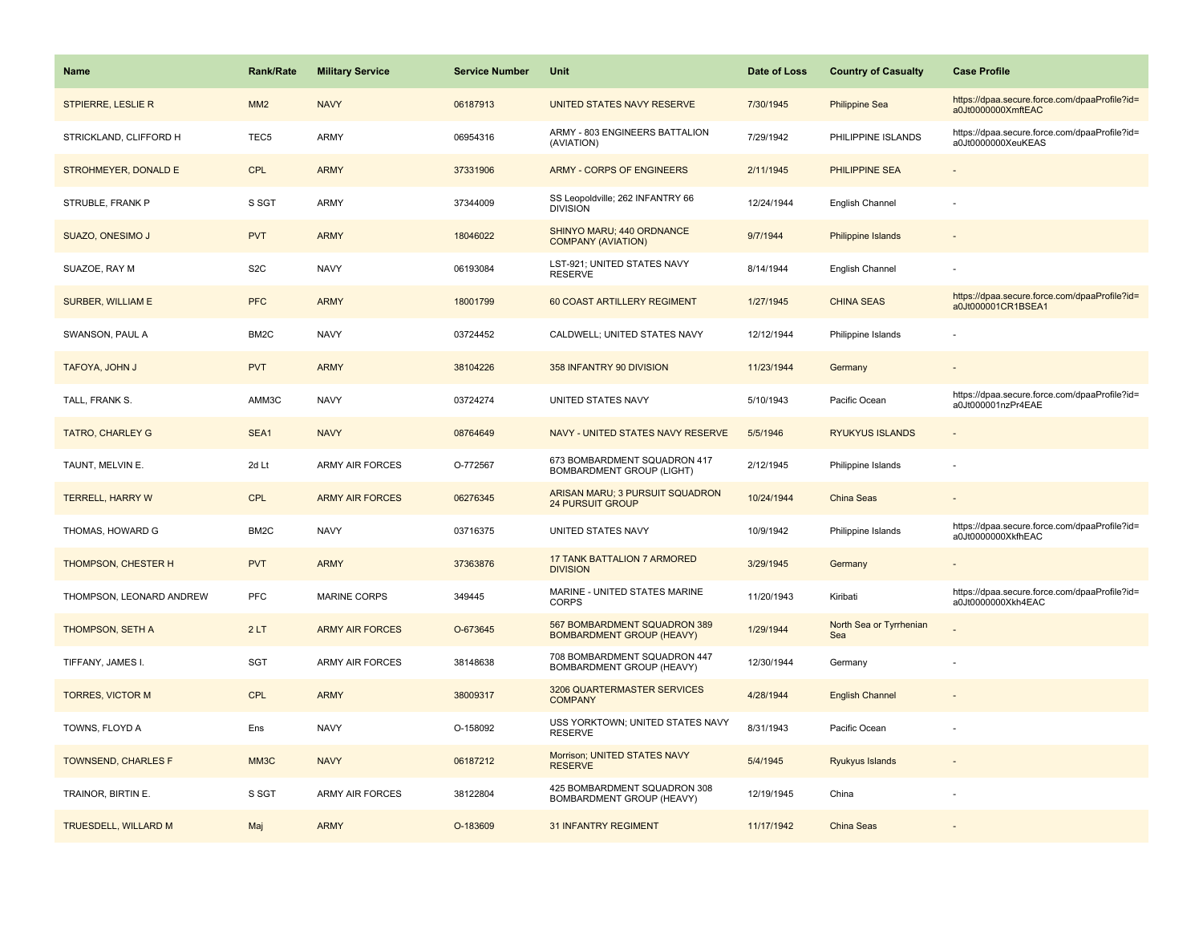| <b>Name</b>                | <b>Rank/Rate</b>  | <b>Military Service</b> | <b>Service Number</b> | Unit                                                             | Date of Loss | <b>Country of Casualty</b>     | <b>Case Profile</b>                                                 |
|----------------------------|-------------------|-------------------------|-----------------------|------------------------------------------------------------------|--------------|--------------------------------|---------------------------------------------------------------------|
| STPIERRE, LESLIE R         | MM2               | <b>NAVY</b>             | 06187913              | UNITED STATES NAVY RESERVE                                       | 7/30/1945    | <b>Philippine Sea</b>          | https://dpaa.secure.force.com/dpaaProfile?id=<br>a0Jt0000000XmftEAC |
| STRICKLAND, CLIFFORD H     | TEC <sub>5</sub>  | ARMY                    | 06954316              | ARMY - 803 ENGINEERS BATTALION<br>(AVIATION)                     | 7/29/1942    | PHILIPPINE ISLANDS             | https://dpaa.secure.force.com/dpaaProfile?id=<br>a0Jt0000000XeuKEAS |
| STROHMEYER, DONALD E       | <b>CPL</b>        | <b>ARMY</b>             | 37331906              | ARMY - CORPS OF ENGINEERS                                        | 2/11/1945    | PHILIPPINE SEA                 |                                                                     |
| STRUBLE, FRANK P           | S SGT             | <b>ARMY</b>             | 37344009              | SS Leopoldville; 262 INFANTRY 66<br><b>DIVISION</b>              | 12/24/1944   | English Channel                |                                                                     |
| SUAZO, ONESIMO J           | <b>PVT</b>        | <b>ARMY</b>             | 18046022              | SHINYO MARU; 440 ORDNANCE<br><b>COMPANY (AVIATION)</b>           | 9/7/1944     | <b>Philippine Islands</b>      |                                                                     |
| SUAZOE, RAY M              | S <sub>2</sub> C  | <b>NAVY</b>             | 06193084              | LST-921; UNITED STATES NAVY<br><b>RESERVE</b>                    | 8/14/1944    | English Channel                |                                                                     |
| <b>SURBER, WILLIAM E</b>   | <b>PFC</b>        | <b>ARMY</b>             | 18001799              | 60 COAST ARTILLERY REGIMENT                                      | 1/27/1945    | <b>CHINA SEAS</b>              | https://dpaa.secure.force.com/dpaaProfile?id=<br>a0Jt000001CR1BSEA1 |
| SWANSON, PAUL A            | BM <sub>2</sub> C | <b>NAVY</b>             | 03724452              | CALDWELL; UNITED STATES NAVY                                     | 12/12/1944   | Philippine Islands             |                                                                     |
| TAFOYA, JOHN J             | <b>PVT</b>        | <b>ARMY</b>             | 38104226              | 358 INFANTRY 90 DIVISION                                         | 11/23/1944   | Germany                        |                                                                     |
| TALL, FRANK S.             | AMM3C             | <b>NAVY</b>             | 03724274              | UNITED STATES NAVY                                               | 5/10/1943    | Pacific Ocean                  | https://dpaa.secure.force.com/dpaaProfile?id=<br>a0Jt000001nzPr4EAE |
| <b>TATRO, CHARLEY G</b>    | SEA1              | <b>NAVY</b>             | 08764649              | NAVY - UNITED STATES NAVY RESERVE                                | 5/5/1946     | <b>RYUKYUS ISLANDS</b>         |                                                                     |
| TAUNT, MELVIN E.           | 2d Lt             | ARMY AIR FORCES         | O-772567              | 673 BOMBARDMENT SQUADRON 417<br><b>BOMBARDMENT GROUP (LIGHT)</b> | 2/12/1945    | Philippine Islands             |                                                                     |
| <b>TERRELL, HARRY W</b>    | <b>CPL</b>        | <b>ARMY AIR FORCES</b>  | 06276345              | ARISAN MARU; 3 PURSUIT SQUADRON<br><b>24 PURSUIT GROUP</b>       | 10/24/1944   | China Seas                     |                                                                     |
| THOMAS, HOWARD G           | BM <sub>2</sub> C | <b>NAVY</b>             | 03716375              | UNITED STATES NAVY                                               | 10/9/1942    | Philippine Islands             | https://dpaa.secure.force.com/dpaaProfile?id=<br>a0Jt0000000XkfhEAC |
| THOMPSON, CHESTER H        | <b>PVT</b>        | <b>ARMY</b>             | 37363876              | <b>17 TANK BATTALION 7 ARMORED</b><br><b>DIVISION</b>            | 3/29/1945    | Germany                        |                                                                     |
| THOMPSON, LEONARD ANDREW   | PFC               | MARINE CORPS            | 349445                | MARINE - UNITED STATES MARINE<br><b>CORPS</b>                    | 11/20/1943   | Kiribati                       | https://dpaa.secure.force.com/dpaaProfile?id=<br>a0Jt0000000Xkh4EAC |
| THOMPSON, SETH A           | 2LT               | <b>ARMY AIR FORCES</b>  | O-673645              | 567 BOMBARDMENT SQUADRON 389<br><b>BOMBARDMENT GROUP (HEAVY)</b> | 1/29/1944    | North Sea or Tyrrhenian<br>Sea |                                                                     |
| TIFFANY, JAMES I.          | SGT               | <b>ARMY AIR FORCES</b>  | 38148638              | 708 BOMBARDMENT SQUADRON 447<br><b>BOMBARDMENT GROUP (HEAVY)</b> | 12/30/1944   | Germany                        |                                                                     |
| <b>TORRES, VICTOR M</b>    | <b>CPL</b>        | <b>ARMY</b>             | 38009317              | 3206 QUARTERMASTER SERVICES<br><b>COMPANY</b>                    | 4/28/1944    | <b>English Channel</b>         |                                                                     |
| TOWNS, FLOYD A             | Ens               | <b>NAVY</b>             | O-158092              | USS YORKTOWN; UNITED STATES NAVY<br><b>RESERVE</b>               | 8/31/1943    | Pacific Ocean                  |                                                                     |
| <b>TOWNSEND, CHARLES F</b> | MM3C              | <b>NAVY</b>             | 06187212              | Morrison; UNITED STATES NAVY<br><b>RESERVE</b>                   | 5/4/1945     | Ryukyus Islands                |                                                                     |
| TRAINOR, BIRTIN E.         | S SGT             | <b>ARMY AIR FORCES</b>  | 38122804              | 425 BOMBARDMENT SQUADRON 308<br>BOMBARDMENT GROUP (HEAVY)        | 12/19/1945   | China                          |                                                                     |
| TRUESDELL, WILLARD M       | Maj               | <b>ARMY</b>             | O-183609              | <b>31 INFANTRY REGIMENT</b>                                      | 11/17/1942   | <b>China Seas</b>              |                                                                     |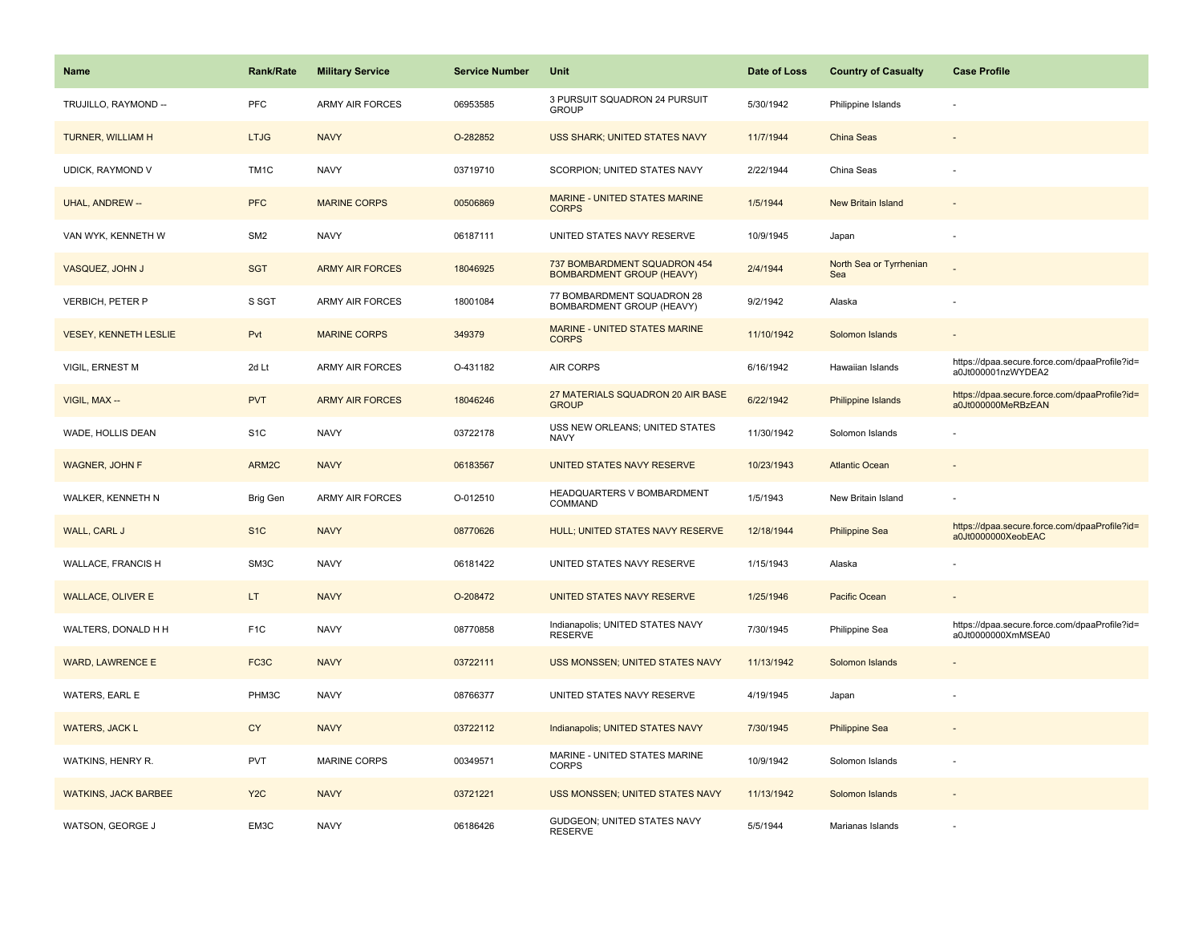| <b>Name</b>                  | <b>Rank/Rate</b>  | <b>Military Service</b> | <b>Service Number</b> | <b>Unit</b>                                                      | Date of Loss | <b>Country of Casualty</b>     | <b>Case Profile</b>                                                 |
|------------------------------|-------------------|-------------------------|-----------------------|------------------------------------------------------------------|--------------|--------------------------------|---------------------------------------------------------------------|
| TRUJILLO, RAYMOND --         | PFC               | <b>ARMY AIR FORCES</b>  | 06953585              | 3 PURSUIT SQUADRON 24 PURSUIT<br><b>GROUP</b>                    | 5/30/1942    | Philippine Islands             |                                                                     |
| TURNER, WILLIAM H            | <b>LTJG</b>       | <b>NAVY</b>             | O-282852              | USS SHARK; UNITED STATES NAVY                                    | 11/7/1944    | China Seas                     |                                                                     |
| UDICK, RAYMOND V             | TM <sub>1</sub> C | <b>NAVY</b>             | 03719710              | SCORPION; UNITED STATES NAVY                                     | 2/22/1944    | China Seas                     |                                                                     |
| UHAL, ANDREW --              | <b>PFC</b>        | <b>MARINE CORPS</b>     | 00506869              | MARINE - UNITED STATES MARINE<br><b>CORPS</b>                    | 1/5/1944     | <b>New Britain Island</b>      |                                                                     |
| VAN WYK, KENNETH W           | SM <sub>2</sub>   | <b>NAVY</b>             | 06187111              | UNITED STATES NAVY RESERVE                                       | 10/9/1945    | Japan                          |                                                                     |
| VASQUEZ, JOHN J              | <b>SGT</b>        | <b>ARMY AIR FORCES</b>  | 18046925              | 737 BOMBARDMENT SQUADRON 454<br><b>BOMBARDMENT GROUP (HEAVY)</b> | 2/4/1944     | North Sea or Tyrrhenian<br>Sea |                                                                     |
| VERBICH, PETER P             | S SGT             | ARMY AIR FORCES         | 18001084              | 77 BOMBARDMENT SQUADRON 28<br>BOMBARDMENT GROUP (HEAVY)          | 9/2/1942     | Alaska                         |                                                                     |
| <b>VESEY, KENNETH LESLIE</b> | Pvt               | <b>MARINE CORPS</b>     | 349379                | MARINE - UNITED STATES MARINE<br><b>CORPS</b>                    | 11/10/1942   | Solomon Islands                |                                                                     |
| VIGIL, ERNEST M              | 2d Lt             | <b>ARMY AIR FORCES</b>  | O-431182              | <b>AIR CORPS</b>                                                 | 6/16/1942    | Hawaiian Islands               | https://dpaa.secure.force.com/dpaaProfile?id=<br>a0Jt000001nzWYDEA2 |
| VIGIL, MAX --                | <b>PVT</b>        | <b>ARMY AIR FORCES</b>  | 18046246              | 27 MATERIALS SQUADRON 20 AIR BASE<br><b>GROUP</b>                | 6/22/1942    | <b>Philippine Islands</b>      | https://dpaa.secure.force.com/dpaaProfile?id=<br>a0Jt000000MeRBzEAN |
| WADE, HOLLIS DEAN            | S <sub>1</sub> C  | <b>NAVY</b>             | 03722178              | USS NEW ORLEANS; UNITED STATES<br><b>NAVY</b>                    | 11/30/1942   | Solomon Islands                |                                                                     |
| <b>WAGNER, JOHN F</b>        | ARM2C             | <b>NAVY</b>             | 06183567              | UNITED STATES NAVY RESERVE                                       | 10/23/1943   | <b>Atlantic Ocean</b>          |                                                                     |
| WALKER, KENNETH N            | Brig Gen          | <b>ARMY AIR FORCES</b>  | O-012510              | HEADQUARTERS V BOMBARDMENT<br>COMMAND                            | 1/5/1943     | New Britain Island             |                                                                     |
| WALL, CARL J                 | S <sub>1</sub> C  | <b>NAVY</b>             | 08770626              | HULL; UNITED STATES NAVY RESERVE                                 | 12/18/1944   | <b>Philippine Sea</b>          | https://dpaa.secure.force.com/dpaaProfile?id=<br>a0Jt0000000XeobEAC |
| WALLACE, FRANCIS H           | SM3C              | <b>NAVY</b>             | 06181422              | UNITED STATES NAVY RESERVE                                       | 1/15/1943    | Alaska                         |                                                                     |
| <b>WALLACE, OLIVER E</b>     | LT.               | <b>NAVY</b>             | O-208472              | UNITED STATES NAVY RESERVE                                       | 1/25/1946    | Pacific Ocean                  |                                                                     |
| WALTERS, DONALD H H          | F <sub>1</sub> C  | <b>NAVY</b>             | 08770858              | Indianapolis; UNITED STATES NAVY<br><b>RESERVE</b>               | 7/30/1945    | Philippine Sea                 | https://dpaa.secure.force.com/dpaaProfile?id=<br>a0Jt0000000XmMSEA0 |
| <b>WARD, LAWRENCE E</b>      | FC <sub>3</sub> C | <b>NAVY</b>             | 03722111              | USS MONSSEN; UNITED STATES NAVY                                  | 11/13/1942   | Solomon Islands                |                                                                     |
| WATERS, EARL E               | PHM3C             | <b>NAVY</b>             | 08766377              | UNITED STATES NAVY RESERVE                                       | 4/19/1945    | Japan                          |                                                                     |
| <b>WATERS, JACK L</b>        | <b>CY</b>         | <b>NAVY</b>             | 03722112              | Indianapolis; UNITED STATES NAVY                                 | 7/30/1945    | <b>Philippine Sea</b>          |                                                                     |
| WATKINS, HENRY R.            | PVT               | <b>MARINE CORPS</b>     | 00349571              | MARINE - UNITED STATES MARINE<br><b>CORPS</b>                    | 10/9/1942    | Solomon Islands                |                                                                     |
| <b>WATKINS, JACK BARBEE</b>  | Y <sub>2</sub> C  | <b>NAVY</b>             | 03721221              | USS MONSSEN; UNITED STATES NAVY                                  | 11/13/1942   | Solomon Islands                |                                                                     |
| WATSON, GEORGE J             | EM3C              | <b>NAVY</b>             | 06186426              | GUDGEON; UNITED STATES NAVY<br><b>RESERVE</b>                    | 5/5/1944     | Marianas Islands               |                                                                     |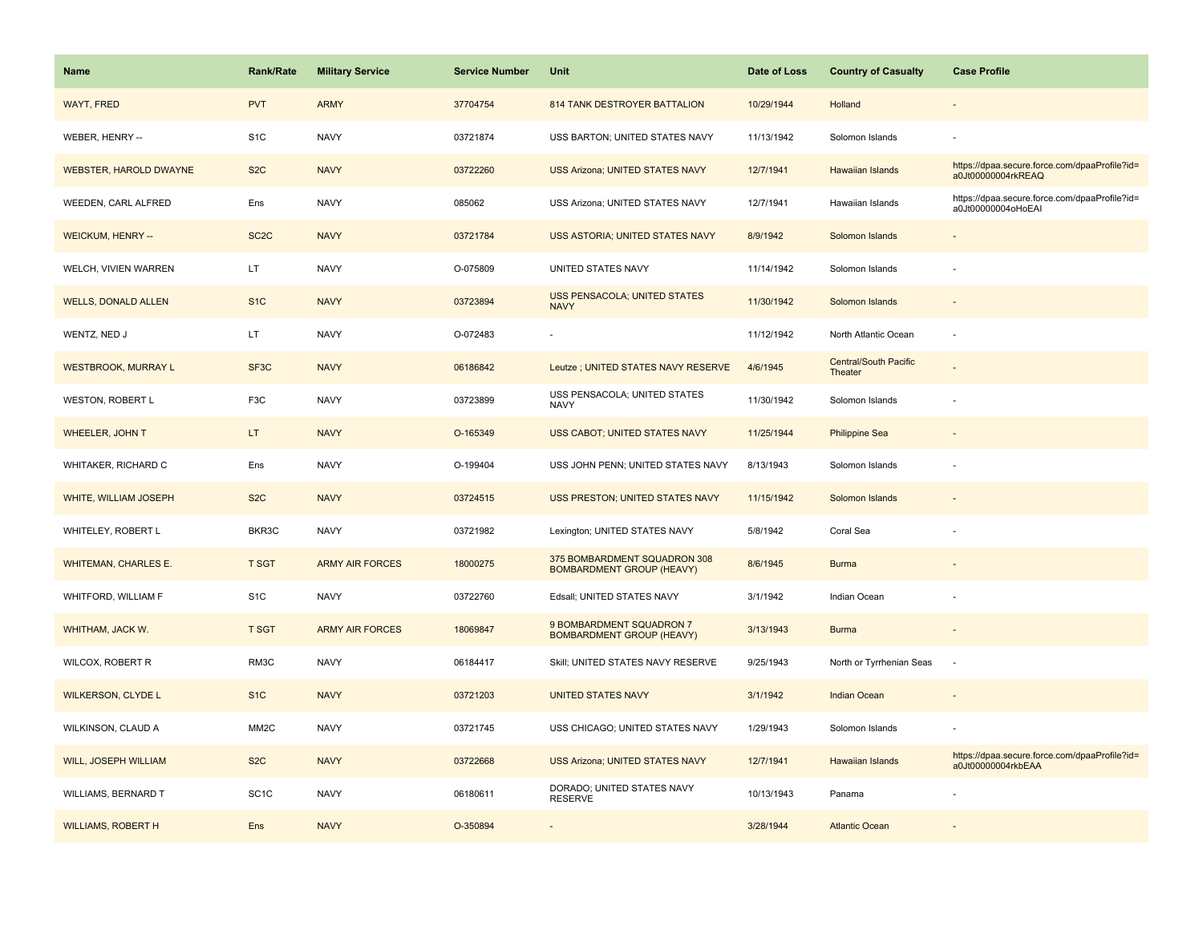| Name                          | <b>Rank/Rate</b>  | <b>Military Service</b> | <b>Service Number</b> | Unit                                                             | Date of Loss | <b>Country of Casualty</b>              | <b>Case Profile</b>                                                 |
|-------------------------------|-------------------|-------------------------|-----------------------|------------------------------------------------------------------|--------------|-----------------------------------------|---------------------------------------------------------------------|
| <b>WAYT, FRED</b>             | <b>PVT</b>        | <b>ARMY</b>             | 37704754              | 814 TANK DESTROYER BATTALION                                     | 10/29/1944   | Holland                                 |                                                                     |
| WEBER, HENRY --               | S <sub>1</sub> C  | <b>NAVY</b>             | 03721874              | USS BARTON; UNITED STATES NAVY                                   | 11/13/1942   | Solomon Islands                         |                                                                     |
| <b>WEBSTER, HAROLD DWAYNE</b> | S <sub>2</sub> C  | <b>NAVY</b>             | 03722260              | <b>USS Arizona; UNITED STATES NAVY</b>                           | 12/7/1941    | Hawaiian Islands                        | https://dpaa.secure.force.com/dpaaProfile?id=<br>a0Jt00000004rkREAQ |
| WEEDEN, CARL ALFRED           | Ens               | <b>NAVY</b>             | 085062                | USS Arizona; UNITED STATES NAVY                                  | 12/7/1941    | Hawaiian Islands                        | https://dpaa.secure.force.com/dpaaProfile?id=<br>a0Jt00000004oHoEAI |
| <b>WEICKUM, HENRY --</b>      | SC <sub>2</sub> C | <b>NAVY</b>             | 03721784              | USS ASTORIA; UNITED STATES NAVY                                  | 8/9/1942     | Solomon Islands                         |                                                                     |
| WELCH, VIVIEN WARREN          | LT.               | <b>NAVY</b>             | O-075809              | UNITED STATES NAVY                                               | 11/14/1942   | Solomon Islands                         |                                                                     |
| <b>WELLS, DONALD ALLEN</b>    | S <sub>1</sub> C  | <b>NAVY</b>             | 03723894              | <b>USS PENSACOLA; UNITED STATES</b><br><b>NAVY</b>               | 11/30/1942   | Solomon Islands                         |                                                                     |
| WENTZ, NED J                  | LT.               | <b>NAVY</b>             | O-072483              |                                                                  | 11/12/1942   | North Atlantic Ocean                    | $\sim$                                                              |
| <b>WESTBROOK, MURRAY L</b>    | SF <sub>3</sub> C | <b>NAVY</b>             | 06186842              | Leutze ; UNITED STATES NAVY RESERVE                              | 4/6/1945     | <b>Central/South Pacific</b><br>Theater |                                                                     |
| WESTON, ROBERT L              | F <sub>3</sub> C  | <b>NAVY</b>             | 03723899              | USS PENSACOLA; UNITED STATES<br><b>NAVY</b>                      | 11/30/1942   | Solomon Islands                         |                                                                     |
| WHEELER, JOHN T               | LT.               | <b>NAVY</b>             | O-165349              | <b>USS CABOT; UNITED STATES NAVY</b>                             | 11/25/1944   | <b>Philippine Sea</b>                   |                                                                     |
| WHITAKER, RICHARD C           | Ens               | <b>NAVY</b>             | O-199404              | USS JOHN PENN; UNITED STATES NAVY                                | 8/13/1943    | Solomon Islands                         |                                                                     |
| WHITE, WILLIAM JOSEPH         | S <sub>2</sub> C  | <b>NAVY</b>             | 03724515              | <b>USS PRESTON; UNITED STATES NAVY</b>                           | 11/15/1942   | Solomon Islands                         |                                                                     |
| WHITELEY, ROBERT L            | BKR3C             | <b>NAVY</b>             | 03721982              | Lexington; UNITED STATES NAVY                                    | 5/8/1942     | Coral Sea                               |                                                                     |
| <b>WHITEMAN, CHARLES E.</b>   | <b>T SGT</b>      | <b>ARMY AIR FORCES</b>  | 18000275              | 375 BOMBARDMENT SQUADRON 308<br><b>BOMBARDMENT GROUP (HEAVY)</b> | 8/6/1945     | <b>Burma</b>                            |                                                                     |
| WHITFORD, WILLIAM F           | S <sub>1</sub> C  | <b>NAVY</b>             | 03722760              | Edsall; UNITED STATES NAVY                                       | 3/1/1942     | Indian Ocean                            |                                                                     |
| WHITHAM, JACK W.              | <b>T SGT</b>      | <b>ARMY AIR FORCES</b>  | 18069847              | 9 BOMBARDMENT SQUADRON 7<br><b>BOMBARDMENT GROUP (HEAVY)</b>     | 3/13/1943    | <b>Burma</b>                            |                                                                     |
| <b>WILCOX, ROBERT R</b>       | RM3C              | <b>NAVY</b>             | 06184417              | Skill; UNITED STATES NAVY RESERVE                                | 9/25/1943    | North or Tyrrhenian Seas                | $\overline{\phantom{a}}$                                            |
| <b>WILKERSON, CLYDE L</b>     | S <sub>1C</sub>   | <b>NAVY</b>             | 03721203              | <b>UNITED STATES NAVY</b>                                        | 3/1/1942     | <b>Indian Ocean</b>                     |                                                                     |
| WILKINSON, CLAUD A            | MM <sub>2</sub> C | <b>NAVY</b>             | 03721745              | USS CHICAGO; UNITED STATES NAVY                                  | 1/29/1943    | Solomon Islands                         |                                                                     |
| <b>WILL, JOSEPH WILLIAM</b>   | S <sub>2</sub> C  | <b>NAVY</b>             | 03722668              | <b>USS Arizona; UNITED STATES NAVY</b>                           | 12/7/1941    | <b>Hawaiian Islands</b>                 | https://dpaa.secure.force.com/dpaaProfile?id=<br>a0Jt00000004rkbEAA |
| WILLIAMS, BERNARD T           | SC <sub>1</sub> C | <b>NAVY</b>             | 06180611              | DORADO; UNITED STATES NAVY<br><b>RESERVE</b>                     | 10/13/1943   | Panama                                  |                                                                     |
| <b>WILLIAMS, ROBERT H</b>     | Ens               | <b>NAVY</b>             | O-350894              |                                                                  | 3/28/1944    | <b>Atlantic Ocean</b>                   |                                                                     |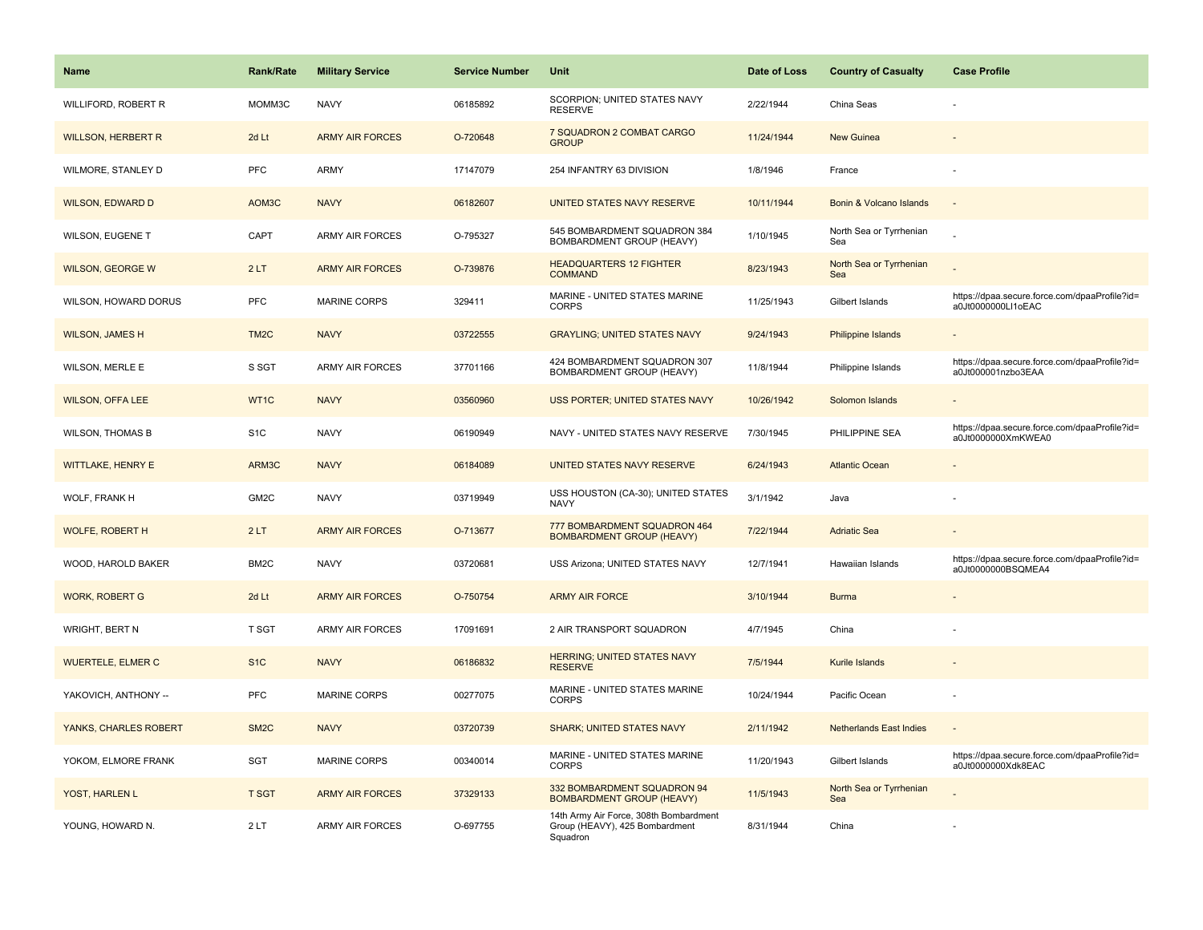| <b>Name</b>               | <b>Rank/Rate</b>  | <b>Military Service</b> | <b>Service Number</b> | Unit                                                                                 | Date of Loss | <b>Country of Casualty</b>     | <b>Case Profile</b>                                                 |
|---------------------------|-------------------|-------------------------|-----------------------|--------------------------------------------------------------------------------------|--------------|--------------------------------|---------------------------------------------------------------------|
| WILLIFORD, ROBERT R       | MOMM3C            | <b>NAVY</b>             | 06185892              | SCORPION; UNITED STATES NAVY<br><b>RESERVE</b>                                       | 2/22/1944    | China Seas                     |                                                                     |
| <b>WILLSON, HERBERT R</b> | 2d Lt             | <b>ARMY AIR FORCES</b>  | O-720648              | 7 SQUADRON 2 COMBAT CARGO<br><b>GROUP</b>                                            | 11/24/1944   | <b>New Guinea</b>              |                                                                     |
| WILMORE, STANLEY D        | PFC               | <b>ARMY</b>             | 17147079              | 254 INFANTRY 63 DIVISION                                                             | 1/8/1946     | France                         |                                                                     |
| <b>WILSON, EDWARD D</b>   | AOM3C             | <b>NAVY</b>             | 06182607              | UNITED STATES NAVY RESERVE                                                           | 10/11/1944   | Bonin & Volcano Islands        |                                                                     |
| WILSON, EUGENE T          | CAPT              | <b>ARMY AIR FORCES</b>  | O-795327              | 545 BOMBARDMENT SQUADRON 384<br>BOMBARDMENT GROUP (HEAVY)                            | 1/10/1945    | North Sea or Tyrrhenian<br>Sea |                                                                     |
| <b>WILSON, GEORGE W</b>   | 2LT               | <b>ARMY AIR FORCES</b>  | O-739876              | <b>HEADQUARTERS 12 FIGHTER</b><br><b>COMMAND</b>                                     | 8/23/1943    | North Sea or Tyrrhenian<br>Sea |                                                                     |
| WILSON, HOWARD DORUS      | PFC               | MARINE CORPS            | 329411                | MARINE - UNITED STATES MARINE<br><b>CORPS</b>                                        | 11/25/1943   | Gilbert Islands                | https://dpaa.secure.force.com/dpaaProfile?id=<br>a0Jt0000000Ll1oEAC |
| <b>WILSON, JAMES H</b>    | TM <sub>2</sub> C | <b>NAVY</b>             | 03722555              | <b>GRAYLING; UNITED STATES NAVY</b>                                                  | 9/24/1943    | <b>Philippine Islands</b>      |                                                                     |
| WILSON, MERLE E           | S SGT             | <b>ARMY AIR FORCES</b>  | 37701166              | 424 BOMBARDMENT SQUADRON 307<br><b>BOMBARDMENT GROUP (HEAVY)</b>                     | 11/8/1944    | Philippine Islands             | https://dpaa.secure.force.com/dpaaProfile?id=<br>a0Jt000001nzbo3EAA |
| <b>WILSON, OFFA LEE</b>   | WT1C              | <b>NAVY</b>             | 03560960              | USS PORTER; UNITED STATES NAVY                                                       | 10/26/1942   | Solomon Islands                |                                                                     |
| <b>WILSON, THOMAS B</b>   | S <sub>1</sub> C  | <b>NAVY</b>             | 06190949              | NAVY - UNITED STATES NAVY RESERVE                                                    | 7/30/1945    | PHILIPPINE SEA                 | https://dpaa.secure.force.com/dpaaProfile?id=<br>a0Jt0000000XmKWEA0 |
| <b>WITTLAKE, HENRY E</b>  | ARM3C             | <b>NAVY</b>             | 06184089              | UNITED STATES NAVY RESERVE                                                           | 6/24/1943    | <b>Atlantic Ocean</b>          |                                                                     |
| WOLF, FRANK H             | GM <sub>2C</sub>  | <b>NAVY</b>             | 03719949              | USS HOUSTON (CA-30); UNITED STATES<br><b>NAVY</b>                                    | 3/1/1942     | Java                           |                                                                     |
| <b>WOLFE, ROBERT H</b>    | 2LT               | <b>ARMY AIR FORCES</b>  | O-713677              | 777 BOMBARDMENT SQUADRON 464<br><b>BOMBARDMENT GROUP (HEAVY)</b>                     | 7/22/1944    | <b>Adriatic Sea</b>            |                                                                     |
| WOOD, HAROLD BAKER        | BM <sub>2</sub> C | <b>NAVY</b>             | 03720681              | USS Arizona; UNITED STATES NAVY                                                      | 12/7/1941    | Hawaiian Islands               | https://dpaa.secure.force.com/dpaaProfile?id=<br>a0Jt0000000BSQMEA4 |
| <b>WORK, ROBERT G</b>     | 2d Lt             | <b>ARMY AIR FORCES</b>  | O-750754              | <b>ARMY AIR FORCE</b>                                                                | 3/10/1944    | <b>Burma</b>                   |                                                                     |
| <b>WRIGHT, BERT N</b>     | T SGT             | <b>ARMY AIR FORCES</b>  | 17091691              | 2 AIR TRANSPORT SQUADRON                                                             | 4/7/1945     | China                          |                                                                     |
| <b>WUERTELE, ELMER C</b>  | S <sub>1C</sub>   | <b>NAVY</b>             | 06186832              | <b>HERRING; UNITED STATES NAVY</b><br><b>RESERVE</b>                                 | 7/5/1944     | Kurile Islands                 |                                                                     |
| YAKOVICH, ANTHONY --      | PFC               | <b>MARINE CORPS</b>     | 00277075              | MARINE - UNITED STATES MARINE<br><b>CORPS</b>                                        | 10/24/1944   | Pacific Ocean                  |                                                                     |
| YANKS, CHARLES ROBERT     | SM <sub>2</sub> C | <b>NAVY</b>             | 03720739              | <b>SHARK; UNITED STATES NAVY</b>                                                     | 2/11/1942    | <b>Netherlands East Indies</b> | $\sim$                                                              |
| YOKOM, ELMORE FRANK       | <b>SGT</b>        | <b>MARINE CORPS</b>     | 00340014              | MARINE - UNITED STATES MARINE<br>CORPS                                               | 11/20/1943   | Gilbert Islands                | https://dpaa.secure.force.com/dpaaProfile?id=<br>a0Jt0000000Xdk8EAC |
| YOST, HARLEN L            | <b>T SGT</b>      | <b>ARMY AIR FORCES</b>  | 37329133              | 332 BOMBARDMENT SQUADRON 94<br><b>BOMBARDMENT GROUP (HEAVY)</b>                      | 11/5/1943    | North Sea or Tyrrhenian<br>Sea |                                                                     |
| YOUNG, HOWARD N.          | 2LT               | <b>ARMY AIR FORCES</b>  | O-697755              | 14th Army Air Force, 308th Bombardment<br>Group (HEAVY), 425 Bombardment<br>Squadron | 8/31/1944    | China                          |                                                                     |